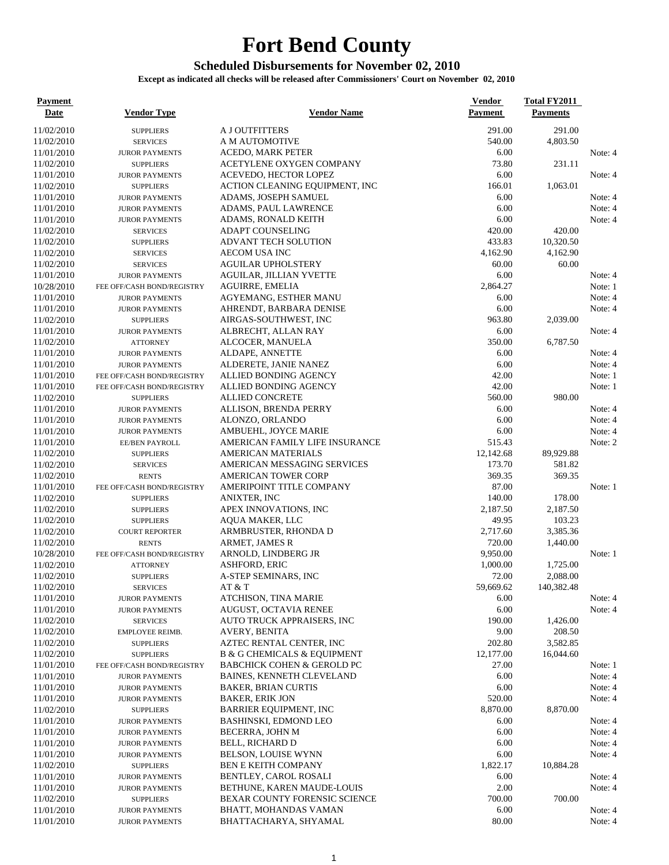## **Fort Bend County**

## **Scheduled Disbursements for November 02, 2010**

**Except as indicated all checks will be released after Commissioners' Court on November 02, 2010**

| <b>Payment</b><br><u>Date</u> | <b>Vendor Type</b>                        | <b>Vendor Name</b>                                          | <b>Vendor</b><br>Payment | <b>Total FY2011</b><br><b>Payments</b> |         |
|-------------------------------|-------------------------------------------|-------------------------------------------------------------|--------------------------|----------------------------------------|---------|
| 11/02/2010                    | <b>SUPPLIERS</b>                          | <b>A J OUTFITTERS</b>                                       | 291.00                   | 291.00                                 |         |
| 11/02/2010                    | <b>SERVICES</b>                           | A M AUTOMOTIVE                                              | 540.00                   | 4,803.50                               |         |
| 11/01/2010                    | <b>JUROR PAYMENTS</b>                     | ACEDO, MARK PETER                                           | 6.00                     |                                        | Note: 4 |
| 11/02/2010                    | <b>SUPPLIERS</b>                          | ACETYLENE OXYGEN COMPANY                                    | 73.80                    | 231.11                                 |         |
| 11/01/2010                    | <b>JUROR PAYMENTS</b>                     | ACEVEDO, HECTOR LOPEZ                                       | 6.00                     |                                        | Note: 4 |
| 11/02/2010                    | <b>SUPPLIERS</b>                          | ACTION CLEANING EQUIPMENT, INC                              | 166.01                   | 1,063.01                               |         |
| 11/01/2010                    | <b>JUROR PAYMENTS</b>                     | ADAMS, JOSEPH SAMUEL                                        | 6.00                     |                                        | Note: 4 |
| 11/01/2010                    | <b>JUROR PAYMENTS</b>                     | ADAMS, PAUL LAWRENCE                                        | 6.00                     |                                        | Note: 4 |
| 11/01/2010                    | <b>JUROR PAYMENTS</b>                     | <b>ADAMS, RONALD KEITH</b>                                  | 6.00                     |                                        | Note: 4 |
| 11/02/2010                    | <b>SERVICES</b>                           | <b>ADAPT COUNSELING</b>                                     | 420.00                   | 420.00                                 |         |
| 11/02/2010                    | <b>SUPPLIERS</b>                          | <b>ADVANT TECH SOLUTION</b>                                 | 433.83                   | 10,320.50                              |         |
| 11/02/2010                    | <b>SERVICES</b>                           | AECOM USA INC                                               | 4,162.90                 | 4,162.90                               |         |
| 11/02/2010                    | <b>SERVICES</b>                           | <b>AGUILAR UPHOLSTERY</b>                                   | 60.00                    | 60.00                                  |         |
| 11/01/2010                    | <b>JUROR PAYMENTS</b>                     | AGUILAR, JILLIAN YVETTE                                     | 6.00                     |                                        | Note: 4 |
| 10/28/2010                    | FEE OFF/CASH BOND/REGISTRY                | AGUIRRE, EMELIA                                             | 2,864.27                 |                                        | Note: 1 |
| 11/01/2010                    | <b>JUROR PAYMENTS</b>                     | AGYEMANG, ESTHER MANU                                       | 6.00                     |                                        | Note: 4 |
| 11/01/2010<br>11/02/2010      | <b>JUROR PAYMENTS</b>                     | AHRENDT, BARBARA DENISE<br>AIRGAS-SOUTHWEST, INC            | 6.00<br>963.80           | 2,039.00                               | Note: 4 |
| 11/01/2010                    | <b>SUPPLIERS</b><br><b>JUROR PAYMENTS</b> | ALBRECHT, ALLAN RAY                                         | 6.00                     |                                        | Note: 4 |
| 11/02/2010                    | <b>ATTORNEY</b>                           | ALCOCER, MANUELA                                            | 350.00                   | 6,787.50                               |         |
| 11/01/2010                    | <b>JUROR PAYMENTS</b>                     | ALDAPE, ANNETTE                                             | 6.00                     |                                        | Note: 4 |
| 11/01/2010                    | <b>JUROR PAYMENTS</b>                     | ALDERETE, JANIE NANEZ                                       | 6.00                     |                                        | Note: 4 |
| 11/01/2010                    | FEE OFF/CASH BOND/REGISTRY                | ALLIED BONDING AGENCY                                       | 42.00                    |                                        | Note: 1 |
| 11/01/2010                    | FEE OFF/CASH BOND/REGISTRY                | ALLIED BONDING AGENCY                                       | 42.00                    |                                        | Note: 1 |
| 11/02/2010                    | <b>SUPPLIERS</b>                          | <b>ALLIED CONCRETE</b>                                      | 560.00                   | 980.00                                 |         |
| 11/01/2010                    | <b>JUROR PAYMENTS</b>                     | <b>ALLISON, BRENDA PERRY</b>                                | 6.00                     |                                        | Note: 4 |
| 11/01/2010                    | <b>JUROR PAYMENTS</b>                     | ALONZO, ORLANDO                                             | 6.00                     |                                        | Note: 4 |
| 11/01/2010                    | <b>JUROR PAYMENTS</b>                     | AMBUEHL, JOYCE MARIE                                        | 6.00                     |                                        | Note: 4 |
| 11/01/2010                    | EE/BEN PAYROLL                            | AMERICAN FAMILY LIFE INSURANCE                              | 515.43                   |                                        | Note: 2 |
| 11/02/2010                    | <b>SUPPLIERS</b>                          | <b>AMERICAN MATERIALS</b>                                   | 12,142.68                | 89,929.88                              |         |
| 11/02/2010                    | <b>SERVICES</b>                           | AMERICAN MESSAGING SERVICES                                 | 173.70                   | 581.82                                 |         |
| 11/02/2010                    | <b>RENTS</b>                              | <b>AMERICAN TOWER CORP</b>                                  | 369.35                   | 369.35                                 |         |
| 11/01/2010                    | FEE OFF/CASH BOND/REGISTRY                | AMERIPOINT TITLE COMPANY                                    | 87.00                    |                                        | Note: 1 |
| 11/02/2010                    | <b>SUPPLIERS</b>                          | ANIXTER, INC                                                | 140.00                   | 178.00                                 |         |
| 11/02/2010                    | <b>SUPPLIERS</b>                          | APEX INNOVATIONS, INC                                       | 2,187.50                 | 2,187.50                               |         |
| 11/02/2010                    | <b>SUPPLIERS</b>                          | AQUA MAKER, LLC                                             | 49.95                    | 103.23                                 |         |
| 11/02/2010                    | <b>COURT REPORTER</b>                     | ARMBRUSTER, RHONDA D                                        | 2,717.60                 | 3,385.36                               |         |
| 11/02/2010                    | <b>RENTS</b>                              | ARMET, JAMES R<br>ARNOLD, LINDBERG JR                       | 720.00<br>9,950.00       | 1,440.00                               | Note: 1 |
| 10/28/2010<br>11/02/2010      | FEE OFF/CASH BOND/REGISTRY                | <b>ASHFORD, ERIC</b>                                        | 1,000.00                 | 1,725.00                               |         |
| 11/02/2010                    | <b>ATTORNEY</b><br><b>SUPPLIERS</b>       | A-STEP SEMINARS, INC                                        | 72.00                    | 2,088.00                               |         |
| 11/02/2010                    | <b>SERVICES</b>                           | AT & T                                                      | 59,669.62                | 140,382.48                             |         |
| 11/01/2010                    | <b>JUROR PAYMENTS</b>                     | ATCHISON, TINA MARIE                                        | 6.00                     |                                        | Note: 4 |
| 11/01/2010                    | <b>JUROR PAYMENTS</b>                     | AUGUST, OCTAVIA RENEE                                       | 6.00                     |                                        | Note: 4 |
| 11/02/2010                    | <b>SERVICES</b>                           | AUTO TRUCK APPRAISERS, INC                                  | 190.00                   | 1,426.00                               |         |
| 11/02/2010                    | EMPLOYEE REIMB.                           | AVERY, BENITA                                               | 9.00                     | 208.50                                 |         |
| 11/02/2010                    | <b>SUPPLIERS</b>                          | AZTEC RENTAL CENTER, INC                                    | 202.80                   | 3,582.85                               |         |
| 11/02/2010                    | <b>SUPPLIERS</b>                          | <b>B &amp; G CHEMICALS &amp; EQUIPMENT</b>                  | 12,177.00                | 16,044.60                              |         |
| 11/01/2010                    | FEE OFF/CASH BOND/REGISTRY                | <b>BABCHICK COHEN &amp; GEROLD PC</b>                       | 27.00                    |                                        | Note: 1 |
| 11/01/2010                    | <b>JUROR PAYMENTS</b>                     | <b>BAINES, KENNETH CLEVELAND</b>                            | 6.00                     |                                        | Note: 4 |
| 11/01/2010                    | <b>JUROR PAYMENTS</b>                     | <b>BAKER, BRIAN CURTIS</b>                                  | 6.00                     |                                        | Note: 4 |
| 11/01/2010                    | <b>JUROR PAYMENTS</b>                     | <b>BAKER, ERIK JON</b>                                      | 520.00                   |                                        | Note: 4 |
| 11/02/2010                    | <b>SUPPLIERS</b>                          | <b>BARRIER EQUIPMENT, INC</b>                               | 8,870.00                 | 8,870.00                               |         |
| 11/01/2010                    | <b>JUROR PAYMENTS</b>                     | BASHINSKI, EDMOND LEO                                       | 6.00                     |                                        | Note: 4 |
| 11/01/2010                    | <b>JUROR PAYMENTS</b>                     | BECERRA, JOHN M                                             | 6.00                     |                                        | Note: 4 |
| 11/01/2010                    | <b>JUROR PAYMENTS</b>                     | BELL, RICHARD D                                             | 6.00                     |                                        | Note: 4 |
| 11/01/2010                    | <b>JUROR PAYMENTS</b>                     | BELSON, LOUISE WYNN                                         | 6.00                     |                                        | Note: 4 |
| 11/02/2010                    | <b>SUPPLIERS</b>                          | <b>BEN E KEITH COMPANY</b>                                  | 1,822.17                 | 10,884.28                              |         |
| 11/01/2010                    | <b>JUROR PAYMENTS</b>                     | BENTLEY, CAROL ROSALI                                       | 6.00                     |                                        | Note: 4 |
| 11/01/2010<br>11/02/2010      | <b>JUROR PAYMENTS</b>                     | BETHUNE, KAREN MAUDE-LOUIS<br>BEXAR COUNTY FORENSIC SCIENCE | 2.00<br>700.00           | 700.00                                 | Note: 4 |
| 11/01/2010                    | <b>SUPPLIERS</b><br><b>JUROR PAYMENTS</b> | BHATT, MOHANDAS VAMAN                                       | 6.00                     |                                        | Note: 4 |
| 11/01/2010                    | <b>JUROR PAYMENTS</b>                     | BHATTACHARYA, SHYAMAL                                       | 80.00                    |                                        | Note: 4 |
|                               |                                           |                                                             |                          |                                        |         |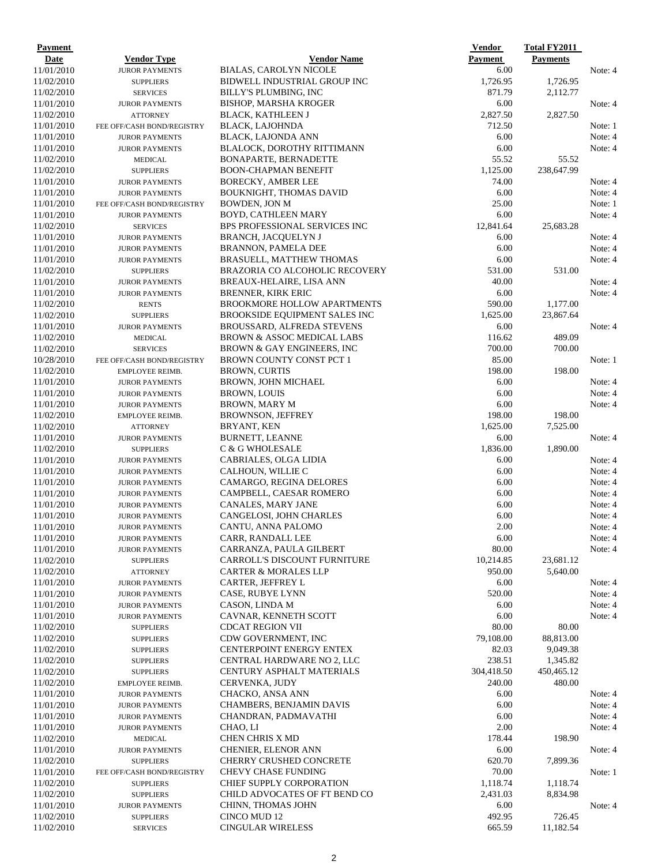| <b>Payment</b> |                            |                                       | <b>Vendor</b>  | <b>Total FY2011</b> |         |
|----------------|----------------------------|---------------------------------------|----------------|---------------------|---------|
| Date           | <b>Vendor Type</b>         | <b>Vendor Name</b>                    | <b>Payment</b> | <b>Payments</b>     |         |
| 11/01/2010     | <b>JUROR PAYMENTS</b>      | <b>BIALAS, CAROLYN NICOLE</b>         | 6.00           |                     | Note: 4 |
| 11/02/2010     | <b>SUPPLIERS</b>           | BIDWELL INDUSTRIAL GROUP INC          | 1,726.95       | 1,726.95            |         |
| 11/02/2010     | <b>SERVICES</b>            | BILLY'S PLUMBING, INC                 | 871.79         | 2,112.77            |         |
| 11/01/2010     | <b>JUROR PAYMENTS</b>      | <b>BISHOP, MARSHA KROGER</b>          | 6.00           |                     | Note: 4 |
| 11/02/2010     | <b>ATTORNEY</b>            | <b>BLACK, KATHLEEN J</b>              | 2,827.50       | 2,827.50            |         |
| 11/01/2010     | FEE OFF/CASH BOND/REGISTRY | <b>BLACK, LAJOHNDA</b>                | 712.50         |                     | Note: 1 |
| 11/01/2010     | <b>JUROR PAYMENTS</b>      | BLACK, LAJONDA ANN                    | 6.00           |                     | Note: 4 |
| 11/01/2010     | <b>JUROR PAYMENTS</b>      | BLALOCK, DOROTHY RITTIMANN            | 6.00           |                     | Note: 4 |
| 11/02/2010     | <b>MEDICAL</b>             | <b>BONAPARTE, BERNADETTE</b>          | 55.52          | 55.52               |         |
| 11/02/2010     | <b>SUPPLIERS</b>           | <b>BOON-CHAPMAN BENEFIT</b>           | 1,125.00       | 238,647.99          |         |
| 11/01/2010     | <b>JUROR PAYMENTS</b>      | <b>BORECKY, AMBER LEE</b>             | 74.00          |                     | Note: 4 |
| 11/01/2010     | <b>JUROR PAYMENTS</b>      | <b>BOUKNIGHT, THOMAS DAVID</b>        | 6.00           |                     | Note: 4 |
| 11/01/2010     | FEE OFF/CASH BOND/REGISTRY | <b>BOWDEN, JON M</b>                  | 25.00          |                     | Note: 1 |
| 11/01/2010     | <b>JUROR PAYMENTS</b>      | BOYD, CATHLEEN MARY                   | 6.00           |                     | Note: 4 |
| 11/02/2010     | <b>SERVICES</b>            | BPS PROFESSIONAL SERVICES INC         | 12,841.64      | 25,683.28           |         |
| 11/01/2010     | <b>JUROR PAYMENTS</b>      | BRANCH, JACQUELYN J                   | 6.00           |                     | Note: 4 |
| 11/01/2010     | <b>JUROR PAYMENTS</b>      | <b>BRANNON, PAMELA DEE</b>            | 6.00           |                     | Note: 4 |
| 11/01/2010     | <b>JUROR PAYMENTS</b>      | <b>BRASUELL, MATTHEW THOMAS</b>       | 6.00           |                     | Note: 4 |
| 11/02/2010     | <b>SUPPLIERS</b>           | BRAZORIA CO ALCOHOLIC RECOVERY        | 531.00         | 531.00              |         |
| 11/01/2010     | <b>JUROR PAYMENTS</b>      | BREAUX-HELAIRE, LISA ANN              | 40.00          |                     | Note: 4 |
| 11/01/2010     | <b>JUROR PAYMENTS</b>      | <b>BRENNER, KIRK ERIC</b>             | 6.00           |                     | Note: 4 |
| 11/02/2010     | <b>RENTS</b>               | <b>BROOKMORE HOLLOW APARTMENTS</b>    | 590.00         | 1.177.00            |         |
| 11/02/2010     | <b>SUPPLIERS</b>           | <b>BROOKSIDE EQUIPMENT SALES INC</b>  | 1,625.00       | 23,867.64           |         |
| 11/01/2010     | <b>JUROR PAYMENTS</b>      | <b>BROUSSARD, ALFREDA STEVENS</b>     | 6.00           |                     | Note: 4 |
| 11/02/2010     | <b>MEDICAL</b>             | BROWN & ASSOC MEDICAL LABS            | 116.62         | 489.09              |         |
| 11/02/2010     | <b>SERVICES</b>            | <b>BROWN &amp; GAY ENGINEERS, INC</b> | 700.00         | 700.00              |         |
| 10/28/2010     | FEE OFF/CASH BOND/REGISTRY | BROWN COUNTY CONST PCT 1              | 85.00          |                     | Note: 1 |
| 11/02/2010     | EMPLOYEE REIMB.            | <b>BROWN, CURTIS</b>                  | 198.00         | 198.00              |         |
| 11/01/2010     | <b>JUROR PAYMENTS</b>      | <b>BROWN, JOHN MICHAEL</b>            | 6.00           |                     | Note: 4 |
| 11/01/2010     | <b>JUROR PAYMENTS</b>      | <b>BROWN, LOUIS</b>                   | 6.00           |                     | Note: 4 |
| 11/01/2010     | <b>JUROR PAYMENTS</b>      | <b>BROWN, MARY M</b>                  | 6.00           |                     | Note: 4 |
| 11/02/2010     | EMPLOYEE REIMB.            | <b>BROWNSON, JEFFREY</b>              | 198.00         | 198.00              |         |
| 11/02/2010     | <b>ATTORNEY</b>            | BRYANT, KEN                           | 1,625.00       | 7,525.00            |         |
| 11/01/2010     | <b>JUROR PAYMENTS</b>      | BURNETT, LEANNE                       | 6.00           |                     | Note: 4 |
| 11/02/2010     | <b>SUPPLIERS</b>           | C & G WHOLESALE                       | 1,836.00       | 1,890.00            |         |
| 11/01/2010     | <b>JUROR PAYMENTS</b>      | CABRIALES, OLGA LIDIA                 | 6.00           |                     | Note: 4 |
| 11/01/2010     | <b>JUROR PAYMENTS</b>      | CALHOUN, WILLIE C                     | 6.00           |                     | Note: 4 |
| 11/01/2010     | <b>JUROR PAYMENTS</b>      | CAMARGO, REGINA DELORES               | 6.00           |                     | Note: 4 |
| 11/01/2010     | <b>JUROR PAYMENTS</b>      | CAMPBELL, CAESAR ROMERO               | 6.00           |                     | Note: 4 |
| 11/01/2010     | <b>JUROR PAYMENTS</b>      | CANALES, MARY JANE                    | 6.00           |                     | Note: 4 |
| 11/01/2010     | <b>JUROR PAYMENTS</b>      | CANGELOSI, JOHN CHARLES               | 6.00           |                     | Note: 4 |
| 11/01/2010     | <b>JUROR PAYMENTS</b>      | CANTU, ANNA PALOMO                    | 2.00           |                     | Note: 4 |
| 11/01/2010     | <b>JUROR PAYMENTS</b>      | CARR, RANDALL LEE                     | $6.00\,$       |                     | Note: 4 |
| 11/01/2010     | <b>JUROR PAYMENTS</b>      | CARRANZA, PAULA GILBERT               | 80.00          |                     | Note: 4 |
| 11/02/2010     | <b>SUPPLIERS</b>           | CARROLL'S DISCOUNT FURNITURE          | 10,214.85      | 23,681.12           |         |
| 11/02/2010     | <b>ATTORNEY</b>            | <b>CARTER &amp; MORALES LLP</b>       | 950.00         | 5,640.00            |         |
| 11/01/2010     | <b>JUROR PAYMENTS</b>      | <b>CARTER, JEFFREY L</b>              | 6.00           |                     | Note: 4 |
| 11/01/2010     | <b>JUROR PAYMENTS</b>      | CASE, RUBYE LYNN                      | 520.00         |                     | Note: 4 |
| 11/01/2010     | <b>JUROR PAYMENTS</b>      | CASON, LINDA M                        | 6.00           |                     | Note: 4 |
| 11/01/2010     | <b>JUROR PAYMENTS</b>      | CAVNAR, KENNETH SCOTT                 | 6.00           |                     | Note: 4 |
| 11/02/2010     | <b>SUPPLIERS</b>           | <b>CDCAT REGION VII</b>               | 80.00          | 80.00               |         |
| 11/02/2010     | <b>SUPPLIERS</b>           | CDW GOVERNMENT, INC                   | 79,108.00      | 88,813.00           |         |
| 11/02/2010     | <b>SUPPLIERS</b>           | <b>CENTERPOINT ENERGY ENTEX</b>       | 82.03          | 9,049.38            |         |
| 11/02/2010     | <b>SUPPLIERS</b>           | CENTRAL HARDWARE NO 2, LLC            | 238.51         | 1,345.82            |         |
| 11/02/2010     | <b>SUPPLIERS</b>           | CENTURY ASPHALT MATERIALS             | 304,418.50     | 450,465.12          |         |
| 11/02/2010     | EMPLOYEE REIMB.            | CERVENKA, JUDY                        | 240.00         | 480.00              |         |
| 11/01/2010     | <b>JUROR PAYMENTS</b>      | CHACKO, ANSA ANN                      | 6.00           |                     | Note: 4 |
| 11/01/2010     | <b>JUROR PAYMENTS</b>      | CHAMBERS, BENJAMIN DAVIS              | 6.00           |                     | Note: 4 |
| 11/01/2010     | <b>JUROR PAYMENTS</b>      | CHANDRAN, PADMAVATHI                  | 6.00           |                     | Note: 4 |
| 11/01/2010     | <b>JUROR PAYMENTS</b>      | CHAO, LI                              | 2.00           |                     | Note: 4 |
| 11/02/2010     | <b>MEDICAL</b>             | CHEN CHRIS X MD                       | 178.44         | 198.90              |         |
| 11/01/2010     | <b>JUROR PAYMENTS</b>      | <b>CHENIER, ELENOR ANN</b>            | 6.00           |                     | Note: 4 |
| 11/02/2010     | <b>SUPPLIERS</b>           | CHERRY CRUSHED CONCRETE               | 620.70         | 7,899.36            |         |
| 11/01/2010     | FEE OFF/CASH BOND/REGISTRY | <b>CHEVY CHASE FUNDING</b>            | 70.00          |                     | Note: 1 |
| 11/02/2010     | <b>SUPPLIERS</b>           | <b>CHIEF SUPPLY CORPORATION</b>       | 1,118.74       | 1,118.74            |         |
| 11/02/2010     | <b>SUPPLIERS</b>           | CHILD ADVOCATES OF FT BEND CO         | 2,431.03       | 8,834.98            |         |
| 11/01/2010     | <b>JUROR PAYMENTS</b>      | CHINN, THOMAS JOHN                    | 6.00           |                     | Note: 4 |
| 11/02/2010     | <b>SUPPLIERS</b>           | CINCO MUD 12                          | 492.95         | 726.45              |         |
| 11/02/2010     | <b>SERVICES</b>            | <b>CINGULAR WIRELESS</b>              | 665.59         | 11,182.54           |         |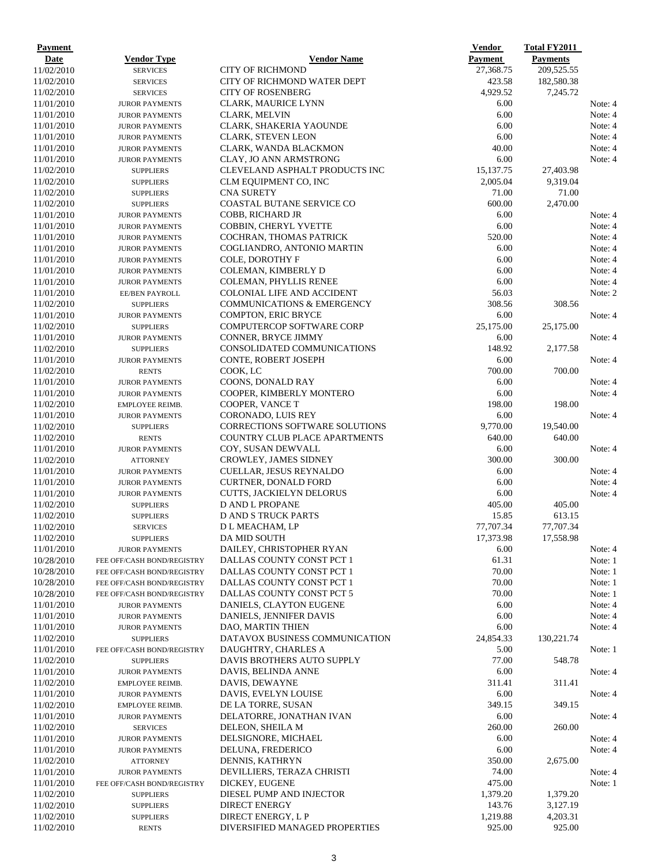| Payment                  |                                                |                                                                | <b>Vendor</b>      | <b>Total FY2011</b>    |                    |
|--------------------------|------------------------------------------------|----------------------------------------------------------------|--------------------|------------------------|--------------------|
| Date                     | <b>Vendor Type</b>                             | <b>Vendor Name</b>                                             | <b>Payment</b>     | <b>Payments</b>        |                    |
| 11/02/2010               | <b>SERVICES</b>                                | <b>CITY OF RICHMOND</b>                                        | 27,368.75          | 209,525.55             |                    |
| 11/02/2010<br>11/02/2010 | <b>SERVICES</b><br><b>SERVICES</b>             | <b>CITY OF RICHMOND WATER DEPT</b><br><b>CITY OF ROSENBERG</b> | 423.58<br>4,929.52 | 182,580.38<br>7,245.72 |                    |
| 11/01/2010               | <b>JUROR PAYMENTS</b>                          | CLARK, MAURICE LYNN                                            | 6.00               |                        | Note: 4            |
| 11/01/2010               | <b>JUROR PAYMENTS</b>                          | <b>CLARK, MELVIN</b>                                           | 6.00               |                        | Note: 4            |
| 11/01/2010               | <b>JUROR PAYMENTS</b>                          | CLARK, SHAKERIA YAOUNDE                                        | 6.00               |                        | Note: 4            |
| 11/01/2010               | <b>JUROR PAYMENTS</b>                          | <b>CLARK, STEVEN LEON</b>                                      | 6.00               |                        | Note: 4            |
| 11/01/2010               | <b>JUROR PAYMENTS</b>                          | CLARK, WANDA BLACKMON                                          | 40.00              |                        | Note: 4            |
| 11/01/2010               | <b>JUROR PAYMENTS</b>                          | CLAY, JO ANN ARMSTRONG                                         | 6.00               |                        | Note: 4            |
| 11/02/2010               | <b>SUPPLIERS</b>                               | CLEVELAND ASPHALT PRODUCTS INC                                 | 15,137.75          | 27,403.98              |                    |
| 11/02/2010               | <b>SUPPLIERS</b>                               | CLM EQUIPMENT CO, INC                                          | 2,005.04           | 9,319.04               |                    |
| 11/02/2010               | <b>SUPPLIERS</b>                               | <b>CNA SURETY</b>                                              | 71.00              | 71.00                  |                    |
| 11/02/2010               | <b>SUPPLIERS</b>                               | <b>COASTAL BUTANE SERVICE CO</b>                               | 600.00             | 2,470.00               |                    |
| 11/01/2010               | <b>JUROR PAYMENTS</b>                          | COBB, RICHARD JR                                               | 6.00               |                        | Note: 4            |
| 11/01/2010               | <b>JUROR PAYMENTS</b>                          | <b>COBBIN, CHERYL YVETTE</b>                                   | 6.00               |                        | Note: 4            |
| 11/01/2010               | <b>JUROR PAYMENTS</b>                          | COCHRAN, THOMAS PATRICK                                        | 520.00             |                        | Note: 4            |
| 11/01/2010               | <b>JUROR PAYMENTS</b>                          | COGLIANDRO, ANTONIO MARTIN                                     | 6.00               |                        | Note: 4            |
| 11/01/2010<br>11/01/2010 | <b>JUROR PAYMENTS</b>                          | COLE, DOROTHY F                                                | 6.00<br>6.00       |                        | Note: 4<br>Note: 4 |
| 11/01/2010               | <b>JUROR PAYMENTS</b><br><b>JUROR PAYMENTS</b> | COLEMAN, KIMBERLY D<br><b>COLEMAN, PHYLLIS RENEE</b>           | 6.00               |                        | Note: 4            |
| 11/01/2010               | EE/BEN PAYROLL                                 | <b>COLONIAL LIFE AND ACCIDENT</b>                              | 56.03              |                        | Note: 2            |
| 11/02/2010               | <b>SUPPLIERS</b>                               | <b>COMMUNICATIONS &amp; EMERGENCY</b>                          | 308.56             | 308.56                 |                    |
| 11/01/2010               | <b>JUROR PAYMENTS</b>                          | COMPTON, ERIC BRYCE                                            | 6.00               |                        | Note: 4            |
| 11/02/2010               | <b>SUPPLIERS</b>                               | <b>COMPUTERCOP SOFTWARE CORP</b>                               | 25,175.00          | 25,175.00              |                    |
| 11/01/2010               | <b>JUROR PAYMENTS</b>                          | CONNER, BRYCE JIMMY                                            | 6.00               |                        | Note: 4            |
| 11/02/2010               | <b>SUPPLIERS</b>                               | CONSOLIDATED COMMUNICATIONS                                    | 148.92             | 2,177.58               |                    |
| 11/01/2010               | <b>JUROR PAYMENTS</b>                          | <b>CONTE, ROBERT JOSEPH</b>                                    | 6.00               |                        | Note: 4            |
| 11/02/2010               | <b>RENTS</b>                                   | COOK, LC                                                       | 700.00             | 700.00                 |                    |
| 11/01/2010               | <b>JUROR PAYMENTS</b>                          | COONS, DONALD RAY                                              | 6.00               |                        | Note: 4            |
| 11/01/2010               | <b>JUROR PAYMENTS</b>                          | COOPER, KIMBERLY MONTERO                                       | 6.00               |                        | Note: 4            |
| 11/02/2010               | EMPLOYEE REIMB.                                | COOPER, VANCE T                                                | 198.00             | 198.00                 |                    |
| 11/01/2010               | <b>JUROR PAYMENTS</b>                          | CORONADO, LUIS REY                                             | 6.00               |                        | Note: 4            |
| 11/02/2010               | <b>SUPPLIERS</b>                               | CORRECTIONS SOFTWARE SOLUTIONS                                 | 9,770.00           | 19,540.00              |                    |
| 11/02/2010               | <b>RENTS</b>                                   | COUNTRY CLUB PLACE APARTMENTS                                  | 640.00<br>6.00     | 640.00                 |                    |
| 11/01/2010<br>11/02/2010 | <b>JUROR PAYMENTS</b><br><b>ATTORNEY</b>       | COY, SUSAN DEWVALL<br><b>CROWLEY, JAMES SIDNEY</b>             | 300.00             | 300.00                 | Note: 4            |
| 11/01/2010               | <b>JUROR PAYMENTS</b>                          | CUELLAR, JESUS REYNALDO                                        | 6.00               |                        | Note: 4            |
| 11/01/2010               | <b>JUROR PAYMENTS</b>                          | <b>CURTNER, DONALD FORD</b>                                    | 6.00               |                        | Note: 4            |
| 11/01/2010               | <b>JUROR PAYMENTS</b>                          | <b>CUTTS, JACKIELYN DELORUS</b>                                | 6.00               |                        | Note: 4            |
| 11/02/2010               | <b>SUPPLIERS</b>                               | <b>D AND L PROPANE</b>                                         | 405.00             | 405.00                 |                    |
| 11/02/2010               | <b>SUPPLIERS</b>                               | <b>D AND S TRUCK PARTS</b>                                     | 15.85              | 613.15                 |                    |
| 11/02/2010               | <b>SERVICES</b>                                | D L MEACHAM, LP                                                | 77,707.34          | 77,707.34              |                    |
| 11/02/2010               | <b>SUPPLIERS</b>                               | DA MID SOUTH                                                   | 17,373.98          | 17,558.98              |                    |
| 11/01/2010               | <b>JUROR PAYMENTS</b>                          | DAILEY, CHRISTOPHER RYAN                                       | 6.00               |                        | Note: 4            |
| 10/28/2010               | FEE OFF/CASH BOND/REGISTRY                     | DALLAS COUNTY CONST PCT 1                                      | 61.31              |                        | Note: 1            |
| 10/28/2010               | FEE OFF/CASH BOND/REGISTRY                     | DALLAS COUNTY CONST PCT 1                                      | 70.00              |                        | Note: 1            |
| 10/28/2010               | FEE OFF/CASH BOND/REGISTRY                     | DALLAS COUNTY CONST PCT 1                                      | 70.00              |                        | Note: 1            |
| 10/28/2010               | FEE OFF/CASH BOND/REGISTRY                     | DALLAS COUNTY CONST PCT 5                                      | 70.00              |                        | Note: 1            |
| 11/01/2010               | <b>JUROR PAYMENTS</b>                          | DANIELS, CLAYTON EUGENE                                        | 6.00               |                        | Note: 4            |
| 11/01/2010<br>11/01/2010 | <b>JUROR PAYMENTS</b>                          | DANIELS, JENNIFER DAVIS<br><b>DAO, MARTIN THIEN</b>            | 6.00<br>6.00       |                        | Note: 4<br>Note: 4 |
| 11/02/2010               | <b>JUROR PAYMENTS</b><br><b>SUPPLIERS</b>      | DATAVOX BUSINESS COMMUNICATION                                 | 24,854.33          | 130,221.74             |                    |
| 11/01/2010               | FEE OFF/CASH BOND/REGISTRY                     | DAUGHTRY, CHARLES A                                            | 5.00               |                        | Note: 1            |
| 11/02/2010               | <b>SUPPLIERS</b>                               | DAVIS BROTHERS AUTO SUPPLY                                     | 77.00              | 548.78                 |                    |
| 11/01/2010               | <b>JUROR PAYMENTS</b>                          | DAVIS, BELINDA ANNE                                            | 6.00               |                        | Note: 4            |
| 11/02/2010               | EMPLOYEE REIMB.                                | DAVIS, DEWAYNE                                                 | 311.41             | 311.41                 |                    |
| 11/01/2010               | <b>JUROR PAYMENTS</b>                          | DAVIS, EVELYN LOUISE                                           | 6.00               |                        | Note: 4            |
| 11/02/2010               | EMPLOYEE REIMB.                                | DE LA TORRE, SUSAN                                             | 349.15             | 349.15                 |                    |
| 11/01/2010               | <b>JUROR PAYMENTS</b>                          | DELATORRE, JONATHAN IVAN                                       | 6.00               |                        | Note: 4            |
| 11/02/2010               | <b>SERVICES</b>                                | DELEON, SHEILA M                                               | 260.00             | 260.00                 |                    |
| 11/01/2010               | <b>JUROR PAYMENTS</b>                          | DELSIGNORE, MICHAEL                                            | 6.00               |                        | Note: 4            |
| 11/01/2010               | <b>JUROR PAYMENTS</b>                          | DELUNA, FREDERICO                                              | 6.00               |                        | Note: 4            |
| 11/02/2010               | <b>ATTORNEY</b>                                | DENNIS, KATHRYN                                                | 350.00             | 2,675.00               |                    |
| 11/01/2010               | <b>JUROR PAYMENTS</b>                          | DEVILLIERS, TERAZA CHRISTI                                     | 74.00              |                        | Note: 4            |
| 11/01/2010               | FEE OFF/CASH BOND/REGISTRY                     | DICKEY, EUGENE                                                 | 475.00             |                        | Note: 1            |
| 11/02/2010<br>11/02/2010 | <b>SUPPLIERS</b><br><b>SUPPLIERS</b>           | DIESEL PUMP AND INJECTOR<br><b>DIRECT ENERGY</b>               | 1,379.20<br>143.76 | 1,379.20<br>3,127.19   |                    |
| 11/02/2010               | <b>SUPPLIERS</b>                               | DIRECT ENERGY, L P                                             | 1,219.88           | 4,203.31               |                    |
| 11/02/2010               | <b>RENTS</b>                                   | DIVERSIFIED MANAGED PROPERTIES                                 | 925.00             | 925.00                 |                    |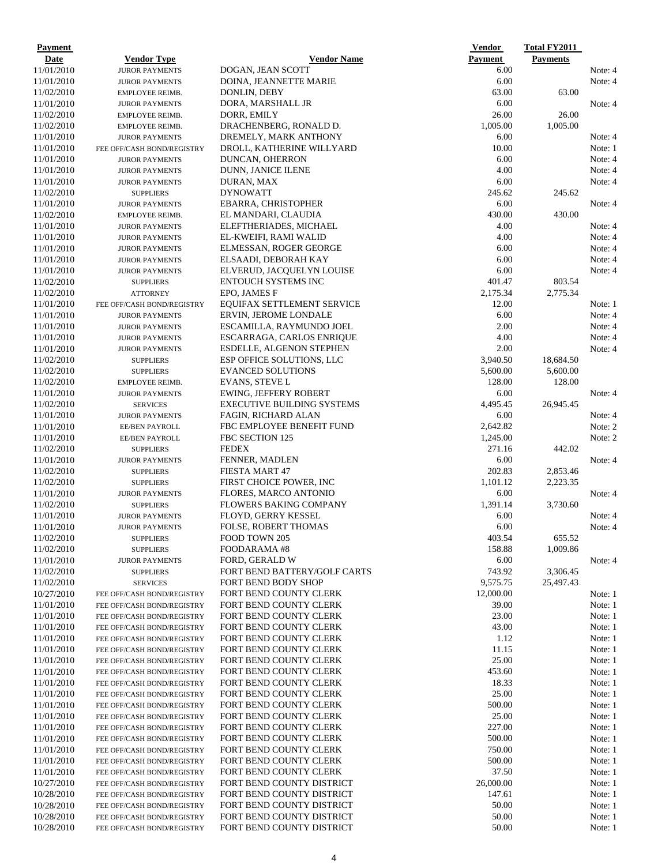| Payment    |                            |                                   | <b>Vendor</b> | <b>Total FY2011</b> |         |
|------------|----------------------------|-----------------------------------|---------------|---------------------|---------|
| Date       | <b>Vendor Type</b>         | <b>Vendor Name</b>                | Payment       | <b>Payments</b>     |         |
| 11/01/2010 | <b>JUROR PAYMENTS</b>      | DOGAN, JEAN SCOTT                 | 6.00          |                     | Note: 4 |
| 11/01/2010 | <b>JUROR PAYMENTS</b>      | DOINA, JEANNETTE MARIE            | 6.00          |                     | Note: 4 |
| 11/02/2010 | EMPLOYEE REIMB.            | DONLIN, DEBY                      | 63.00         | 63.00               |         |
| 11/01/2010 | <b>JUROR PAYMENTS</b>      | DORA, MARSHALL JR                 | 6.00          |                     | Note: 4 |
| 11/02/2010 | EMPLOYEE REIMB.            | DORR, EMILY                       | 26.00         | 26.00               |         |
| 11/02/2010 | EMPLOYEE REIMB.            | DRACHENBERG, RONALD D.            | 1,005.00      | 1,005.00            |         |
| 11/01/2010 | <b>JUROR PAYMENTS</b>      | DREMELY, MARK ANTHONY             | 6.00          |                     | Note: 4 |
| 11/01/2010 | FEE OFF/CASH BOND/REGISTRY | DROLL, KATHERINE WILLYARD         | 10.00         |                     | Note: 1 |
| 11/01/2010 | <b>JUROR PAYMENTS</b>      | DUNCAN, OHERRON                   | 6.00          |                     | Note: 4 |
| 11/01/2010 | <b>JUROR PAYMENTS</b>      | <b>DUNN, JANICE ILENE</b>         | 4.00          |                     | Note: 4 |
| 11/01/2010 | <b>JUROR PAYMENTS</b>      | DURAN, MAX                        | 6.00          |                     | Note: 4 |
| 11/02/2010 | <b>SUPPLIERS</b>           | <b>DYNOWATT</b>                   | 245.62        | 245.62              |         |
| 11/01/2010 | <b>JUROR PAYMENTS</b>      | EBARRA, CHRISTOPHER               | 6.00          |                     | Note: 4 |
| 11/02/2010 | EMPLOYEE REIMB.            | EL MANDARI, CLAUDIA               | 430.00        | 430.00              |         |
| 11/01/2010 | <b>JUROR PAYMENTS</b>      | ELEFTHERIADES, MICHAEL            | 4.00          |                     | Note: 4 |
| 11/01/2010 | <b>JUROR PAYMENTS</b>      | EL-KWEIFI, RAMI WALID             | 4.00          |                     | Note: 4 |
| 11/01/2010 | <b>JUROR PAYMENTS</b>      | ELMESSAN, ROGER GEORGE            | 6.00          |                     | Note: 4 |
| 11/01/2010 | <b>JUROR PAYMENTS</b>      | ELSAADI, DEBORAH KAY              | 6.00          |                     | Note: 4 |
| 11/01/2010 | <b>JUROR PAYMENTS</b>      | ELVERUD, JACQUELYN LOUISE         | 6.00          |                     | Note: 4 |
| 11/02/2010 | <b>SUPPLIERS</b>           | <b>ENTOUCH SYSTEMS INC</b>        | 401.47        | 803.54              |         |
| 11/02/2010 | <b>ATTORNEY</b>            | EPO, JAMES F                      | 2,175.34      | 2,775.34            |         |
| 11/01/2010 | FEE OFF/CASH BOND/REGISTRY | EQUIFAX SETTLEMENT SERVICE        | 12.00         |                     | Note: 1 |
| 11/01/2010 | <b>JUROR PAYMENTS</b>      | ERVIN, JEROME LONDALE             | 6.00          |                     | Note: 4 |
| 11/01/2010 | <b>JUROR PAYMENTS</b>      | ESCAMILLA, RAYMUNDO JOEL          | 2.00          |                     | Note: 4 |
| 11/01/2010 | <b>JUROR PAYMENTS</b>      | ESCARRAGA, CARLOS ENRIQUE         | 4.00          |                     | Note: 4 |
| 11/01/2010 | <b>JUROR PAYMENTS</b>      | <b>ESDELLE, ALGENON STEPHEN</b>   | 2.00          |                     | Note: 4 |
| 11/02/2010 | <b>SUPPLIERS</b>           | ESP OFFICE SOLUTIONS, LLC         | 3,940.50      | 18,684.50           |         |
| 11/02/2010 | <b>SUPPLIERS</b>           | <b>EVANCED SOLUTIONS</b>          | 5,600.00      | 5,600.00            |         |
| 11/02/2010 | EMPLOYEE REIMB.            | <b>EVANS, STEVE L</b>             | 128.00        | 128.00              |         |
| 11/01/2010 | <b>JUROR PAYMENTS</b>      | <b>EWING, JEFFERY ROBERT</b>      | 6.00          |                     | Note: 4 |
| 11/02/2010 | <b>SERVICES</b>            | <b>EXECUTIVE BUILDING SYSTEMS</b> | 4,495.45      | 26,945.45           |         |
| 11/01/2010 | <b>JUROR PAYMENTS</b>      | FAGIN, RICHARD ALAN               | 6.00          |                     | Note: 4 |
| 11/01/2010 | EE/BEN PAYROLL             | FBC EMPLOYEE BENEFIT FUND         | 2,642.82      |                     | Note: 2 |
| 11/01/2010 | EE/BEN PAYROLL             | FBC SECTION 125                   | 1,245.00      |                     | Note: 2 |
| 11/02/2010 | <b>SUPPLIERS</b>           | <b>FEDEX</b>                      | 271.16        | 442.02              |         |
| 11/01/2010 | <b>JUROR PAYMENTS</b>      | <b>FENNER, MADLEN</b>             | 6.00          |                     | Note: 4 |
| 11/02/2010 | <b>SUPPLIERS</b>           | FIESTA MART 47                    | 202.83        | 2,853.46            |         |
| 11/02/2010 | <b>SUPPLIERS</b>           | FIRST CHOICE POWER, INC           | 1,101.12      | 2,223.35            |         |
| 11/01/2010 | <b>JUROR PAYMENTS</b>      | FLORES, MARCO ANTONIO             | 6.00          |                     | Note: 4 |
| 11/02/2010 | <b>SUPPLIERS</b>           | <b>FLOWERS BAKING COMPANY</b>     | 1,391.14      | 3,730.60            |         |
| 11/01/2010 | <b>JUROR PAYMENTS</b>      | FLOYD, GERRY KESSEL               | 6.00          |                     | Note: 4 |
| 11/01/2010 | <b>JUROR PAYMENTS</b>      | <b>FOLSE, ROBERT THOMAS</b>       | 6.00          |                     | Note: 4 |
| 11/02/2010 | <b>SUPPLIERS</b>           | FOOD TOWN 205                     | 403.54        | 655.52              |         |
| 11/02/2010 | <b>SUPPLIERS</b>           | FOODARAMA#8                       | 158.88        | 1,009.86            |         |
| 11/01/2010 | <b>JUROR PAYMENTS</b>      | FORD, GERALD W                    | 6.00          |                     | Note: 4 |
| 11/02/2010 | <b>SUPPLIERS</b>           | FORT BEND BATTERY/GOLF CARTS      | 743.92        | 3,306.45            |         |
| 11/02/2010 | <b>SERVICES</b>            | FORT BEND BODY SHOP               | 9,575.75      | 25,497.43           |         |
| 10/27/2010 | FEE OFF/CASH BOND/REGISTRY | FORT BEND COUNTY CLERK            | 12,000.00     |                     | Note: 1 |
| 11/01/2010 | FEE OFF/CASH BOND/REGISTRY | FORT BEND COUNTY CLERK            | 39.00         |                     | Note: 1 |
| 11/01/2010 | FEE OFF/CASH BOND/REGISTRY | FORT BEND COUNTY CLERK            | 23.00         |                     | Note: 1 |
| 11/01/2010 | FEE OFF/CASH BOND/REGISTRY | FORT BEND COUNTY CLERK            | 43.00         |                     | Note: 1 |
| 11/01/2010 | FEE OFF/CASH BOND/REGISTRY | FORT BEND COUNTY CLERK            | 1.12          |                     | Note: 1 |
| 11/01/2010 | FEE OFF/CASH BOND/REGISTRY | FORT BEND COUNTY CLERK            | 11.15         |                     | Note: 1 |
| 11/01/2010 | FEE OFF/CASH BOND/REGISTRY | FORT BEND COUNTY CLERK            | 25.00         |                     | Note: 1 |
| 11/01/2010 | FEE OFF/CASH BOND/REGISTRY | FORT BEND COUNTY CLERK            | 453.60        |                     | Note: 1 |
| 11/01/2010 | FEE OFF/CASH BOND/REGISTRY | FORT BEND COUNTY CLERK            | 18.33         |                     | Note: 1 |
| 11/01/2010 | FEE OFF/CASH BOND/REGISTRY | FORT BEND COUNTY CLERK            | 25.00         |                     | Note: 1 |
| 11/01/2010 | FEE OFF/CASH BOND/REGISTRY | FORT BEND COUNTY CLERK            | 500.00        |                     | Note: 1 |
| 11/01/2010 | FEE OFF/CASH BOND/REGISTRY | FORT BEND COUNTY CLERK            | 25.00         |                     | Note: 1 |
| 11/01/2010 | FEE OFF/CASH BOND/REGISTRY | FORT BEND COUNTY CLERK            | 227.00        |                     | Note: 1 |
| 11/01/2010 | FEE OFF/CASH BOND/REGISTRY | FORT BEND COUNTY CLERK            | 500.00        |                     | Note: 1 |
| 11/01/2010 | FEE OFF/CASH BOND/REGISTRY | FORT BEND COUNTY CLERK            | 750.00        |                     | Note: 1 |
| 11/01/2010 | FEE OFF/CASH BOND/REGISTRY | FORT BEND COUNTY CLERK            | 500.00        |                     | Note: 1 |
| 11/01/2010 | FEE OFF/CASH BOND/REGISTRY | FORT BEND COUNTY CLERK            | 37.50         |                     | Note: 1 |
| 10/27/2010 | FEE OFF/CASH BOND/REGISTRY | FORT BEND COUNTY DISTRICT         | 26,000.00     |                     | Note: 1 |
| 10/28/2010 | FEE OFF/CASH BOND/REGISTRY | FORT BEND COUNTY DISTRICT         | 147.61        |                     | Note: 1 |
| 10/28/2010 | FEE OFF/CASH BOND/REGISTRY | FORT BEND COUNTY DISTRICT         | 50.00         |                     | Note: 1 |
| 10/28/2010 | FEE OFF/CASH BOND/REGISTRY | FORT BEND COUNTY DISTRICT         | 50.00         |                     | Note: 1 |
| 10/28/2010 | FEE OFF/CASH BOND/REGISTRY | FORT BEND COUNTY DISTRICT         | 50.00         |                     | Note: 1 |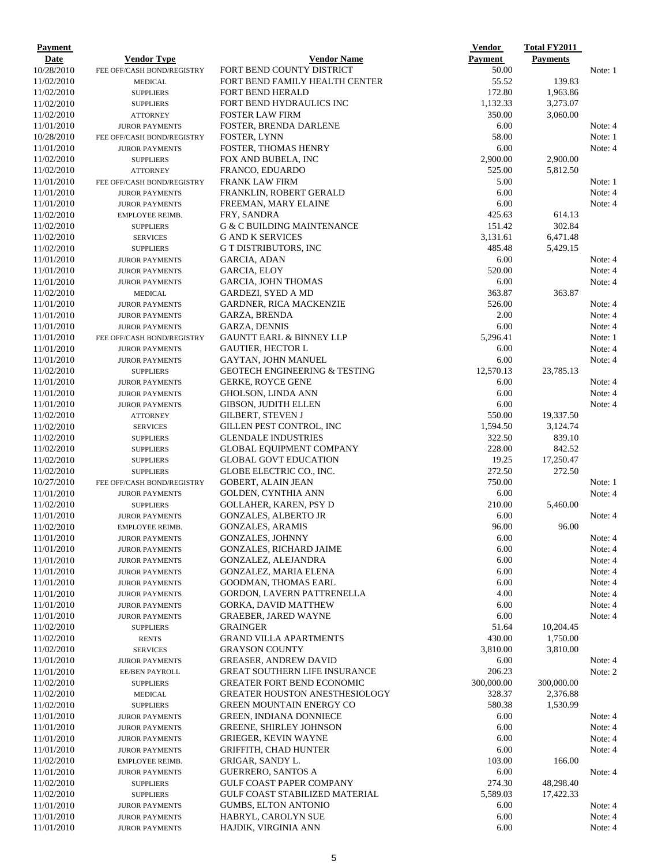| Payment                  |                                                |                                                               | <b>Vendor</b>      | <b>Total FY2011</b> |                    |
|--------------------------|------------------------------------------------|---------------------------------------------------------------|--------------------|---------------------|--------------------|
| Date                     | <b>Vendor Type</b>                             | <b>Vendor Name</b>                                            | <b>Payment</b>     | <b>Payments</b>     |                    |
| 10/28/2010               | FEE OFF/CASH BOND/REGISTRY                     | FORT BEND COUNTY DISTRICT                                     | 50.00              |                     | Note: 1            |
| 11/02/2010               | <b>MEDICAL</b>                                 | FORT BEND FAMILY HEALTH CENTER                                | 55.52              | 139.83              |                    |
| 11/02/2010               | <b>SUPPLIERS</b>                               | <b>FORT BEND HERALD</b>                                       | 172.80             | 1,963.86            |                    |
| 11/02/2010               | <b>SUPPLIERS</b>                               | FORT BEND HYDRAULICS INC                                      | 1,132.33           | 3,273.07            |                    |
| 11/02/2010               | <b>ATTORNEY</b>                                | <b>FOSTER LAW FIRM</b>                                        | 350.00             | 3,060.00            |                    |
| 11/01/2010               | <b>JUROR PAYMENTS</b>                          | FOSTER, BRENDA DARLENE                                        | 6.00               |                     | Note: 4            |
| 10/28/2010               | FEE OFF/CASH BOND/REGISTRY                     | FOSTER, LYNN                                                  | 58.00<br>6.00      |                     | Note: 1<br>Note: 4 |
| 11/01/2010               | <b>JUROR PAYMENTS</b>                          | <b>FOSTER, THOMAS HENRY</b>                                   | 2,900.00           | 2,900.00            |                    |
| 11/02/2010<br>11/02/2010 | <b>SUPPLIERS</b><br><b>ATTORNEY</b>            | FOX AND BUBELA, INC<br>FRANCO, EDUARDO                        | 525.00             | 5,812.50            |                    |
| 11/01/2010               | FEE OFF/CASH BOND/REGISTRY                     | <b>FRANK LAW FIRM</b>                                         | 5.00               |                     | Note: 1            |
| 11/01/2010               | <b>JUROR PAYMENTS</b>                          | FRANKLIN, ROBERT GERALD                                       | 6.00               |                     | Note: 4            |
| 11/01/2010               | <b>JUROR PAYMENTS</b>                          | FREEMAN, MARY ELAINE                                          | 6.00               |                     | Note: 4            |
| 11/02/2010               | EMPLOYEE REIMB.                                | FRY, SANDRA                                                   | 425.63             | 614.13              |                    |
| 11/02/2010               | <b>SUPPLIERS</b>                               | <b>G &amp; C BUILDING MAINTENANCE</b>                         | 151.42             | 302.84              |                    |
| 11/02/2010               | <b>SERVICES</b>                                | <b>G AND K SERVICES</b>                                       | 3,131.61           | 6,471.48            |                    |
| 11/02/2010               | <b>SUPPLIERS</b>                               | G T DISTRIBUTORS, INC                                         | 485.48             | 5,429.15            |                    |
| 11/01/2010               | <b>JUROR PAYMENTS</b>                          | GARCIA, ADAN                                                  | 6.00               |                     | Note: 4            |
| 11/01/2010               | <b>JUROR PAYMENTS</b>                          | GARCIA, ELOY                                                  | 520.00             |                     | Note: 4            |
| 11/01/2010               | <b>JUROR PAYMENTS</b>                          | <b>GARCIA, JOHN THOMAS</b>                                    | 6.00               |                     | Note: 4            |
| 11/02/2010               | <b>MEDICAL</b>                                 | GARDEZI, SYED A MD                                            | 363.87             | 363.87              |                    |
| 11/01/2010               | <b>JUROR PAYMENTS</b>                          | <b>GARDNER, RICA MACKENZIE</b>                                | 526.00             |                     | Note: 4            |
| 11/01/2010               | <b>JUROR PAYMENTS</b>                          | <b>GARZA, BRENDA</b>                                          | 2.00               |                     | Note: 4            |
| 11/01/2010               | <b>JUROR PAYMENTS</b>                          | GARZA, DENNIS                                                 | 6.00               |                     | Note: 4            |
| 11/01/2010               | FEE OFF/CASH BOND/REGISTRY                     | <b>GAUNTT EARL &amp; BINNEY LLP</b>                           | 5,296.41           |                     | Note: 1            |
| 11/01/2010               | <b>JUROR PAYMENTS</b>                          | <b>GAUTIER, HECTOR L</b>                                      | 6.00               |                     | Note: 4            |
| 11/01/2010               | <b>JUROR PAYMENTS</b>                          | <b>GAYTAN, JOHN MANUEL</b>                                    | 6.00               |                     | Note: 4            |
| 11/02/2010               | <b>SUPPLIERS</b>                               | <b>GEOTECH ENGINEERING &amp; TESTING</b>                      | 12,570.13          | 23,785.13           |                    |
| 11/01/2010               | <b>JUROR PAYMENTS</b>                          | <b>GERKE, ROYCE GENE</b>                                      | 6.00               |                     | Note: 4            |
| 11/01/2010               | <b>JUROR PAYMENTS</b>                          | GHOLSON, LINDA ANN                                            | 6.00               |                     | Note: 4            |
| 11/01/2010               | <b>JUROR PAYMENTS</b>                          | GIBSON, JUDITH ELLEN                                          | 6.00               |                     | Note: 4            |
| 11/02/2010               | <b>ATTORNEY</b>                                | <b>GILBERT, STEVEN J</b>                                      | 550.00             | 19,337.50           |                    |
| 11/02/2010               | <b>SERVICES</b>                                | GILLEN PEST CONTROL, INC                                      | 1,594.50<br>322.50 | 3,124.74<br>839.10  |                    |
| 11/02/2010<br>11/02/2010 | <b>SUPPLIERS</b><br><b>SUPPLIERS</b>           | <b>GLENDALE INDUSTRIES</b><br><b>GLOBAL EQUIPMENT COMPANY</b> | 228.00             | 842.52              |                    |
| 11/02/2010               | <b>SUPPLIERS</b>                               | <b>GLOBAL GOVT EDUCATION</b>                                  | 19.25              | 17,250.47           |                    |
| 11/02/2010               | <b>SUPPLIERS</b>                               | GLOBE ELECTRIC CO., INC.                                      | 272.50             | 272.50              |                    |
| 10/27/2010               | FEE OFF/CASH BOND/REGISTRY                     | <b>GOBERT, ALAIN JEAN</b>                                     | 750.00             |                     | Note: 1            |
| 11/01/2010               | <b>JUROR PAYMENTS</b>                          | <b>GOLDEN, CYNTHIA ANN</b>                                    | 6.00               |                     | Note: 4            |
| 11/02/2010               | <b>SUPPLIERS</b>                               | GOLLAHER, KAREN, PSY D                                        | 210.00             | 5,460.00            |                    |
| 11/01/2010               | <b>JUROR PAYMENTS</b>                          | <b>GONZALES, ALBERTO JR</b>                                   | 6.00               |                     | Note: 4            |
| 11/02/2010               | <b>EMPLOYEE REIMB.</b>                         | <b>GONZALES, ARAMIS</b>                                       | 96.00              | 96.00               |                    |
| 11/01/2010               | <b>JUROR PAYMENTS</b>                          | <b>GONZALES, JOHNNY</b>                                       | 6.00               |                     | Note: 4            |
| 11/01/2010               | <b>JUROR PAYMENTS</b>                          | <b>GONZALES, RICHARD JAIME</b>                                | 6.00               |                     | Note: 4            |
| 11/01/2010               | <b>JUROR PAYMENTS</b>                          | GONZALEZ, ALEJANDRA                                           | 6.00               |                     | Note: 4            |
| 11/01/2010               | <b>JUROR PAYMENTS</b>                          | GONZALEZ, MARIA ELENA                                         | 6.00               |                     | Note: 4            |
| 11/01/2010               | <b>JUROR PAYMENTS</b>                          | <b>GOODMAN, THOMAS EARL</b>                                   | 6.00               |                     | Note: 4            |
| 11/01/2010               | <b>JUROR PAYMENTS</b>                          | GORDON, LAVERN PATTRENELLA                                    | 4.00               |                     | Note: 4            |
| 11/01/2010               | <b>JUROR PAYMENTS</b>                          | <b>GORKA, DAVID MATTHEW</b>                                   | 6.00               |                     | Note: 4            |
| 11/01/2010               | <b>JUROR PAYMENTS</b>                          | <b>GRAEBER, JARED WAYNE</b>                                   | 6.00               |                     | Note: 4            |
| 11/02/2010               | <b>SUPPLIERS</b>                               | <b>GRAINGER</b>                                               | 51.64              | 10,204.45           |                    |
| 11/02/2010               | <b>RENTS</b>                                   | <b>GRAND VILLA APARTMENTS</b>                                 | 430.00             | 1,750.00            |                    |
| 11/02/2010               | <b>SERVICES</b>                                | <b>GRAYSON COUNTY</b>                                         | 3,810.00           | 3,810.00            |                    |
| 11/01/2010               | <b>JUROR PAYMENTS</b>                          | <b>GREASER, ANDREW DAVID</b>                                  | 6.00               |                     | Note: 4            |
| 11/01/2010               | EE/BEN PAYROLL                                 | <b>GREAT SOUTHERN LIFE INSURANCE</b>                          | 206.23             |                     | Note: 2            |
| 11/02/2010               | <b>SUPPLIERS</b>                               | <b>GREATER FORT BEND ECONOMIC</b>                             | 300,000.00         | 300,000.00          |                    |
| 11/02/2010               | <b>MEDICAL</b>                                 | <b>GREATER HOUSTON ANESTHESIOLOGY</b>                         | 328.37             | 2,376.88            |                    |
| 11/02/2010               | <b>SUPPLIERS</b>                               | <b>GREEN MOUNTAIN ENERGY CO</b>                               | 580.38             | 1,530.99            |                    |
| 11/01/2010               | <b>JUROR PAYMENTS</b>                          | <b>GREEN, INDIANA DONNIECE</b>                                | 6.00<br>6.00       |                     | Note: 4            |
| 11/01/2010<br>11/01/2010 | <b>JUROR PAYMENTS</b>                          | <b>GREENE, SHIRLEY JOHNSON</b><br><b>GRIEGER, KEVIN WAYNE</b> | 6.00               |                     | Note: 4<br>Note: 4 |
| 11/01/2010               | <b>JUROR PAYMENTS</b><br><b>JUROR PAYMENTS</b> | GRIFFITH, CHAD HUNTER                                         | 6.00               |                     | Note: 4            |
| 11/02/2010               | EMPLOYEE REIMB.                                | GRIGAR, SANDY L.                                              | 103.00             | 166.00              |                    |
| 11/01/2010               | <b>JUROR PAYMENTS</b>                          | <b>GUERRERO, SANTOS A</b>                                     | 6.00               |                     | Note: 4            |
| 11/02/2010               | <b>SUPPLIERS</b>                               | <b>GULF COAST PAPER COMPANY</b>                               | 274.30             | 48,298.40           |                    |
| 11/02/2010               | <b>SUPPLIERS</b>                               | <b>GULF COAST STABILIZED MATERIAL</b>                         | 5,589.03           | 17,422.33           |                    |
| 11/01/2010               | <b>JUROR PAYMENTS</b>                          | <b>GUMBS, ELTON ANTONIO</b>                                   | 6.00               |                     | Note: 4            |
| 11/01/2010               | <b>JUROR PAYMENTS</b>                          | HABRYL, CAROLYN SUE                                           | 6.00               |                     | Note: 4            |
| 11/01/2010               | <b>JUROR PAYMENTS</b>                          | HAJDIK, VIRGINIA ANN                                          | 6.00               |                     | Note: 4            |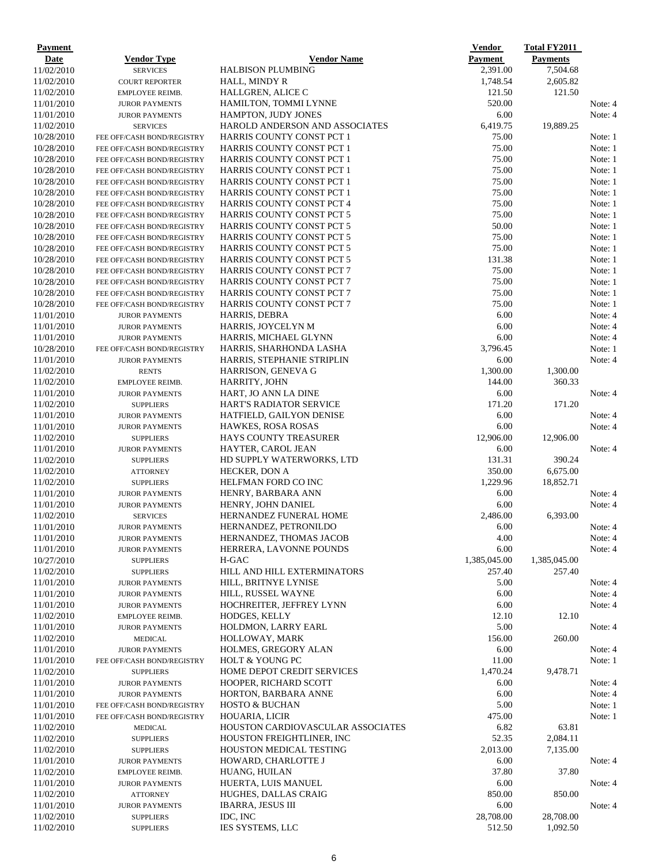| Date<br><b>Vendor Name</b><br>Payment<br><b>Payments</b><br><b>Vendor Type</b><br>11/02/2010<br>2,391.00<br>7,504.68<br><b>HALBISON PLUMBING</b><br><b>SERVICES</b><br>11/02/2010<br>HALL, MINDY R<br>1,748.54<br>2,605.82<br><b>COURT REPORTER</b><br>11/02/2010<br>121.50<br>HALLGREN, ALICE C<br>121.50<br>EMPLOYEE REIMB.<br>520.00<br>11/01/2010<br>HAMILTON, TOMMI LYNNE<br>Note: 4<br><b>JUROR PAYMENTS</b><br>6.00<br>11/01/2010<br><b>HAMPTON, JUDY JONES</b><br>Note: 4<br><b>JUROR PAYMENTS</b><br>11/02/2010<br>HAROLD ANDERSON AND ASSOCIATES<br>6,419.75<br>19,889.25<br><b>SERVICES</b><br>Note: 1<br>10/28/2010<br>HARRIS COUNTY CONST PCT 1<br>75.00<br>FEE OFF/CASH BOND/REGISTRY<br>10/28/2010<br>75.00<br>Note: 1<br>HARRIS COUNTY CONST PCT 1<br>FEE OFF/CASH BOND/REGISTRY<br>10/28/2010<br>75.00<br>Note: 1<br><b>HARRIS COUNTY CONST PCT 1</b><br>FEE OFF/CASH BOND/REGISTRY<br>75.00<br>10/28/2010<br><b>HARRIS COUNTY CONST PCT 1</b><br>Note: 1<br>FEE OFF/CASH BOND/REGISTRY<br>75.00<br>10/28/2010<br><b>HARRIS COUNTY CONST PCT 1</b><br>Note: 1<br>FEE OFF/CASH BOND/REGISTRY<br>10/28/2010<br>75.00<br>HARRIS COUNTY CONST PCT 1<br>Note: 1<br>FEE OFF/CASH BOND/REGISTRY<br>10/28/2010<br>HARRIS COUNTY CONST PCT 4<br>75.00<br>Note: 1<br>FEE OFF/CASH BOND/REGISTRY<br>75.00<br>10/28/2010<br>HARRIS COUNTY CONST PCT 5<br>Note: 1<br>FEE OFF/CASH BOND/REGISTRY<br>50.00<br>10/28/2010<br>HARRIS COUNTY CONST PCT 5<br>FEE OFF/CASH BOND/REGISTRY<br>10/28/2010<br>75.00<br><b>HARRIS COUNTY CONST PCT 5</b><br>FEE OFF/CASH BOND/REGISTRY<br>75.00<br>10/28/2010<br>HARRIS COUNTY CONST PCT 5<br>FEE OFF/CASH BOND/REGISTRY<br>10/28/2010<br>131.38<br>HARRIS COUNTY CONST PCT 5<br>FEE OFF/CASH BOND/REGISTRY<br>75.00<br>10/28/2010<br><b>HARRIS COUNTY CONST PCT 7</b><br>FEE OFF/CASH BOND/REGISTRY<br>75.00<br>10/28/2010<br><b>HARRIS COUNTY CONST PCT 7</b><br>FEE OFF/CASH BOND/REGISTRY<br>10/28/2010<br><b>HARRIS COUNTY CONST PCT 7</b><br>75.00<br>FEE OFF/CASH BOND/REGISTRY<br>75.00<br>10/28/2010<br><b>HARRIS COUNTY CONST PCT 7</b><br>Note: 1<br>FEE OFF/CASH BOND/REGISTRY<br>11/01/2010<br>6.00<br>Note: 4<br>HARRIS, DEBRA<br><b>JUROR PAYMENTS</b><br>6.00<br>11/01/2010<br>HARRIS, JOYCELYN M<br>Note: 4<br><b>JUROR PAYMENTS</b><br>6.00<br>11/01/2010<br>HARRIS, MICHAEL GLYNN<br>Note: 4<br><b>JUROR PAYMENTS</b><br>10/28/2010<br>3,796.45<br>HARRIS, SHARHONDA LASHA<br>Note: 1<br>FEE OFF/CASH BOND/REGISTRY<br>11/01/2010<br>HARRIS, STEPHANIE STRIPLIN<br>6.00<br>Note: 4<br><b>JUROR PAYMENTS</b><br>1,300.00<br>1,300.00<br>11/02/2010<br>HARRISON, GENEVA G<br><b>RENTS</b><br>11/02/2010<br>144.00<br>360.33<br>HARRITY, JOHN<br>EMPLOYEE REIMB.<br>6.00<br>11/01/2010<br>HART, JO ANN LA DINE<br><b>JUROR PAYMENTS</b><br>Note: 4<br>11/02/2010<br>171.20<br>171.20<br><b>HART'S RADIATOR SERVICE</b><br><b>SUPPLIERS</b><br>6.00<br>11/01/2010<br>HATFIELD, GAILYON DENISE<br>Note: 4<br><b>JUROR PAYMENTS</b><br>6.00<br>Note: 4<br>11/01/2010<br><b>HAWKES, ROSA ROSAS</b><br><b>JUROR PAYMENTS</b><br>12,906.00<br>12,906.00<br>11/02/2010<br><b>HAYS COUNTY TREASURER</b><br><b>SUPPLIERS</b><br>6.00<br>11/01/2010<br><b>HAYTER, CAROL JEAN</b><br><b>JUROR PAYMENTS</b><br>11/02/2010<br>131.31<br>390.24<br>HD SUPPLY WATERWORKS, LTD<br><b>SUPPLIERS</b><br>350.00<br>11/02/2010<br><b>HECKER, DON A</b><br>6,675.00<br><b>ATTORNEY</b><br>1,229.96<br>HELFMAN FORD CO INC<br>18,852.71<br><b>SUPPLIERS</b><br>6.00<br>HENRY, BARBARA ANN<br><b>JUROR PAYMENTS</b><br>11/01/2010<br>HENRY, JOHN DANIEL<br>6.00<br><b>JUROR PAYMENTS</b><br>11/02/2010<br>2,486.00<br>6,393.00<br>HERNANDEZ FUNERAL HOME<br><b>SERVICES</b><br>11/01/2010<br>HERNANDEZ, PETRONILDO<br>6.00<br><b>JUROR PAYMENTS</b><br>11/01/2010<br>HERNANDEZ, THOMAS JACOB<br>4.00<br>Note: 4<br><b>JUROR PAYMENTS</b><br>6.00<br>Note: 4<br>11/01/2010<br>HERRERA, LAVONNE POUNDS<br><b>JUROR PAYMENTS</b><br>1,385,045.00<br>1,385,045.00<br>10/27/2010<br>H-GAC<br><b>SUPPLIERS</b><br>257.40<br>257.40<br>11/02/2010<br>HILL AND HILL EXTERMINATORS<br><b>SUPPLIERS</b><br>11/01/2010<br>HILL, BRITNYE LYNISE<br>5.00<br>Note: 4<br><b>JUROR PAYMENTS</b><br>6.00<br>Note: 4<br>11/01/2010<br>HILL, RUSSEL WAYNE<br><b>JUROR PAYMENTS</b><br>11/01/2010<br>6.00<br>HOCHREITER, JEFFREY LYNN<br>Note: 4<br><b>JUROR PAYMENTS</b><br>12.10<br>12.10<br>11/02/2010<br><b>HODGES, KELLY</b><br>EMPLOYEE REIMB.<br>5.00<br>11/01/2010<br>HOLDMON, LARRY EARL<br>Note: 4<br><b>JUROR PAYMENTS</b><br>260.00<br>11/02/2010<br>HOLLOWAY, MARK<br>156.00<br><b>MEDICAL</b><br>6.00<br>11/01/2010<br>HOLMES, GREGORY ALAN<br><b>JUROR PAYMENTS</b><br>HOLT & YOUNG PC<br>11.00<br>FEE OFF/CASH BOND/REGISTRY<br>9,478.71<br>HOME DEPOT CREDIT SERVICES<br>1,470.24<br><b>SUPPLIERS</b><br>6.00<br>HOOPER, RICHARD SCOTT<br><b>JUROR PAYMENTS</b><br>11/01/2010<br>HORTON, BARBARA ANNE<br>6.00<br><b>JUROR PAYMENTS</b><br>5.00<br>11/01/2010<br><b>HOSTO &amp; BUCHAN</b><br>FEE OFF/CASH BOND/REGISTRY<br>475.00<br>11/01/2010<br>HOUARIA, LICIR<br>Note: 1<br>FEE OFF/CASH BOND/REGISTRY<br>63.81<br>HOUSTON CARDIOVASCULAR ASSOCIATES<br>6.82<br>11/02/2010<br><b>MEDICAL</b><br>HOUSTON FREIGHTLINER, INC<br>52.35<br>2,084.11<br>11/02/2010<br><b>SUPPLIERS</b><br>2,013.00<br>11/02/2010<br><b>HOUSTON MEDICAL TESTING</b><br>7,135.00<br><b>SUPPLIERS</b><br>Note: 4<br>11/01/2010<br>HOWARD, CHARLOTTE J<br>6.00<br><b>JUROR PAYMENTS</b><br>37.80<br>37.80<br>11/02/2010<br>HUANG, HUILAN<br>EMPLOYEE REIMB.<br>HUERTA, LUIS MANUEL<br>6.00<br>11/01/2010<br>Note: 4<br><b>JUROR PAYMENTS</b><br>11/02/2010<br>850.00<br>850.00<br>HUGHES, DALLAS CRAIG<br><b>ATTORNEY</b><br>11/01/2010<br><b>IBARRA, JESUS III</b><br>6.00<br>Note: 4<br><b>JUROR PAYMENTS</b><br>11/02/2010<br>IDC, INC<br>28,708.00<br>28,708.00<br><b>SUPPLIERS</b><br>IES SYSTEMS, LLC<br>512.50<br>1,092.50<br><b>SUPPLIERS</b> | Payment    |  | <b>Vendor</b> | <b>Total FY2011</b> |         |
|---------------------------------------------------------------------------------------------------------------------------------------------------------------------------------------------------------------------------------------------------------------------------------------------------------------------------------------------------------------------------------------------------------------------------------------------------------------------------------------------------------------------------------------------------------------------------------------------------------------------------------------------------------------------------------------------------------------------------------------------------------------------------------------------------------------------------------------------------------------------------------------------------------------------------------------------------------------------------------------------------------------------------------------------------------------------------------------------------------------------------------------------------------------------------------------------------------------------------------------------------------------------------------------------------------------------------------------------------------------------------------------------------------------------------------------------------------------------------------------------------------------------------------------------------------------------------------------------------------------------------------------------------------------------------------------------------------------------------------------------------------------------------------------------------------------------------------------------------------------------------------------------------------------------------------------------------------------------------------------------------------------------------------------------------------------------------------------------------------------------------------------------------------------------------------------------------------------------------------------------------------------------------------------------------------------------------------------------------------------------------------------------------------------------------------------------------------------------------------------------------------------------------------------------------------------------------------------------------------------------------------------------------------------------------------------------------------------------------------------------------------------------------------------------------------------------------------------------------------------------------------------------------------------------------------------------------------------------------------------------------------------------------------------------------------------------------------------------------------------------------------------------------------------------------------------------------------------------------------------------------------------------------------------------------------------------------------------------------------------------------------------------------------------------------------------------------------------------------------------------------------------------------------------------------------------------------------------------------------------------------------------------------------------------------------------------------------------------------------------------------------------------------------------------------------------------------------------------------------------------------------------------------------------------------------------------------------------------------------------------------------------------------------------------------------------------------------------------------------------------------------------------------------------------------------------------------------------------------------------------------------------------------------------------------------------------------------------------------------------------------------------------------------------------------------------------------------------------------------------------------------------------------------------------------------------------------------------------------------------------------------------------------------------------------------------------------------------------------------------------------------------------------------------------------------------------------------------------------------------------------------------------------------------------------------------------------------------------------------------------------------------------------------------------------------------------------------------------------------------------------------------------------------------------------------------------------------------------------------------------------------------------------------------------------------------------------------------------------------------------------------------------------------------------------------------------------------------------------------------------------------------------------------------------------------------------------------------------------------------------------------------------------------------------------------------------------------------------------------------------------------------------------------------------------------------------------------------------------------------------------------------------------------------------------------------------------------------|------------|--|---------------|---------------------|---------|
|                                                                                                                                                                                                                                                                                                                                                                                                                                                                                                                                                                                                                                                                                                                                                                                                                                                                                                                                                                                                                                                                                                                                                                                                                                                                                                                                                                                                                                                                                                                                                                                                                                                                                                                                                                                                                                                                                                                                                                                                                                                                                                                                                                                                                                                                                                                                                                                                                                                                                                                                                                                                                                                                                                                                                                                                                                                                                                                                                                                                                                                                                                                                                                                                                                                                                                                                                                                                                                                                                                                                                                                                                                                                                                                                                                                                                                                                                                                                                                                                                                                                                                                                                                                                                                                                                                                                                                                                                                                                                                                                                                                                                                                                                                                                                                                                                                                                                                                                                                                                                                                                                                                                                                                                                                                                                                                                                                                                                                                                                                                                                                                                                                                                                                                                                                                                                                                                                                                                                               |            |  |               |                     |         |
|                                                                                                                                                                                                                                                                                                                                                                                                                                                                                                                                                                                                                                                                                                                                                                                                                                                                                                                                                                                                                                                                                                                                                                                                                                                                                                                                                                                                                                                                                                                                                                                                                                                                                                                                                                                                                                                                                                                                                                                                                                                                                                                                                                                                                                                                                                                                                                                                                                                                                                                                                                                                                                                                                                                                                                                                                                                                                                                                                                                                                                                                                                                                                                                                                                                                                                                                                                                                                                                                                                                                                                                                                                                                                                                                                                                                                                                                                                                                                                                                                                                                                                                                                                                                                                                                                                                                                                                                                                                                                                                                                                                                                                                                                                                                                                                                                                                                                                                                                                                                                                                                                                                                                                                                                                                                                                                                                                                                                                                                                                                                                                                                                                                                                                                                                                                                                                                                                                                                                               |            |  |               |                     |         |
|                                                                                                                                                                                                                                                                                                                                                                                                                                                                                                                                                                                                                                                                                                                                                                                                                                                                                                                                                                                                                                                                                                                                                                                                                                                                                                                                                                                                                                                                                                                                                                                                                                                                                                                                                                                                                                                                                                                                                                                                                                                                                                                                                                                                                                                                                                                                                                                                                                                                                                                                                                                                                                                                                                                                                                                                                                                                                                                                                                                                                                                                                                                                                                                                                                                                                                                                                                                                                                                                                                                                                                                                                                                                                                                                                                                                                                                                                                                                                                                                                                                                                                                                                                                                                                                                                                                                                                                                                                                                                                                                                                                                                                                                                                                                                                                                                                                                                                                                                                                                                                                                                                                                                                                                                                                                                                                                                                                                                                                                                                                                                                                                                                                                                                                                                                                                                                                                                                                                                               |            |  |               |                     |         |
|                                                                                                                                                                                                                                                                                                                                                                                                                                                                                                                                                                                                                                                                                                                                                                                                                                                                                                                                                                                                                                                                                                                                                                                                                                                                                                                                                                                                                                                                                                                                                                                                                                                                                                                                                                                                                                                                                                                                                                                                                                                                                                                                                                                                                                                                                                                                                                                                                                                                                                                                                                                                                                                                                                                                                                                                                                                                                                                                                                                                                                                                                                                                                                                                                                                                                                                                                                                                                                                                                                                                                                                                                                                                                                                                                                                                                                                                                                                                                                                                                                                                                                                                                                                                                                                                                                                                                                                                                                                                                                                                                                                                                                                                                                                                                                                                                                                                                                                                                                                                                                                                                                                                                                                                                                                                                                                                                                                                                                                                                                                                                                                                                                                                                                                                                                                                                                                                                                                                                               |            |  |               |                     |         |
|                                                                                                                                                                                                                                                                                                                                                                                                                                                                                                                                                                                                                                                                                                                                                                                                                                                                                                                                                                                                                                                                                                                                                                                                                                                                                                                                                                                                                                                                                                                                                                                                                                                                                                                                                                                                                                                                                                                                                                                                                                                                                                                                                                                                                                                                                                                                                                                                                                                                                                                                                                                                                                                                                                                                                                                                                                                                                                                                                                                                                                                                                                                                                                                                                                                                                                                                                                                                                                                                                                                                                                                                                                                                                                                                                                                                                                                                                                                                                                                                                                                                                                                                                                                                                                                                                                                                                                                                                                                                                                                                                                                                                                                                                                                                                                                                                                                                                                                                                                                                                                                                                                                                                                                                                                                                                                                                                                                                                                                                                                                                                                                                                                                                                                                                                                                                                                                                                                                                                               |            |  |               |                     |         |
|                                                                                                                                                                                                                                                                                                                                                                                                                                                                                                                                                                                                                                                                                                                                                                                                                                                                                                                                                                                                                                                                                                                                                                                                                                                                                                                                                                                                                                                                                                                                                                                                                                                                                                                                                                                                                                                                                                                                                                                                                                                                                                                                                                                                                                                                                                                                                                                                                                                                                                                                                                                                                                                                                                                                                                                                                                                                                                                                                                                                                                                                                                                                                                                                                                                                                                                                                                                                                                                                                                                                                                                                                                                                                                                                                                                                                                                                                                                                                                                                                                                                                                                                                                                                                                                                                                                                                                                                                                                                                                                                                                                                                                                                                                                                                                                                                                                                                                                                                                                                                                                                                                                                                                                                                                                                                                                                                                                                                                                                                                                                                                                                                                                                                                                                                                                                                                                                                                                                                               |            |  |               |                     |         |
|                                                                                                                                                                                                                                                                                                                                                                                                                                                                                                                                                                                                                                                                                                                                                                                                                                                                                                                                                                                                                                                                                                                                                                                                                                                                                                                                                                                                                                                                                                                                                                                                                                                                                                                                                                                                                                                                                                                                                                                                                                                                                                                                                                                                                                                                                                                                                                                                                                                                                                                                                                                                                                                                                                                                                                                                                                                                                                                                                                                                                                                                                                                                                                                                                                                                                                                                                                                                                                                                                                                                                                                                                                                                                                                                                                                                                                                                                                                                                                                                                                                                                                                                                                                                                                                                                                                                                                                                                                                                                                                                                                                                                                                                                                                                                                                                                                                                                                                                                                                                                                                                                                                                                                                                                                                                                                                                                                                                                                                                                                                                                                                                                                                                                                                                                                                                                                                                                                                                                               |            |  |               |                     |         |
|                                                                                                                                                                                                                                                                                                                                                                                                                                                                                                                                                                                                                                                                                                                                                                                                                                                                                                                                                                                                                                                                                                                                                                                                                                                                                                                                                                                                                                                                                                                                                                                                                                                                                                                                                                                                                                                                                                                                                                                                                                                                                                                                                                                                                                                                                                                                                                                                                                                                                                                                                                                                                                                                                                                                                                                                                                                                                                                                                                                                                                                                                                                                                                                                                                                                                                                                                                                                                                                                                                                                                                                                                                                                                                                                                                                                                                                                                                                                                                                                                                                                                                                                                                                                                                                                                                                                                                                                                                                                                                                                                                                                                                                                                                                                                                                                                                                                                                                                                                                                                                                                                                                                                                                                                                                                                                                                                                                                                                                                                                                                                                                                                                                                                                                                                                                                                                                                                                                                                               |            |  |               |                     |         |
|                                                                                                                                                                                                                                                                                                                                                                                                                                                                                                                                                                                                                                                                                                                                                                                                                                                                                                                                                                                                                                                                                                                                                                                                                                                                                                                                                                                                                                                                                                                                                                                                                                                                                                                                                                                                                                                                                                                                                                                                                                                                                                                                                                                                                                                                                                                                                                                                                                                                                                                                                                                                                                                                                                                                                                                                                                                                                                                                                                                                                                                                                                                                                                                                                                                                                                                                                                                                                                                                                                                                                                                                                                                                                                                                                                                                                                                                                                                                                                                                                                                                                                                                                                                                                                                                                                                                                                                                                                                                                                                                                                                                                                                                                                                                                                                                                                                                                                                                                                                                                                                                                                                                                                                                                                                                                                                                                                                                                                                                                                                                                                                                                                                                                                                                                                                                                                                                                                                                                               |            |  |               |                     |         |
|                                                                                                                                                                                                                                                                                                                                                                                                                                                                                                                                                                                                                                                                                                                                                                                                                                                                                                                                                                                                                                                                                                                                                                                                                                                                                                                                                                                                                                                                                                                                                                                                                                                                                                                                                                                                                                                                                                                                                                                                                                                                                                                                                                                                                                                                                                                                                                                                                                                                                                                                                                                                                                                                                                                                                                                                                                                                                                                                                                                                                                                                                                                                                                                                                                                                                                                                                                                                                                                                                                                                                                                                                                                                                                                                                                                                                                                                                                                                                                                                                                                                                                                                                                                                                                                                                                                                                                                                                                                                                                                                                                                                                                                                                                                                                                                                                                                                                                                                                                                                                                                                                                                                                                                                                                                                                                                                                                                                                                                                                                                                                                                                                                                                                                                                                                                                                                                                                                                                                               |            |  |               |                     |         |
|                                                                                                                                                                                                                                                                                                                                                                                                                                                                                                                                                                                                                                                                                                                                                                                                                                                                                                                                                                                                                                                                                                                                                                                                                                                                                                                                                                                                                                                                                                                                                                                                                                                                                                                                                                                                                                                                                                                                                                                                                                                                                                                                                                                                                                                                                                                                                                                                                                                                                                                                                                                                                                                                                                                                                                                                                                                                                                                                                                                                                                                                                                                                                                                                                                                                                                                                                                                                                                                                                                                                                                                                                                                                                                                                                                                                                                                                                                                                                                                                                                                                                                                                                                                                                                                                                                                                                                                                                                                                                                                                                                                                                                                                                                                                                                                                                                                                                                                                                                                                                                                                                                                                                                                                                                                                                                                                                                                                                                                                                                                                                                                                                                                                                                                                                                                                                                                                                                                                                               |            |  |               |                     |         |
|                                                                                                                                                                                                                                                                                                                                                                                                                                                                                                                                                                                                                                                                                                                                                                                                                                                                                                                                                                                                                                                                                                                                                                                                                                                                                                                                                                                                                                                                                                                                                                                                                                                                                                                                                                                                                                                                                                                                                                                                                                                                                                                                                                                                                                                                                                                                                                                                                                                                                                                                                                                                                                                                                                                                                                                                                                                                                                                                                                                                                                                                                                                                                                                                                                                                                                                                                                                                                                                                                                                                                                                                                                                                                                                                                                                                                                                                                                                                                                                                                                                                                                                                                                                                                                                                                                                                                                                                                                                                                                                                                                                                                                                                                                                                                                                                                                                                                                                                                                                                                                                                                                                                                                                                                                                                                                                                                                                                                                                                                                                                                                                                                                                                                                                                                                                                                                                                                                                                                               |            |  |               |                     |         |
|                                                                                                                                                                                                                                                                                                                                                                                                                                                                                                                                                                                                                                                                                                                                                                                                                                                                                                                                                                                                                                                                                                                                                                                                                                                                                                                                                                                                                                                                                                                                                                                                                                                                                                                                                                                                                                                                                                                                                                                                                                                                                                                                                                                                                                                                                                                                                                                                                                                                                                                                                                                                                                                                                                                                                                                                                                                                                                                                                                                                                                                                                                                                                                                                                                                                                                                                                                                                                                                                                                                                                                                                                                                                                                                                                                                                                                                                                                                                                                                                                                                                                                                                                                                                                                                                                                                                                                                                                                                                                                                                                                                                                                                                                                                                                                                                                                                                                                                                                                                                                                                                                                                                                                                                                                                                                                                                                                                                                                                                                                                                                                                                                                                                                                                                                                                                                                                                                                                                                               |            |  |               |                     |         |
|                                                                                                                                                                                                                                                                                                                                                                                                                                                                                                                                                                                                                                                                                                                                                                                                                                                                                                                                                                                                                                                                                                                                                                                                                                                                                                                                                                                                                                                                                                                                                                                                                                                                                                                                                                                                                                                                                                                                                                                                                                                                                                                                                                                                                                                                                                                                                                                                                                                                                                                                                                                                                                                                                                                                                                                                                                                                                                                                                                                                                                                                                                                                                                                                                                                                                                                                                                                                                                                                                                                                                                                                                                                                                                                                                                                                                                                                                                                                                                                                                                                                                                                                                                                                                                                                                                                                                                                                                                                                                                                                                                                                                                                                                                                                                                                                                                                                                                                                                                                                                                                                                                                                                                                                                                                                                                                                                                                                                                                                                                                                                                                                                                                                                                                                                                                                                                                                                                                                                               |            |  |               |                     |         |
|                                                                                                                                                                                                                                                                                                                                                                                                                                                                                                                                                                                                                                                                                                                                                                                                                                                                                                                                                                                                                                                                                                                                                                                                                                                                                                                                                                                                                                                                                                                                                                                                                                                                                                                                                                                                                                                                                                                                                                                                                                                                                                                                                                                                                                                                                                                                                                                                                                                                                                                                                                                                                                                                                                                                                                                                                                                                                                                                                                                                                                                                                                                                                                                                                                                                                                                                                                                                                                                                                                                                                                                                                                                                                                                                                                                                                                                                                                                                                                                                                                                                                                                                                                                                                                                                                                                                                                                                                                                                                                                                                                                                                                                                                                                                                                                                                                                                                                                                                                                                                                                                                                                                                                                                                                                                                                                                                                                                                                                                                                                                                                                                                                                                                                                                                                                                                                                                                                                                                               |            |  |               |                     | Note: 1 |
|                                                                                                                                                                                                                                                                                                                                                                                                                                                                                                                                                                                                                                                                                                                                                                                                                                                                                                                                                                                                                                                                                                                                                                                                                                                                                                                                                                                                                                                                                                                                                                                                                                                                                                                                                                                                                                                                                                                                                                                                                                                                                                                                                                                                                                                                                                                                                                                                                                                                                                                                                                                                                                                                                                                                                                                                                                                                                                                                                                                                                                                                                                                                                                                                                                                                                                                                                                                                                                                                                                                                                                                                                                                                                                                                                                                                                                                                                                                                                                                                                                                                                                                                                                                                                                                                                                                                                                                                                                                                                                                                                                                                                                                                                                                                                                                                                                                                                                                                                                                                                                                                                                                                                                                                                                                                                                                                                                                                                                                                                                                                                                                                                                                                                                                                                                                                                                                                                                                                                               |            |  |               |                     | Note: 1 |
|                                                                                                                                                                                                                                                                                                                                                                                                                                                                                                                                                                                                                                                                                                                                                                                                                                                                                                                                                                                                                                                                                                                                                                                                                                                                                                                                                                                                                                                                                                                                                                                                                                                                                                                                                                                                                                                                                                                                                                                                                                                                                                                                                                                                                                                                                                                                                                                                                                                                                                                                                                                                                                                                                                                                                                                                                                                                                                                                                                                                                                                                                                                                                                                                                                                                                                                                                                                                                                                                                                                                                                                                                                                                                                                                                                                                                                                                                                                                                                                                                                                                                                                                                                                                                                                                                                                                                                                                                                                                                                                                                                                                                                                                                                                                                                                                                                                                                                                                                                                                                                                                                                                                                                                                                                                                                                                                                                                                                                                                                                                                                                                                                                                                                                                                                                                                                                                                                                                                                               |            |  |               |                     | Note: 1 |
|                                                                                                                                                                                                                                                                                                                                                                                                                                                                                                                                                                                                                                                                                                                                                                                                                                                                                                                                                                                                                                                                                                                                                                                                                                                                                                                                                                                                                                                                                                                                                                                                                                                                                                                                                                                                                                                                                                                                                                                                                                                                                                                                                                                                                                                                                                                                                                                                                                                                                                                                                                                                                                                                                                                                                                                                                                                                                                                                                                                                                                                                                                                                                                                                                                                                                                                                                                                                                                                                                                                                                                                                                                                                                                                                                                                                                                                                                                                                                                                                                                                                                                                                                                                                                                                                                                                                                                                                                                                                                                                                                                                                                                                                                                                                                                                                                                                                                                                                                                                                                                                                                                                                                                                                                                                                                                                                                                                                                                                                                                                                                                                                                                                                                                                                                                                                                                                                                                                                                               |            |  |               |                     | Note: 1 |
|                                                                                                                                                                                                                                                                                                                                                                                                                                                                                                                                                                                                                                                                                                                                                                                                                                                                                                                                                                                                                                                                                                                                                                                                                                                                                                                                                                                                                                                                                                                                                                                                                                                                                                                                                                                                                                                                                                                                                                                                                                                                                                                                                                                                                                                                                                                                                                                                                                                                                                                                                                                                                                                                                                                                                                                                                                                                                                                                                                                                                                                                                                                                                                                                                                                                                                                                                                                                                                                                                                                                                                                                                                                                                                                                                                                                                                                                                                                                                                                                                                                                                                                                                                                                                                                                                                                                                                                                                                                                                                                                                                                                                                                                                                                                                                                                                                                                                                                                                                                                                                                                                                                                                                                                                                                                                                                                                                                                                                                                                                                                                                                                                                                                                                                                                                                                                                                                                                                                                               |            |  |               |                     | Note: 1 |
|                                                                                                                                                                                                                                                                                                                                                                                                                                                                                                                                                                                                                                                                                                                                                                                                                                                                                                                                                                                                                                                                                                                                                                                                                                                                                                                                                                                                                                                                                                                                                                                                                                                                                                                                                                                                                                                                                                                                                                                                                                                                                                                                                                                                                                                                                                                                                                                                                                                                                                                                                                                                                                                                                                                                                                                                                                                                                                                                                                                                                                                                                                                                                                                                                                                                                                                                                                                                                                                                                                                                                                                                                                                                                                                                                                                                                                                                                                                                                                                                                                                                                                                                                                                                                                                                                                                                                                                                                                                                                                                                                                                                                                                                                                                                                                                                                                                                                                                                                                                                                                                                                                                                                                                                                                                                                                                                                                                                                                                                                                                                                                                                                                                                                                                                                                                                                                                                                                                                                               |            |  |               |                     | Note: 1 |
|                                                                                                                                                                                                                                                                                                                                                                                                                                                                                                                                                                                                                                                                                                                                                                                                                                                                                                                                                                                                                                                                                                                                                                                                                                                                                                                                                                                                                                                                                                                                                                                                                                                                                                                                                                                                                                                                                                                                                                                                                                                                                                                                                                                                                                                                                                                                                                                                                                                                                                                                                                                                                                                                                                                                                                                                                                                                                                                                                                                                                                                                                                                                                                                                                                                                                                                                                                                                                                                                                                                                                                                                                                                                                                                                                                                                                                                                                                                                                                                                                                                                                                                                                                                                                                                                                                                                                                                                                                                                                                                                                                                                                                                                                                                                                                                                                                                                                                                                                                                                                                                                                                                                                                                                                                                                                                                                                                                                                                                                                                                                                                                                                                                                                                                                                                                                                                                                                                                                                               |            |  |               |                     | Note: 1 |
|                                                                                                                                                                                                                                                                                                                                                                                                                                                                                                                                                                                                                                                                                                                                                                                                                                                                                                                                                                                                                                                                                                                                                                                                                                                                                                                                                                                                                                                                                                                                                                                                                                                                                                                                                                                                                                                                                                                                                                                                                                                                                                                                                                                                                                                                                                                                                                                                                                                                                                                                                                                                                                                                                                                                                                                                                                                                                                                                                                                                                                                                                                                                                                                                                                                                                                                                                                                                                                                                                                                                                                                                                                                                                                                                                                                                                                                                                                                                                                                                                                                                                                                                                                                                                                                                                                                                                                                                                                                                                                                                                                                                                                                                                                                                                                                                                                                                                                                                                                                                                                                                                                                                                                                                                                                                                                                                                                                                                                                                                                                                                                                                                                                                                                                                                                                                                                                                                                                                                               |            |  |               |                     |         |
|                                                                                                                                                                                                                                                                                                                                                                                                                                                                                                                                                                                                                                                                                                                                                                                                                                                                                                                                                                                                                                                                                                                                                                                                                                                                                                                                                                                                                                                                                                                                                                                                                                                                                                                                                                                                                                                                                                                                                                                                                                                                                                                                                                                                                                                                                                                                                                                                                                                                                                                                                                                                                                                                                                                                                                                                                                                                                                                                                                                                                                                                                                                                                                                                                                                                                                                                                                                                                                                                                                                                                                                                                                                                                                                                                                                                                                                                                                                                                                                                                                                                                                                                                                                                                                                                                                                                                                                                                                                                                                                                                                                                                                                                                                                                                                                                                                                                                                                                                                                                                                                                                                                                                                                                                                                                                                                                                                                                                                                                                                                                                                                                                                                                                                                                                                                                                                                                                                                                                               |            |  |               |                     |         |
|                                                                                                                                                                                                                                                                                                                                                                                                                                                                                                                                                                                                                                                                                                                                                                                                                                                                                                                                                                                                                                                                                                                                                                                                                                                                                                                                                                                                                                                                                                                                                                                                                                                                                                                                                                                                                                                                                                                                                                                                                                                                                                                                                                                                                                                                                                                                                                                                                                                                                                                                                                                                                                                                                                                                                                                                                                                                                                                                                                                                                                                                                                                                                                                                                                                                                                                                                                                                                                                                                                                                                                                                                                                                                                                                                                                                                                                                                                                                                                                                                                                                                                                                                                                                                                                                                                                                                                                                                                                                                                                                                                                                                                                                                                                                                                                                                                                                                                                                                                                                                                                                                                                                                                                                                                                                                                                                                                                                                                                                                                                                                                                                                                                                                                                                                                                                                                                                                                                                                               |            |  |               |                     |         |
|                                                                                                                                                                                                                                                                                                                                                                                                                                                                                                                                                                                                                                                                                                                                                                                                                                                                                                                                                                                                                                                                                                                                                                                                                                                                                                                                                                                                                                                                                                                                                                                                                                                                                                                                                                                                                                                                                                                                                                                                                                                                                                                                                                                                                                                                                                                                                                                                                                                                                                                                                                                                                                                                                                                                                                                                                                                                                                                                                                                                                                                                                                                                                                                                                                                                                                                                                                                                                                                                                                                                                                                                                                                                                                                                                                                                                                                                                                                                                                                                                                                                                                                                                                                                                                                                                                                                                                                                                                                                                                                                                                                                                                                                                                                                                                                                                                                                                                                                                                                                                                                                                                                                                                                                                                                                                                                                                                                                                                                                                                                                                                                                                                                                                                                                                                                                                                                                                                                                                               |            |  |               |                     |         |
|                                                                                                                                                                                                                                                                                                                                                                                                                                                                                                                                                                                                                                                                                                                                                                                                                                                                                                                                                                                                                                                                                                                                                                                                                                                                                                                                                                                                                                                                                                                                                                                                                                                                                                                                                                                                                                                                                                                                                                                                                                                                                                                                                                                                                                                                                                                                                                                                                                                                                                                                                                                                                                                                                                                                                                                                                                                                                                                                                                                                                                                                                                                                                                                                                                                                                                                                                                                                                                                                                                                                                                                                                                                                                                                                                                                                                                                                                                                                                                                                                                                                                                                                                                                                                                                                                                                                                                                                                                                                                                                                                                                                                                                                                                                                                                                                                                                                                                                                                                                                                                                                                                                                                                                                                                                                                                                                                                                                                                                                                                                                                                                                                                                                                                                                                                                                                                                                                                                                                               |            |  |               |                     |         |
|                                                                                                                                                                                                                                                                                                                                                                                                                                                                                                                                                                                                                                                                                                                                                                                                                                                                                                                                                                                                                                                                                                                                                                                                                                                                                                                                                                                                                                                                                                                                                                                                                                                                                                                                                                                                                                                                                                                                                                                                                                                                                                                                                                                                                                                                                                                                                                                                                                                                                                                                                                                                                                                                                                                                                                                                                                                                                                                                                                                                                                                                                                                                                                                                                                                                                                                                                                                                                                                                                                                                                                                                                                                                                                                                                                                                                                                                                                                                                                                                                                                                                                                                                                                                                                                                                                                                                                                                                                                                                                                                                                                                                                                                                                                                                                                                                                                                                                                                                                                                                                                                                                                                                                                                                                                                                                                                                                                                                                                                                                                                                                                                                                                                                                                                                                                                                                                                                                                                                               |            |  |               |                     |         |
|                                                                                                                                                                                                                                                                                                                                                                                                                                                                                                                                                                                                                                                                                                                                                                                                                                                                                                                                                                                                                                                                                                                                                                                                                                                                                                                                                                                                                                                                                                                                                                                                                                                                                                                                                                                                                                                                                                                                                                                                                                                                                                                                                                                                                                                                                                                                                                                                                                                                                                                                                                                                                                                                                                                                                                                                                                                                                                                                                                                                                                                                                                                                                                                                                                                                                                                                                                                                                                                                                                                                                                                                                                                                                                                                                                                                                                                                                                                                                                                                                                                                                                                                                                                                                                                                                                                                                                                                                                                                                                                                                                                                                                                                                                                                                                                                                                                                                                                                                                                                                                                                                                                                                                                                                                                                                                                                                                                                                                                                                                                                                                                                                                                                                                                                                                                                                                                                                                                                                               |            |  |               |                     |         |
|                                                                                                                                                                                                                                                                                                                                                                                                                                                                                                                                                                                                                                                                                                                                                                                                                                                                                                                                                                                                                                                                                                                                                                                                                                                                                                                                                                                                                                                                                                                                                                                                                                                                                                                                                                                                                                                                                                                                                                                                                                                                                                                                                                                                                                                                                                                                                                                                                                                                                                                                                                                                                                                                                                                                                                                                                                                                                                                                                                                                                                                                                                                                                                                                                                                                                                                                                                                                                                                                                                                                                                                                                                                                                                                                                                                                                                                                                                                                                                                                                                                                                                                                                                                                                                                                                                                                                                                                                                                                                                                                                                                                                                                                                                                                                                                                                                                                                                                                                                                                                                                                                                                                                                                                                                                                                                                                                                                                                                                                                                                                                                                                                                                                                                                                                                                                                                                                                                                                                               |            |  |               |                     |         |
|                                                                                                                                                                                                                                                                                                                                                                                                                                                                                                                                                                                                                                                                                                                                                                                                                                                                                                                                                                                                                                                                                                                                                                                                                                                                                                                                                                                                                                                                                                                                                                                                                                                                                                                                                                                                                                                                                                                                                                                                                                                                                                                                                                                                                                                                                                                                                                                                                                                                                                                                                                                                                                                                                                                                                                                                                                                                                                                                                                                                                                                                                                                                                                                                                                                                                                                                                                                                                                                                                                                                                                                                                                                                                                                                                                                                                                                                                                                                                                                                                                                                                                                                                                                                                                                                                                                                                                                                                                                                                                                                                                                                                                                                                                                                                                                                                                                                                                                                                                                                                                                                                                                                                                                                                                                                                                                                                                                                                                                                                                                                                                                                                                                                                                                                                                                                                                                                                                                                                               |            |  |               |                     |         |
|                                                                                                                                                                                                                                                                                                                                                                                                                                                                                                                                                                                                                                                                                                                                                                                                                                                                                                                                                                                                                                                                                                                                                                                                                                                                                                                                                                                                                                                                                                                                                                                                                                                                                                                                                                                                                                                                                                                                                                                                                                                                                                                                                                                                                                                                                                                                                                                                                                                                                                                                                                                                                                                                                                                                                                                                                                                                                                                                                                                                                                                                                                                                                                                                                                                                                                                                                                                                                                                                                                                                                                                                                                                                                                                                                                                                                                                                                                                                                                                                                                                                                                                                                                                                                                                                                                                                                                                                                                                                                                                                                                                                                                                                                                                                                                                                                                                                                                                                                                                                                                                                                                                                                                                                                                                                                                                                                                                                                                                                                                                                                                                                                                                                                                                                                                                                                                                                                                                                                               |            |  |               |                     |         |
|                                                                                                                                                                                                                                                                                                                                                                                                                                                                                                                                                                                                                                                                                                                                                                                                                                                                                                                                                                                                                                                                                                                                                                                                                                                                                                                                                                                                                                                                                                                                                                                                                                                                                                                                                                                                                                                                                                                                                                                                                                                                                                                                                                                                                                                                                                                                                                                                                                                                                                                                                                                                                                                                                                                                                                                                                                                                                                                                                                                                                                                                                                                                                                                                                                                                                                                                                                                                                                                                                                                                                                                                                                                                                                                                                                                                                                                                                                                                                                                                                                                                                                                                                                                                                                                                                                                                                                                                                                                                                                                                                                                                                                                                                                                                                                                                                                                                                                                                                                                                                                                                                                                                                                                                                                                                                                                                                                                                                                                                                                                                                                                                                                                                                                                                                                                                                                                                                                                                                               |            |  |               |                     |         |
|                                                                                                                                                                                                                                                                                                                                                                                                                                                                                                                                                                                                                                                                                                                                                                                                                                                                                                                                                                                                                                                                                                                                                                                                                                                                                                                                                                                                                                                                                                                                                                                                                                                                                                                                                                                                                                                                                                                                                                                                                                                                                                                                                                                                                                                                                                                                                                                                                                                                                                                                                                                                                                                                                                                                                                                                                                                                                                                                                                                                                                                                                                                                                                                                                                                                                                                                                                                                                                                                                                                                                                                                                                                                                                                                                                                                                                                                                                                                                                                                                                                                                                                                                                                                                                                                                                                                                                                                                                                                                                                                                                                                                                                                                                                                                                                                                                                                                                                                                                                                                                                                                                                                                                                                                                                                                                                                                                                                                                                                                                                                                                                                                                                                                                                                                                                                                                                                                                                                                               |            |  |               |                     |         |
|                                                                                                                                                                                                                                                                                                                                                                                                                                                                                                                                                                                                                                                                                                                                                                                                                                                                                                                                                                                                                                                                                                                                                                                                                                                                                                                                                                                                                                                                                                                                                                                                                                                                                                                                                                                                                                                                                                                                                                                                                                                                                                                                                                                                                                                                                                                                                                                                                                                                                                                                                                                                                                                                                                                                                                                                                                                                                                                                                                                                                                                                                                                                                                                                                                                                                                                                                                                                                                                                                                                                                                                                                                                                                                                                                                                                                                                                                                                                                                                                                                                                                                                                                                                                                                                                                                                                                                                                                                                                                                                                                                                                                                                                                                                                                                                                                                                                                                                                                                                                                                                                                                                                                                                                                                                                                                                                                                                                                                                                                                                                                                                                                                                                                                                                                                                                                                                                                                                                                               |            |  |               |                     | Note: 4 |
|                                                                                                                                                                                                                                                                                                                                                                                                                                                                                                                                                                                                                                                                                                                                                                                                                                                                                                                                                                                                                                                                                                                                                                                                                                                                                                                                                                                                                                                                                                                                                                                                                                                                                                                                                                                                                                                                                                                                                                                                                                                                                                                                                                                                                                                                                                                                                                                                                                                                                                                                                                                                                                                                                                                                                                                                                                                                                                                                                                                                                                                                                                                                                                                                                                                                                                                                                                                                                                                                                                                                                                                                                                                                                                                                                                                                                                                                                                                                                                                                                                                                                                                                                                                                                                                                                                                                                                                                                                                                                                                                                                                                                                                                                                                                                                                                                                                                                                                                                                                                                                                                                                                                                                                                                                                                                                                                                                                                                                                                                                                                                                                                                                                                                                                                                                                                                                                                                                                                                               |            |  |               |                     |         |
|                                                                                                                                                                                                                                                                                                                                                                                                                                                                                                                                                                                                                                                                                                                                                                                                                                                                                                                                                                                                                                                                                                                                                                                                                                                                                                                                                                                                                                                                                                                                                                                                                                                                                                                                                                                                                                                                                                                                                                                                                                                                                                                                                                                                                                                                                                                                                                                                                                                                                                                                                                                                                                                                                                                                                                                                                                                                                                                                                                                                                                                                                                                                                                                                                                                                                                                                                                                                                                                                                                                                                                                                                                                                                                                                                                                                                                                                                                                                                                                                                                                                                                                                                                                                                                                                                                                                                                                                                                                                                                                                                                                                                                                                                                                                                                                                                                                                                                                                                                                                                                                                                                                                                                                                                                                                                                                                                                                                                                                                                                                                                                                                                                                                                                                                                                                                                                                                                                                                                               |            |  |               |                     |         |
|                                                                                                                                                                                                                                                                                                                                                                                                                                                                                                                                                                                                                                                                                                                                                                                                                                                                                                                                                                                                                                                                                                                                                                                                                                                                                                                                                                                                                                                                                                                                                                                                                                                                                                                                                                                                                                                                                                                                                                                                                                                                                                                                                                                                                                                                                                                                                                                                                                                                                                                                                                                                                                                                                                                                                                                                                                                                                                                                                                                                                                                                                                                                                                                                                                                                                                                                                                                                                                                                                                                                                                                                                                                                                                                                                                                                                                                                                                                                                                                                                                                                                                                                                                                                                                                                                                                                                                                                                                                                                                                                                                                                                                                                                                                                                                                                                                                                                                                                                                                                                                                                                                                                                                                                                                                                                                                                                                                                                                                                                                                                                                                                                                                                                                                                                                                                                                                                                                                                                               | 11/02/2010 |  |               |                     |         |
|                                                                                                                                                                                                                                                                                                                                                                                                                                                                                                                                                                                                                                                                                                                                                                                                                                                                                                                                                                                                                                                                                                                                                                                                                                                                                                                                                                                                                                                                                                                                                                                                                                                                                                                                                                                                                                                                                                                                                                                                                                                                                                                                                                                                                                                                                                                                                                                                                                                                                                                                                                                                                                                                                                                                                                                                                                                                                                                                                                                                                                                                                                                                                                                                                                                                                                                                                                                                                                                                                                                                                                                                                                                                                                                                                                                                                                                                                                                                                                                                                                                                                                                                                                                                                                                                                                                                                                                                                                                                                                                                                                                                                                                                                                                                                                                                                                                                                                                                                                                                                                                                                                                                                                                                                                                                                                                                                                                                                                                                                                                                                                                                                                                                                                                                                                                                                                                                                                                                                               | 11/01/2010 |  |               |                     | Note: 4 |
|                                                                                                                                                                                                                                                                                                                                                                                                                                                                                                                                                                                                                                                                                                                                                                                                                                                                                                                                                                                                                                                                                                                                                                                                                                                                                                                                                                                                                                                                                                                                                                                                                                                                                                                                                                                                                                                                                                                                                                                                                                                                                                                                                                                                                                                                                                                                                                                                                                                                                                                                                                                                                                                                                                                                                                                                                                                                                                                                                                                                                                                                                                                                                                                                                                                                                                                                                                                                                                                                                                                                                                                                                                                                                                                                                                                                                                                                                                                                                                                                                                                                                                                                                                                                                                                                                                                                                                                                                                                                                                                                                                                                                                                                                                                                                                                                                                                                                                                                                                                                                                                                                                                                                                                                                                                                                                                                                                                                                                                                                                                                                                                                                                                                                                                                                                                                                                                                                                                                                               |            |  |               |                     | Note: 4 |
|                                                                                                                                                                                                                                                                                                                                                                                                                                                                                                                                                                                                                                                                                                                                                                                                                                                                                                                                                                                                                                                                                                                                                                                                                                                                                                                                                                                                                                                                                                                                                                                                                                                                                                                                                                                                                                                                                                                                                                                                                                                                                                                                                                                                                                                                                                                                                                                                                                                                                                                                                                                                                                                                                                                                                                                                                                                                                                                                                                                                                                                                                                                                                                                                                                                                                                                                                                                                                                                                                                                                                                                                                                                                                                                                                                                                                                                                                                                                                                                                                                                                                                                                                                                                                                                                                                                                                                                                                                                                                                                                                                                                                                                                                                                                                                                                                                                                                                                                                                                                                                                                                                                                                                                                                                                                                                                                                                                                                                                                                                                                                                                                                                                                                                                                                                                                                                                                                                                                                               |            |  |               |                     |         |
|                                                                                                                                                                                                                                                                                                                                                                                                                                                                                                                                                                                                                                                                                                                                                                                                                                                                                                                                                                                                                                                                                                                                                                                                                                                                                                                                                                                                                                                                                                                                                                                                                                                                                                                                                                                                                                                                                                                                                                                                                                                                                                                                                                                                                                                                                                                                                                                                                                                                                                                                                                                                                                                                                                                                                                                                                                                                                                                                                                                                                                                                                                                                                                                                                                                                                                                                                                                                                                                                                                                                                                                                                                                                                                                                                                                                                                                                                                                                                                                                                                                                                                                                                                                                                                                                                                                                                                                                                                                                                                                                                                                                                                                                                                                                                                                                                                                                                                                                                                                                                                                                                                                                                                                                                                                                                                                                                                                                                                                                                                                                                                                                                                                                                                                                                                                                                                                                                                                                                               |            |  |               |                     | Note: 4 |
|                                                                                                                                                                                                                                                                                                                                                                                                                                                                                                                                                                                                                                                                                                                                                                                                                                                                                                                                                                                                                                                                                                                                                                                                                                                                                                                                                                                                                                                                                                                                                                                                                                                                                                                                                                                                                                                                                                                                                                                                                                                                                                                                                                                                                                                                                                                                                                                                                                                                                                                                                                                                                                                                                                                                                                                                                                                                                                                                                                                                                                                                                                                                                                                                                                                                                                                                                                                                                                                                                                                                                                                                                                                                                                                                                                                                                                                                                                                                                                                                                                                                                                                                                                                                                                                                                                                                                                                                                                                                                                                                                                                                                                                                                                                                                                                                                                                                                                                                                                                                                                                                                                                                                                                                                                                                                                                                                                                                                                                                                                                                                                                                                                                                                                                                                                                                                                                                                                                                                               |            |  |               |                     |         |
|                                                                                                                                                                                                                                                                                                                                                                                                                                                                                                                                                                                                                                                                                                                                                                                                                                                                                                                                                                                                                                                                                                                                                                                                                                                                                                                                                                                                                                                                                                                                                                                                                                                                                                                                                                                                                                                                                                                                                                                                                                                                                                                                                                                                                                                                                                                                                                                                                                                                                                                                                                                                                                                                                                                                                                                                                                                                                                                                                                                                                                                                                                                                                                                                                                                                                                                                                                                                                                                                                                                                                                                                                                                                                                                                                                                                                                                                                                                                                                                                                                                                                                                                                                                                                                                                                                                                                                                                                                                                                                                                                                                                                                                                                                                                                                                                                                                                                                                                                                                                                                                                                                                                                                                                                                                                                                                                                                                                                                                                                                                                                                                                                                                                                                                                                                                                                                                                                                                                                               |            |  |               |                     |         |
|                                                                                                                                                                                                                                                                                                                                                                                                                                                                                                                                                                                                                                                                                                                                                                                                                                                                                                                                                                                                                                                                                                                                                                                                                                                                                                                                                                                                                                                                                                                                                                                                                                                                                                                                                                                                                                                                                                                                                                                                                                                                                                                                                                                                                                                                                                                                                                                                                                                                                                                                                                                                                                                                                                                                                                                                                                                                                                                                                                                                                                                                                                                                                                                                                                                                                                                                                                                                                                                                                                                                                                                                                                                                                                                                                                                                                                                                                                                                                                                                                                                                                                                                                                                                                                                                                                                                                                                                                                                                                                                                                                                                                                                                                                                                                                                                                                                                                                                                                                                                                                                                                                                                                                                                                                                                                                                                                                                                                                                                                                                                                                                                                                                                                                                                                                                                                                                                                                                                                               |            |  |               |                     |         |
|                                                                                                                                                                                                                                                                                                                                                                                                                                                                                                                                                                                                                                                                                                                                                                                                                                                                                                                                                                                                                                                                                                                                                                                                                                                                                                                                                                                                                                                                                                                                                                                                                                                                                                                                                                                                                                                                                                                                                                                                                                                                                                                                                                                                                                                                                                                                                                                                                                                                                                                                                                                                                                                                                                                                                                                                                                                                                                                                                                                                                                                                                                                                                                                                                                                                                                                                                                                                                                                                                                                                                                                                                                                                                                                                                                                                                                                                                                                                                                                                                                                                                                                                                                                                                                                                                                                                                                                                                                                                                                                                                                                                                                                                                                                                                                                                                                                                                                                                                                                                                                                                                                                                                                                                                                                                                                                                                                                                                                                                                                                                                                                                                                                                                                                                                                                                                                                                                                                                                               |            |  |               |                     |         |
|                                                                                                                                                                                                                                                                                                                                                                                                                                                                                                                                                                                                                                                                                                                                                                                                                                                                                                                                                                                                                                                                                                                                                                                                                                                                                                                                                                                                                                                                                                                                                                                                                                                                                                                                                                                                                                                                                                                                                                                                                                                                                                                                                                                                                                                                                                                                                                                                                                                                                                                                                                                                                                                                                                                                                                                                                                                                                                                                                                                                                                                                                                                                                                                                                                                                                                                                                                                                                                                                                                                                                                                                                                                                                                                                                                                                                                                                                                                                                                                                                                                                                                                                                                                                                                                                                                                                                                                                                                                                                                                                                                                                                                                                                                                                                                                                                                                                                                                                                                                                                                                                                                                                                                                                                                                                                                                                                                                                                                                                                                                                                                                                                                                                                                                                                                                                                                                                                                                                                               |            |  |               |                     |         |
|                                                                                                                                                                                                                                                                                                                                                                                                                                                                                                                                                                                                                                                                                                                                                                                                                                                                                                                                                                                                                                                                                                                                                                                                                                                                                                                                                                                                                                                                                                                                                                                                                                                                                                                                                                                                                                                                                                                                                                                                                                                                                                                                                                                                                                                                                                                                                                                                                                                                                                                                                                                                                                                                                                                                                                                                                                                                                                                                                                                                                                                                                                                                                                                                                                                                                                                                                                                                                                                                                                                                                                                                                                                                                                                                                                                                                                                                                                                                                                                                                                                                                                                                                                                                                                                                                                                                                                                                                                                                                                                                                                                                                                                                                                                                                                                                                                                                                                                                                                                                                                                                                                                                                                                                                                                                                                                                                                                                                                                                                                                                                                                                                                                                                                                                                                                                                                                                                                                                                               |            |  |               |                     |         |
|                                                                                                                                                                                                                                                                                                                                                                                                                                                                                                                                                                                                                                                                                                                                                                                                                                                                                                                                                                                                                                                                                                                                                                                                                                                                                                                                                                                                                                                                                                                                                                                                                                                                                                                                                                                                                                                                                                                                                                                                                                                                                                                                                                                                                                                                                                                                                                                                                                                                                                                                                                                                                                                                                                                                                                                                                                                                                                                                                                                                                                                                                                                                                                                                                                                                                                                                                                                                                                                                                                                                                                                                                                                                                                                                                                                                                                                                                                                                                                                                                                                                                                                                                                                                                                                                                                                                                                                                                                                                                                                                                                                                                                                                                                                                                                                                                                                                                                                                                                                                                                                                                                                                                                                                                                                                                                                                                                                                                                                                                                                                                                                                                                                                                                                                                                                                                                                                                                                                                               |            |  |               |                     |         |
|                                                                                                                                                                                                                                                                                                                                                                                                                                                                                                                                                                                                                                                                                                                                                                                                                                                                                                                                                                                                                                                                                                                                                                                                                                                                                                                                                                                                                                                                                                                                                                                                                                                                                                                                                                                                                                                                                                                                                                                                                                                                                                                                                                                                                                                                                                                                                                                                                                                                                                                                                                                                                                                                                                                                                                                                                                                                                                                                                                                                                                                                                                                                                                                                                                                                                                                                                                                                                                                                                                                                                                                                                                                                                                                                                                                                                                                                                                                                                                                                                                                                                                                                                                                                                                                                                                                                                                                                                                                                                                                                                                                                                                                                                                                                                                                                                                                                                                                                                                                                                                                                                                                                                                                                                                                                                                                                                                                                                                                                                                                                                                                                                                                                                                                                                                                                                                                                                                                                                               |            |  |               |                     |         |
|                                                                                                                                                                                                                                                                                                                                                                                                                                                                                                                                                                                                                                                                                                                                                                                                                                                                                                                                                                                                                                                                                                                                                                                                                                                                                                                                                                                                                                                                                                                                                                                                                                                                                                                                                                                                                                                                                                                                                                                                                                                                                                                                                                                                                                                                                                                                                                                                                                                                                                                                                                                                                                                                                                                                                                                                                                                                                                                                                                                                                                                                                                                                                                                                                                                                                                                                                                                                                                                                                                                                                                                                                                                                                                                                                                                                                                                                                                                                                                                                                                                                                                                                                                                                                                                                                                                                                                                                                                                                                                                                                                                                                                                                                                                                                                                                                                                                                                                                                                                                                                                                                                                                                                                                                                                                                                                                                                                                                                                                                                                                                                                                                                                                                                                                                                                                                                                                                                                                                               |            |  |               |                     |         |
|                                                                                                                                                                                                                                                                                                                                                                                                                                                                                                                                                                                                                                                                                                                                                                                                                                                                                                                                                                                                                                                                                                                                                                                                                                                                                                                                                                                                                                                                                                                                                                                                                                                                                                                                                                                                                                                                                                                                                                                                                                                                                                                                                                                                                                                                                                                                                                                                                                                                                                                                                                                                                                                                                                                                                                                                                                                                                                                                                                                                                                                                                                                                                                                                                                                                                                                                                                                                                                                                                                                                                                                                                                                                                                                                                                                                                                                                                                                                                                                                                                                                                                                                                                                                                                                                                                                                                                                                                                                                                                                                                                                                                                                                                                                                                                                                                                                                                                                                                                                                                                                                                                                                                                                                                                                                                                                                                                                                                                                                                                                                                                                                                                                                                                                                                                                                                                                                                                                                                               |            |  |               |                     | Note: 4 |
|                                                                                                                                                                                                                                                                                                                                                                                                                                                                                                                                                                                                                                                                                                                                                                                                                                                                                                                                                                                                                                                                                                                                                                                                                                                                                                                                                                                                                                                                                                                                                                                                                                                                                                                                                                                                                                                                                                                                                                                                                                                                                                                                                                                                                                                                                                                                                                                                                                                                                                                                                                                                                                                                                                                                                                                                                                                                                                                                                                                                                                                                                                                                                                                                                                                                                                                                                                                                                                                                                                                                                                                                                                                                                                                                                                                                                                                                                                                                                                                                                                                                                                                                                                                                                                                                                                                                                                                                                                                                                                                                                                                                                                                                                                                                                                                                                                                                                                                                                                                                                                                                                                                                                                                                                                                                                                                                                                                                                                                                                                                                                                                                                                                                                                                                                                                                                                                                                                                                                               | 11/01/2010 |  |               |                     | Note: 1 |
|                                                                                                                                                                                                                                                                                                                                                                                                                                                                                                                                                                                                                                                                                                                                                                                                                                                                                                                                                                                                                                                                                                                                                                                                                                                                                                                                                                                                                                                                                                                                                                                                                                                                                                                                                                                                                                                                                                                                                                                                                                                                                                                                                                                                                                                                                                                                                                                                                                                                                                                                                                                                                                                                                                                                                                                                                                                                                                                                                                                                                                                                                                                                                                                                                                                                                                                                                                                                                                                                                                                                                                                                                                                                                                                                                                                                                                                                                                                                                                                                                                                                                                                                                                                                                                                                                                                                                                                                                                                                                                                                                                                                                                                                                                                                                                                                                                                                                                                                                                                                                                                                                                                                                                                                                                                                                                                                                                                                                                                                                                                                                                                                                                                                                                                                                                                                                                                                                                                                                               | 11/02/2010 |  |               |                     |         |
|                                                                                                                                                                                                                                                                                                                                                                                                                                                                                                                                                                                                                                                                                                                                                                                                                                                                                                                                                                                                                                                                                                                                                                                                                                                                                                                                                                                                                                                                                                                                                                                                                                                                                                                                                                                                                                                                                                                                                                                                                                                                                                                                                                                                                                                                                                                                                                                                                                                                                                                                                                                                                                                                                                                                                                                                                                                                                                                                                                                                                                                                                                                                                                                                                                                                                                                                                                                                                                                                                                                                                                                                                                                                                                                                                                                                                                                                                                                                                                                                                                                                                                                                                                                                                                                                                                                                                                                                                                                                                                                                                                                                                                                                                                                                                                                                                                                                                                                                                                                                                                                                                                                                                                                                                                                                                                                                                                                                                                                                                                                                                                                                                                                                                                                                                                                                                                                                                                                                                               | 11/01/2010 |  |               |                     | Note: 4 |
|                                                                                                                                                                                                                                                                                                                                                                                                                                                                                                                                                                                                                                                                                                                                                                                                                                                                                                                                                                                                                                                                                                                                                                                                                                                                                                                                                                                                                                                                                                                                                                                                                                                                                                                                                                                                                                                                                                                                                                                                                                                                                                                                                                                                                                                                                                                                                                                                                                                                                                                                                                                                                                                                                                                                                                                                                                                                                                                                                                                                                                                                                                                                                                                                                                                                                                                                                                                                                                                                                                                                                                                                                                                                                                                                                                                                                                                                                                                                                                                                                                                                                                                                                                                                                                                                                                                                                                                                                                                                                                                                                                                                                                                                                                                                                                                                                                                                                                                                                                                                                                                                                                                                                                                                                                                                                                                                                                                                                                                                                                                                                                                                                                                                                                                                                                                                                                                                                                                                                               |            |  |               |                     | Note: 4 |
|                                                                                                                                                                                                                                                                                                                                                                                                                                                                                                                                                                                                                                                                                                                                                                                                                                                                                                                                                                                                                                                                                                                                                                                                                                                                                                                                                                                                                                                                                                                                                                                                                                                                                                                                                                                                                                                                                                                                                                                                                                                                                                                                                                                                                                                                                                                                                                                                                                                                                                                                                                                                                                                                                                                                                                                                                                                                                                                                                                                                                                                                                                                                                                                                                                                                                                                                                                                                                                                                                                                                                                                                                                                                                                                                                                                                                                                                                                                                                                                                                                                                                                                                                                                                                                                                                                                                                                                                                                                                                                                                                                                                                                                                                                                                                                                                                                                                                                                                                                                                                                                                                                                                                                                                                                                                                                                                                                                                                                                                                                                                                                                                                                                                                                                                                                                                                                                                                                                                                               |            |  |               |                     | Note: 1 |
|                                                                                                                                                                                                                                                                                                                                                                                                                                                                                                                                                                                                                                                                                                                                                                                                                                                                                                                                                                                                                                                                                                                                                                                                                                                                                                                                                                                                                                                                                                                                                                                                                                                                                                                                                                                                                                                                                                                                                                                                                                                                                                                                                                                                                                                                                                                                                                                                                                                                                                                                                                                                                                                                                                                                                                                                                                                                                                                                                                                                                                                                                                                                                                                                                                                                                                                                                                                                                                                                                                                                                                                                                                                                                                                                                                                                                                                                                                                                                                                                                                                                                                                                                                                                                                                                                                                                                                                                                                                                                                                                                                                                                                                                                                                                                                                                                                                                                                                                                                                                                                                                                                                                                                                                                                                                                                                                                                                                                                                                                                                                                                                                                                                                                                                                                                                                                                                                                                                                                               |            |  |               |                     |         |
|                                                                                                                                                                                                                                                                                                                                                                                                                                                                                                                                                                                                                                                                                                                                                                                                                                                                                                                                                                                                                                                                                                                                                                                                                                                                                                                                                                                                                                                                                                                                                                                                                                                                                                                                                                                                                                                                                                                                                                                                                                                                                                                                                                                                                                                                                                                                                                                                                                                                                                                                                                                                                                                                                                                                                                                                                                                                                                                                                                                                                                                                                                                                                                                                                                                                                                                                                                                                                                                                                                                                                                                                                                                                                                                                                                                                                                                                                                                                                                                                                                                                                                                                                                                                                                                                                                                                                                                                                                                                                                                                                                                                                                                                                                                                                                                                                                                                                                                                                                                                                                                                                                                                                                                                                                                                                                                                                                                                                                                                                                                                                                                                                                                                                                                                                                                                                                                                                                                                                               |            |  |               |                     |         |
|                                                                                                                                                                                                                                                                                                                                                                                                                                                                                                                                                                                                                                                                                                                                                                                                                                                                                                                                                                                                                                                                                                                                                                                                                                                                                                                                                                                                                                                                                                                                                                                                                                                                                                                                                                                                                                                                                                                                                                                                                                                                                                                                                                                                                                                                                                                                                                                                                                                                                                                                                                                                                                                                                                                                                                                                                                                                                                                                                                                                                                                                                                                                                                                                                                                                                                                                                                                                                                                                                                                                                                                                                                                                                                                                                                                                                                                                                                                                                                                                                                                                                                                                                                                                                                                                                                                                                                                                                                                                                                                                                                                                                                                                                                                                                                                                                                                                                                                                                                                                                                                                                                                                                                                                                                                                                                                                                                                                                                                                                                                                                                                                                                                                                                                                                                                                                                                                                                                                                               |            |  |               |                     |         |
|                                                                                                                                                                                                                                                                                                                                                                                                                                                                                                                                                                                                                                                                                                                                                                                                                                                                                                                                                                                                                                                                                                                                                                                                                                                                                                                                                                                                                                                                                                                                                                                                                                                                                                                                                                                                                                                                                                                                                                                                                                                                                                                                                                                                                                                                                                                                                                                                                                                                                                                                                                                                                                                                                                                                                                                                                                                                                                                                                                                                                                                                                                                                                                                                                                                                                                                                                                                                                                                                                                                                                                                                                                                                                                                                                                                                                                                                                                                                                                                                                                                                                                                                                                                                                                                                                                                                                                                                                                                                                                                                                                                                                                                                                                                                                                                                                                                                                                                                                                                                                                                                                                                                                                                                                                                                                                                                                                                                                                                                                                                                                                                                                                                                                                                                                                                                                                                                                                                                                               |            |  |               |                     |         |
|                                                                                                                                                                                                                                                                                                                                                                                                                                                                                                                                                                                                                                                                                                                                                                                                                                                                                                                                                                                                                                                                                                                                                                                                                                                                                                                                                                                                                                                                                                                                                                                                                                                                                                                                                                                                                                                                                                                                                                                                                                                                                                                                                                                                                                                                                                                                                                                                                                                                                                                                                                                                                                                                                                                                                                                                                                                                                                                                                                                                                                                                                                                                                                                                                                                                                                                                                                                                                                                                                                                                                                                                                                                                                                                                                                                                                                                                                                                                                                                                                                                                                                                                                                                                                                                                                                                                                                                                                                                                                                                                                                                                                                                                                                                                                                                                                                                                                                                                                                                                                                                                                                                                                                                                                                                                                                                                                                                                                                                                                                                                                                                                                                                                                                                                                                                                                                                                                                                                                               |            |  |               |                     |         |
|                                                                                                                                                                                                                                                                                                                                                                                                                                                                                                                                                                                                                                                                                                                                                                                                                                                                                                                                                                                                                                                                                                                                                                                                                                                                                                                                                                                                                                                                                                                                                                                                                                                                                                                                                                                                                                                                                                                                                                                                                                                                                                                                                                                                                                                                                                                                                                                                                                                                                                                                                                                                                                                                                                                                                                                                                                                                                                                                                                                                                                                                                                                                                                                                                                                                                                                                                                                                                                                                                                                                                                                                                                                                                                                                                                                                                                                                                                                                                                                                                                                                                                                                                                                                                                                                                                                                                                                                                                                                                                                                                                                                                                                                                                                                                                                                                                                                                                                                                                                                                                                                                                                                                                                                                                                                                                                                                                                                                                                                                                                                                                                                                                                                                                                                                                                                                                                                                                                                                               |            |  |               |                     |         |
|                                                                                                                                                                                                                                                                                                                                                                                                                                                                                                                                                                                                                                                                                                                                                                                                                                                                                                                                                                                                                                                                                                                                                                                                                                                                                                                                                                                                                                                                                                                                                                                                                                                                                                                                                                                                                                                                                                                                                                                                                                                                                                                                                                                                                                                                                                                                                                                                                                                                                                                                                                                                                                                                                                                                                                                                                                                                                                                                                                                                                                                                                                                                                                                                                                                                                                                                                                                                                                                                                                                                                                                                                                                                                                                                                                                                                                                                                                                                                                                                                                                                                                                                                                                                                                                                                                                                                                                                                                                                                                                                                                                                                                                                                                                                                                                                                                                                                                                                                                                                                                                                                                                                                                                                                                                                                                                                                                                                                                                                                                                                                                                                                                                                                                                                                                                                                                                                                                                                                               |            |  |               |                     |         |
|                                                                                                                                                                                                                                                                                                                                                                                                                                                                                                                                                                                                                                                                                                                                                                                                                                                                                                                                                                                                                                                                                                                                                                                                                                                                                                                                                                                                                                                                                                                                                                                                                                                                                                                                                                                                                                                                                                                                                                                                                                                                                                                                                                                                                                                                                                                                                                                                                                                                                                                                                                                                                                                                                                                                                                                                                                                                                                                                                                                                                                                                                                                                                                                                                                                                                                                                                                                                                                                                                                                                                                                                                                                                                                                                                                                                                                                                                                                                                                                                                                                                                                                                                                                                                                                                                                                                                                                                                                                                                                                                                                                                                                                                                                                                                                                                                                                                                                                                                                                                                                                                                                                                                                                                                                                                                                                                                                                                                                                                                                                                                                                                                                                                                                                                                                                                                                                                                                                                                               |            |  |               |                     |         |
|                                                                                                                                                                                                                                                                                                                                                                                                                                                                                                                                                                                                                                                                                                                                                                                                                                                                                                                                                                                                                                                                                                                                                                                                                                                                                                                                                                                                                                                                                                                                                                                                                                                                                                                                                                                                                                                                                                                                                                                                                                                                                                                                                                                                                                                                                                                                                                                                                                                                                                                                                                                                                                                                                                                                                                                                                                                                                                                                                                                                                                                                                                                                                                                                                                                                                                                                                                                                                                                                                                                                                                                                                                                                                                                                                                                                                                                                                                                                                                                                                                                                                                                                                                                                                                                                                                                                                                                                                                                                                                                                                                                                                                                                                                                                                                                                                                                                                                                                                                                                                                                                                                                                                                                                                                                                                                                                                                                                                                                                                                                                                                                                                                                                                                                                                                                                                                                                                                                                                               |            |  |               |                     |         |
|                                                                                                                                                                                                                                                                                                                                                                                                                                                                                                                                                                                                                                                                                                                                                                                                                                                                                                                                                                                                                                                                                                                                                                                                                                                                                                                                                                                                                                                                                                                                                                                                                                                                                                                                                                                                                                                                                                                                                                                                                                                                                                                                                                                                                                                                                                                                                                                                                                                                                                                                                                                                                                                                                                                                                                                                                                                                                                                                                                                                                                                                                                                                                                                                                                                                                                                                                                                                                                                                                                                                                                                                                                                                                                                                                                                                                                                                                                                                                                                                                                                                                                                                                                                                                                                                                                                                                                                                                                                                                                                                                                                                                                                                                                                                                                                                                                                                                                                                                                                                                                                                                                                                                                                                                                                                                                                                                                                                                                                                                                                                                                                                                                                                                                                                                                                                                                                                                                                                                               | 11/02/2010 |  |               |                     |         |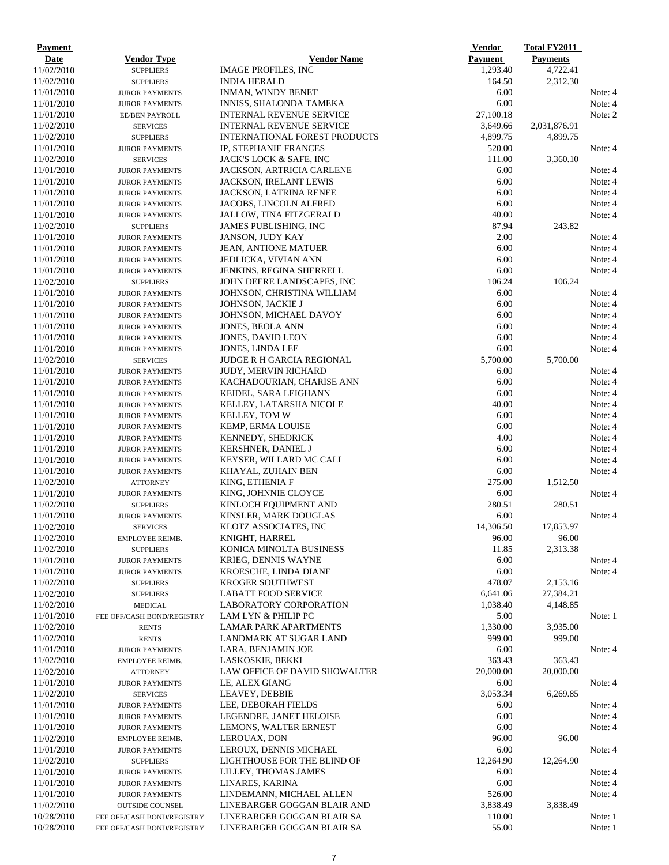| <b>Payment</b>           |                                                |                                                     | <b>Vendor</b>  | <b>Total FY2011</b> |                    |
|--------------------------|------------------------------------------------|-----------------------------------------------------|----------------|---------------------|--------------------|
| Date                     | <b>Vendor Type</b>                             | <b>Vendor Name</b>                                  | <b>Payment</b> | <b>Payments</b>     |                    |
| 11/02/2010               | <b>SUPPLIERS</b>                               | <b>IMAGE PROFILES, INC</b>                          | 1,293.40       | 4,722.41            |                    |
| 11/02/2010               | <b>SUPPLIERS</b>                               | <b>INDIA HERALD</b>                                 | 164.50         | 2,312.30            |                    |
| 11/01/2010               | <b>JUROR PAYMENTS</b>                          | <b>INMAN, WINDY BENET</b>                           | 6.00           |                     | Note: 4            |
| 11/01/2010               | <b>JUROR PAYMENTS</b>                          | INNISS, SHALONDA TAMEKA                             | 6.00           |                     | Note: 4            |
| 11/01/2010               | <b>EE/BEN PAYROLL</b>                          | <b>INTERNAL REVENUE SERVICE</b>                     | 27,100.18      |                     | Note: 2            |
| 11/02/2010               | <b>SERVICES</b>                                | <b>INTERNAL REVENUE SERVICE</b>                     | 3,649.66       | 2,031,876.91        |                    |
| 11/02/2010               | <b>SUPPLIERS</b>                               | INTERNATIONAL FOREST PRODUCTS                       | 4,899.75       | 4,899.75            |                    |
| 11/01/2010               | <b>JUROR PAYMENTS</b>                          | IP, STEPHANIE FRANCES                               | 520.00         |                     | Note: 4            |
| 11/02/2010               | <b>SERVICES</b>                                | JACK'S LOCK & SAFE, INC                             | 111.00         | 3,360.10            |                    |
| 11/01/2010               | <b>JUROR PAYMENTS</b>                          | JACKSON, ARTRICIA CARLENE                           | 6.00           |                     | Note: 4            |
| 11/01/2010               | <b>JUROR PAYMENTS</b>                          | <b>JACKSON, IRELANT LEWIS</b>                       | 6.00           |                     | Note: 4<br>Note: 4 |
| 11/01/2010               | <b>JUROR PAYMENTS</b>                          | <b>JACKSON, LATRINA RENEE</b>                       | 6.00           |                     |                    |
| 11/01/2010               | <b>JUROR PAYMENTS</b>                          | JACOBS, LINCOLN ALFRED                              | 6.00<br>40.00  |                     | Note: 4<br>Note: 4 |
| 11/01/2010<br>11/02/2010 | <b>JUROR PAYMENTS</b>                          | JALLOW, TINA FITZGERALD<br>JAMES PUBLISHING, INC    | 87.94          | 243.82              |                    |
| 11/01/2010               | <b>SUPPLIERS</b>                               |                                                     | 2.00           |                     | Note: 4            |
|                          | <b>JUROR PAYMENTS</b>                          | JANSON, JUDY KAY                                    | 6.00           |                     | Note: 4            |
| 11/01/2010<br>11/01/2010 | <b>JUROR PAYMENTS</b>                          | <b>JEAN, ANTIONE MATUER</b><br>JEDLICKA, VIVIAN ANN | 6.00           |                     | Note: 4            |
| 11/01/2010               | <b>JUROR PAYMENTS</b><br><b>JUROR PAYMENTS</b> | <b>JENKINS, REGINA SHERRELL</b>                     | 6.00           |                     | Note: 4            |
| 11/02/2010               | <b>SUPPLIERS</b>                               | JOHN DEERE LANDSCAPES, INC                          | 106.24         | 106.24              |                    |
| 11/01/2010               |                                                | JOHNSON, CHRISTINA WILLIAM                          | 6.00           |                     | Note: 4            |
| 11/01/2010               | <b>JUROR PAYMENTS</b><br><b>JUROR PAYMENTS</b> | JOHNSON, JACKIE J                                   | 6.00           |                     | Note: 4            |
| 11/01/2010               | <b>JUROR PAYMENTS</b>                          | JOHNSON, MICHAEL DAVOY                              | 6.00           |                     | Note: 4            |
| 11/01/2010               | <b>JUROR PAYMENTS</b>                          | JONES, BEOLA ANN                                    | 6.00           |                     | Note: 4            |
| 11/01/2010               | <b>JUROR PAYMENTS</b>                          | JONES, DAVID LEON                                   | 6.00           |                     | Note: 4            |
| 11/01/2010               | <b>JUROR PAYMENTS</b>                          | JONES, LINDA LEE                                    | 6.00           |                     | Note: 4            |
| 11/02/2010               | <b>SERVICES</b>                                | <b>JUDGE R H GARCIA REGIONAL</b>                    | 5,700.00       | 5,700.00            |                    |
| 11/01/2010               | <b>JUROR PAYMENTS</b>                          | <b>JUDY, MERVIN RICHARD</b>                         | 6.00           |                     | Note: 4            |
| 11/01/2010               | <b>JUROR PAYMENTS</b>                          | KACHADOURIAN, CHARISE ANN                           | 6.00           |                     | Note: 4            |
| 11/01/2010               | <b>JUROR PAYMENTS</b>                          | KEIDEL, SARA LEIGHANN                               | 6.00           |                     | Note: 4            |
| 11/01/2010               | <b>JUROR PAYMENTS</b>                          | KELLEY, LATARSHA NICOLE                             | 40.00          |                     | Note: 4            |
| 11/01/2010               | <b>JUROR PAYMENTS</b>                          | KELLEY, TOM W                                       | 6.00           |                     | Note: 4            |
| 11/01/2010               | <b>JUROR PAYMENTS</b>                          | <b>KEMP, ERMA LOUISE</b>                            | 6.00           |                     | Note: 4            |
| 11/01/2010               | <b>JUROR PAYMENTS</b>                          | KENNEDY, SHEDRICK                                   | 4.00           |                     | Note: 4            |
| 11/01/2010               | <b>JUROR PAYMENTS</b>                          | <b>KERSHNER, DANIEL J</b>                           | 6.00           |                     | Note: 4            |
| 11/01/2010               | <b>JUROR PAYMENTS</b>                          | KEYSER, WILLARD MC CALL                             | 6.00           |                     | Note: 4            |
| 11/01/2010               | <b>JUROR PAYMENTS</b>                          | KHAYAL, ZUHAIN BEN                                  | 6.00           |                     | Note: 4            |
| 11/02/2010               | <b>ATTORNEY</b>                                | KING, ETHENIA F                                     | 275.00         | 1,512.50            |                    |
| 11/01/2010               | <b>JUROR PAYMENTS</b>                          | KING, JOHNNIE CLOYCE                                | 6.00           |                     | Note: 4            |
| 11/02/2010               | <b>SUPPLIERS</b>                               | KINLOCH EQUIPMENT AND                               | 280.51         | 280.51              |                    |
| 11/01/2010               | <b>JUROR PAYMENTS</b>                          | KINSLER, MARK DOUGLAS                               | 6.00           |                     | Note: 4            |
| 11/02/2010               | <b>SERVICES</b>                                | KLOTZ ASSOCIATES, INC                               | 14,306.50      | 17,853.97           |                    |
| 11/02/2010               | EMPLOYEE REIMB.                                | KNIGHT, HARREL                                      | 96.00          | 96.00               |                    |
| 11/02/2010               | <b>SUPPLIERS</b>                               | KONICA MINOLTA BUSINESS                             | 11.85          | 2,313.38            |                    |
| 11/01/2010               | <b>JUROR PAYMENTS</b>                          | KRIEG, DENNIS WAYNE                                 | 6.00           |                     | Note: 4            |
| 11/01/2010               | <b>JUROR PAYMENTS</b>                          | <b>KROESCHE, LINDA DIANE</b>                        | 6.00           |                     | Note: 4            |
| 11/02/2010               | <b>SUPPLIERS</b>                               | <b>KROGER SOUTHWEST</b>                             | 478.07         | 2,153.16            |                    |
| 11/02/2010               | <b>SUPPLIERS</b>                               | <b>LABATT FOOD SERVICE</b>                          | 6,641.06       | 27,384.21           |                    |
| 11/02/2010               | <b>MEDICAL</b>                                 | LABORATORY CORPORATION                              | 1,038.40       | 4,148.85            |                    |
| 11/01/2010               | FEE OFF/CASH BOND/REGISTRY                     | LAM LYN & PHILIP PC                                 | 5.00           |                     | Note: 1            |
| 11/02/2010               | <b>RENTS</b>                                   | <b>LAMAR PARK APARTMENTS</b>                        | 1,330.00       | 3.935.00            |                    |
| 11/02/2010               | <b>RENTS</b>                                   | LANDMARK AT SUGAR LAND                              | 999.00         | 999.00              |                    |
| 11/01/2010               | <b>JUROR PAYMENTS</b>                          | LARA, BENJAMIN JOE                                  | 6.00           |                     | Note: 4            |
| 11/02/2010               | EMPLOYEE REIMB.                                | LASKOSKIE, BEKKI                                    | 363.43         | 363.43              |                    |
| 11/02/2010               | <b>ATTORNEY</b>                                | LAW OFFICE OF DAVID SHOWALTER                       | 20,000.00      | 20,000.00           |                    |
| 11/01/2010               | <b>JUROR PAYMENTS</b>                          | LE, ALEX GIANG                                      | 6.00           |                     | Note: 4            |
| 11/02/2010               | <b>SERVICES</b>                                | LEAVEY, DEBBIE                                      | 3,053.34       | 6,269.85            |                    |
| 11/01/2010               | <b>JUROR PAYMENTS</b>                          | LEE, DEBORAH FIELDS                                 | 6.00           |                     | Note: 4            |
| 11/01/2010               | <b>JUROR PAYMENTS</b>                          | LEGENDRE, JANET HELOISE                             | 6.00           |                     | Note: 4            |
| 11/01/2010               | <b>JUROR PAYMENTS</b>                          | LEMONS, WALTER ERNEST                               | 6.00           |                     | Note: 4            |
| 11/02/2010               | EMPLOYEE REIMB.                                | LEROUAX, DON                                        | 96.00          | 96.00               |                    |
| 11/01/2010               | <b>JUROR PAYMENTS</b>                          | LEROUX, DENNIS MICHAEL                              | 6.00           |                     | Note: 4            |
| 11/02/2010               | <b>SUPPLIERS</b>                               | LIGHTHOUSE FOR THE BLIND OF                         | 12,264.90      | 12,264.90           |                    |
| 11/01/2010               | <b>JUROR PAYMENTS</b>                          | LILLEY, THOMAS JAMES                                | 6.00           |                     | Note: 4            |
| 11/01/2010               | <b>JUROR PAYMENTS</b>                          | LINARES, KARINA                                     | 6.00           |                     | Note: 4            |
| 11/01/2010               | <b>JUROR PAYMENTS</b>                          | LINDEMANN, MICHAEL ALLEN                            | 526.00         |                     | Note: 4            |
| 11/02/2010               | <b>OUTSIDE COUNSEL</b>                         | LINEBARGER GOGGAN BLAIR AND                         | 3,838.49       | 3,838.49            |                    |
| 10/28/2010               | FEE OFF/CASH BOND/REGISTRY                     | LINEBARGER GOGGAN BLAIR SA                          | 110.00         |                     | Note: 1            |
| 10/28/2010               | FEE OFF/CASH BOND/REGISTRY                     | LINEBARGER GOGGAN BLAIR SA                          | 55.00          |                     | Note: 1            |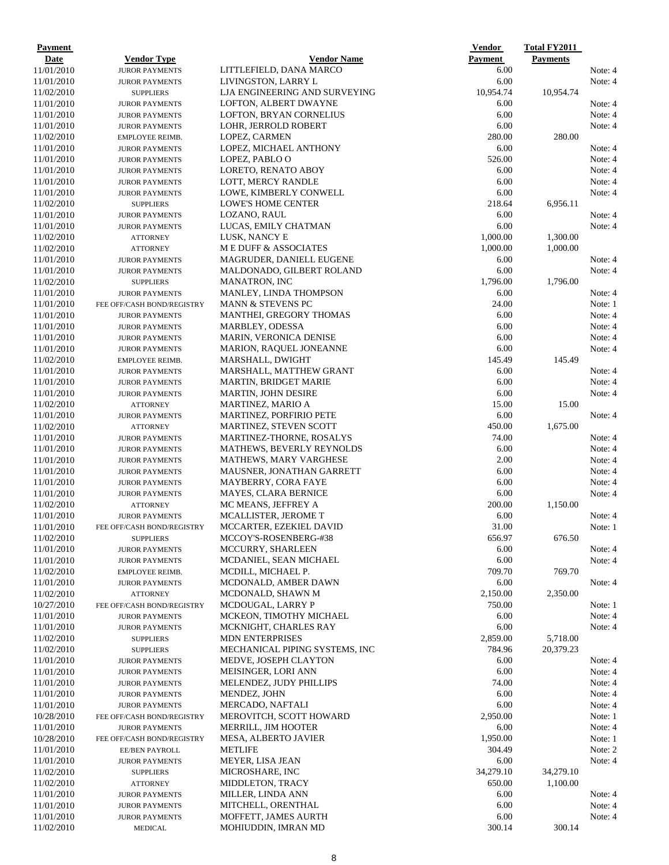| <b>Payment</b>           |                                                     |                                                           | <b>Vendor</b>  | <b>Total FY2011</b> |                    |
|--------------------------|-----------------------------------------------------|-----------------------------------------------------------|----------------|---------------------|--------------------|
| Date                     | <b>Vendor Type</b>                                  | <b>Vendor Name</b>                                        | Payment        | <b>Payments</b>     |                    |
| 11/01/2010               | <b>JUROR PAYMENTS</b>                               | LITTLEFIELD, DANA MARCO                                   | 6.00           |                     | Note: 4            |
| 11/01/2010               | <b>JUROR PAYMENTS</b>                               | LIVINGSTON, LARRY L                                       | 6.00           |                     | Note: 4            |
| 11/02/2010               | <b>SUPPLIERS</b>                                    | LJA ENGINEERING AND SURVEYING                             | 10,954.74      | 10,954.74           |                    |
| 11/01/2010               | <b>JUROR PAYMENTS</b>                               | LOFTON, ALBERT DWAYNE                                     | 6.00           |                     | Note: 4            |
| 11/01/2010               | <b>JUROR PAYMENTS</b>                               | LOFTON, BRYAN CORNELIUS                                   | 6.00           |                     | Note: 4            |
| 11/01/2010               | <b>JUROR PAYMENTS</b>                               | LOHR, JERROLD ROBERT                                      | 6.00           |                     | Note: 4            |
| 11/02/2010               | EMPLOYEE REIMB.                                     | LOPEZ, CARMEN                                             | 280.00<br>6.00 | 280.00              | Note: 4            |
| 11/01/2010<br>11/01/2010 | <b>JUROR PAYMENTS</b>                               | LOPEZ, MICHAEL ANTHONY<br>LOPEZ, PABLO O                  | 526.00         |                     | Note: 4            |
| 11/01/2010               | <b>JUROR PAYMENTS</b><br><b>JUROR PAYMENTS</b>      | LORETO, RENATO ABOY                                       | 6.00           |                     | Note: 4            |
| 11/01/2010               | <b>JUROR PAYMENTS</b>                               | LOTT, MERCY RANDLE                                        | 6.00           |                     | Note: 4            |
| 11/01/2010               | <b>JUROR PAYMENTS</b>                               | LOWE, KIMBERLY CONWELL                                    | 6.00           |                     | Note: 4            |
| 11/02/2010               | <b>SUPPLIERS</b>                                    | LOWE'S HOME CENTER                                        | 218.64         | 6,956.11            |                    |
| 11/01/2010               | <b>JUROR PAYMENTS</b>                               | LOZANO, RAUL                                              | 6.00           |                     | Note: 4            |
| 11/01/2010               | <b>JUROR PAYMENTS</b>                               | LUCAS, EMILY CHATMAN                                      | 6.00           |                     | Note: 4            |
| 11/02/2010               | <b>ATTORNEY</b>                                     | LUSK, NANCY E                                             | 1,000.00       | 1,300.00            |                    |
| 11/02/2010               | <b>ATTORNEY</b>                                     | M E DUFF & ASSOCIATES                                     | 1,000.00       | 1,000.00            |                    |
| 11/01/2010               | <b>JUROR PAYMENTS</b>                               | MAGRUDER, DANIELL EUGENE                                  | 6.00           |                     | Note: 4            |
| 11/01/2010               | <b>JUROR PAYMENTS</b>                               | MALDONADO, GILBERT ROLAND                                 | 6.00           |                     | Note: 4            |
| 11/02/2010               | <b>SUPPLIERS</b>                                    | <b>MANATRON, INC</b>                                      | 1,796.00       | 1,796.00            |                    |
| 11/01/2010               | <b>JUROR PAYMENTS</b>                               | <b>MANLEY, LINDA THOMPSON</b>                             | 6.00           |                     | Note: 4            |
| 11/01/2010               | FEE OFF/CASH BOND/REGISTRY                          | <b>MANN &amp; STEVENS PC</b>                              | 24.00          |                     | Note: 1            |
| 11/01/2010               | <b>JUROR PAYMENTS</b>                               | <b>MANTHEI, GREGORY THOMAS</b>                            | 6.00           |                     | Note: 4            |
| 11/01/2010               | <b>JUROR PAYMENTS</b>                               | MARBLEY, ODESSA                                           | 6.00           |                     | Note: 4            |
| 11/01/2010               | <b>JUROR PAYMENTS</b>                               | <b>MARIN, VERONICA DENISE</b>                             | 6.00           |                     | Note: 4            |
| 11/01/2010               | <b>JUROR PAYMENTS</b>                               | MARION, RAQUEL JONEANNE                                   | 6.00           |                     | Note: 4            |
| 11/02/2010               | EMPLOYEE REIMB.                                     | MARSHALL, DWIGHT                                          | 145.49         | 145.49              |                    |
| 11/01/2010               | <b>JUROR PAYMENTS</b>                               | MARSHALL, MATTHEW GRANT                                   | 6.00           |                     | Note: 4            |
| 11/01/2010               | <b>JUROR PAYMENTS</b>                               | <b>MARTIN, BRIDGET MARIE</b>                              | 6.00           |                     | Note: 4            |
| 11/01/2010               | <b>JUROR PAYMENTS</b>                               | MARTIN, JOHN DESIRE                                       | 6.00           |                     | Note: 4            |
| 11/02/2010               | <b>ATTORNEY</b>                                     | MARTINEZ, MARIO A                                         | 15.00          | 15.00               |                    |
| 11/01/2010<br>11/02/2010 | <b>JUROR PAYMENTS</b>                               | <b>MARTINEZ, PORFIRIO PETE</b>                            | 6.00<br>450.00 | 1,675.00            | Note: 4            |
| 11/01/2010               | <b>ATTORNEY</b><br><b>JUROR PAYMENTS</b>            | <b>MARTINEZ, STEVEN SCOTT</b><br>MARTINEZ-THORNE, ROSALYS | 74.00          |                     | Note: 4            |
| 11/01/2010               | <b>JUROR PAYMENTS</b>                               | <b>MATHEWS, BEVERLY REYNOLDS</b>                          | 6.00           |                     | Note: 4            |
| 11/01/2010               | <b>JUROR PAYMENTS</b>                               | <b>MATHEWS, MARY VARGHESE</b>                             | 2.00           |                     | Note: 4            |
| 11/01/2010               | <b>JUROR PAYMENTS</b>                               | <b>MAUSNER, JONATHAN GARRETT</b>                          | 6.00           |                     | Note: 4            |
| 11/01/2010               | <b>JUROR PAYMENTS</b>                               | MAYBERRY, CORA FAYE                                       | 6.00           |                     | Note: 4            |
| 11/01/2010               | <b>JUROR PAYMENTS</b>                               | <b>MAYES, CLARA BERNICE</b>                               | 6.00           |                     | Note: 4            |
| 11/02/2010               | <b>ATTORNEY</b>                                     | MC MEANS, JEFFREY A                                       | 200.00         | 1,150.00            |                    |
| 11/01/2010               | <b>JUROR PAYMENTS</b>                               | <b>MCALLISTER, JEROME T</b>                               | 6.00           |                     | Note: 4            |
| 11/01/2010               | FEE OFF/CASH BOND/REGISTRY                          | MCCARTER, EZEKIEL DAVID                                   | 31.00          |                     | Note: 1            |
| 11/02/2010               | <b>SUPPLIERS</b>                                    | MCCOY'S-ROSENBERG-#38                                     | 656.97         | 676.50              |                    |
| 11/01/2010               | <b>JUROR PAYMENTS</b>                               | MCCURRY, SHARLEEN                                         | 6.00           |                     | Note: 4            |
| 11/01/2010               | <b>JUROR PAYMENTS</b>                               | MCDANIEL, SEAN MICHAEL                                    | 6.00           |                     | Note: 4            |
| 11/02/2010               | EMPLOYEE REIMB.                                     | MCDILL, MICHAEL P.                                        | 709.70         | 769.70              |                    |
| 11/01/2010               | <b>JUROR PAYMENTS</b>                               | MCDONALD, AMBER DAWN                                      | 6.00           |                     | Note: 4            |
| 11/02/2010               | <b>ATTORNEY</b>                                     | MCDONALD, SHAWN M                                         | 2,150.00       | 2,350.00            |                    |
| 10/27/2010               | FEE OFF/CASH BOND/REGISTRY                          | MCDOUGAL, LARRY P                                         | 750.00         |                     | Note: 1            |
| 11/01/2010               | <b>JUROR PAYMENTS</b>                               | MCKEON, TIMOTHY MICHAEL                                   | 6.00           |                     | Note: 4            |
| 11/01/2010               | <b>JUROR PAYMENTS</b>                               | MCKNIGHT, CHARLES RAY                                     | 6.00           |                     | Note: 4            |
| 11/02/2010               | <b>SUPPLIERS</b>                                    | <b>MDN ENTERPRISES</b>                                    | 2,859.00       | 5,718.00            |                    |
| 11/02/2010               | <b>SUPPLIERS</b>                                    | MECHANICAL PIPING SYSTEMS, INC                            | 784.96         | 20,379.23           |                    |
| 11/01/2010               | <b>JUROR PAYMENTS</b>                               | MEDVE, JOSEPH CLAYTON                                     | 6.00           |                     | Note: 4            |
| 11/01/2010               | <b>JUROR PAYMENTS</b>                               | <b>MEISINGER, LORI ANN</b>                                | 6.00           |                     | Note: 4            |
| 11/01/2010               | <b>JUROR PAYMENTS</b>                               | MELENDEZ, JUDY PHILLIPS                                   | 74.00          |                     | Note: 4            |
| 11/01/2010               | <b>JUROR PAYMENTS</b>                               | MENDEZ, JOHN                                              | 6.00<br>6.00   |                     | Note: 4            |
| 11/01/2010<br>10/28/2010 | <b>JUROR PAYMENTS</b><br>FEE OFF/CASH BOND/REGISTRY | MERCADO, NAFTALI<br>MEROVITCH, SCOTT HOWARD               | 2,950.00       |                     | Note: 4<br>Note: 1 |
| 11/01/2010               | <b>JUROR PAYMENTS</b>                               | MERRILL, JIM HOOTER                                       | 6.00           |                     | Note: 4            |
| 10/28/2010               | FEE OFF/CASH BOND/REGISTRY                          | <b>MESA, ALBERTO JAVIER</b>                               | 1,950.00       |                     | Note: 1            |
| 11/01/2010               | <b>EE/BEN PAYROLL</b>                               | <b>METLIFE</b>                                            | 304.49         |                     | Note: 2            |
| 11/01/2010               | <b>JUROR PAYMENTS</b>                               | MEYER, LISA JEAN                                          | 6.00           |                     | Note: 4            |
| 11/02/2010               | <b>SUPPLIERS</b>                                    | MICROSHARE, INC                                           | 34,279.10      | 34,279.10           |                    |
| 11/02/2010               | <b>ATTORNEY</b>                                     | <b>MIDDLETON, TRACY</b>                                   | 650.00         | 1,100.00            |                    |
| 11/01/2010               | <b>JUROR PAYMENTS</b>                               | MILLER, LINDA ANN                                         | 6.00           |                     | Note: 4            |
| 11/01/2010               | <b>JUROR PAYMENTS</b>                               | MITCHELL, ORENTHAL                                        | 6.00           |                     | Note: 4            |
| 11/01/2010               | <b>JUROR PAYMENTS</b>                               | MOFFETT, JAMES AURTH                                      | 6.00           |                     | Note: 4            |
| 11/02/2010               | <b>MEDICAL</b>                                      | MOHIUDDIN, IMRAN MD                                       | 300.14         | 300.14              |                    |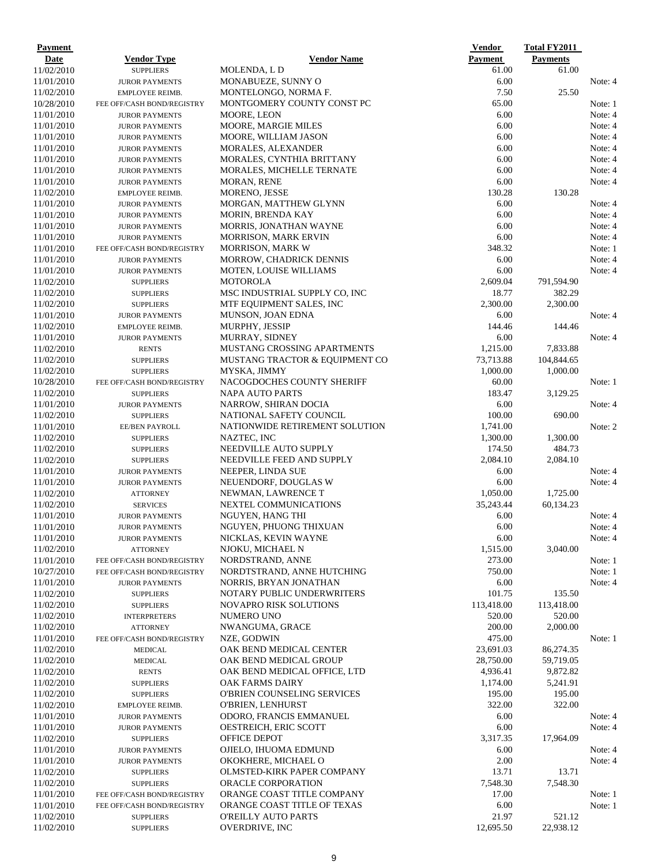| <b>Payment</b>           |                                                |                                                               | <b>Vendor</b>        | <b>Total FY2011</b> |                    |
|--------------------------|------------------------------------------------|---------------------------------------------------------------|----------------------|---------------------|--------------------|
| Date                     | Vendor Type                                    | <b>Vendor Name</b>                                            | Payment              | <b>Payments</b>     |                    |
| 11/02/2010               | <b>SUPPLIERS</b>                               | MOLENDA, L D                                                  | 61.00                | 61.00               |                    |
| 11/01/2010               | <b>JUROR PAYMENTS</b>                          | MONABUEZE, SUNNY O                                            | 6.00                 |                     | Note: 4            |
| 11/02/2010               | EMPLOYEE REIMB.                                | MONTELONGO, NORMA F.                                          | 7.50                 | 25.50               |                    |
| 10/28/2010               | FEE OFF/CASH BOND/REGISTRY                     | MONTGOMERY COUNTY CONST PC                                    | 65.00                |                     | Note: 1            |
| 11/01/2010               | <b>JUROR PAYMENTS</b>                          | MOORE, LEON                                                   | 6.00                 |                     | Note: 4            |
| 11/01/2010               | <b>JUROR PAYMENTS</b>                          | <b>MOORE, MARGIE MILES</b>                                    | 6.00                 |                     | Note: 4            |
| 11/01/2010               | <b>JUROR PAYMENTS</b>                          | MOORE, WILLIAM JASON                                          | 6.00                 |                     | Note: 4            |
| 11/01/2010<br>11/01/2010 | <b>JUROR PAYMENTS</b>                          | <b>MORALES, ALEXANDER</b>                                     | 6.00<br>6.00         |                     | Note: 4<br>Note: 4 |
| 11/01/2010               | <b>JUROR PAYMENTS</b><br><b>JUROR PAYMENTS</b> | MORALES, CYNTHIA BRITTANY<br><b>MORALES, MICHELLE TERNATE</b> | 6.00                 |                     | Note: 4            |
| 11/01/2010               | <b>JUROR PAYMENTS</b>                          | <b>MORAN, RENE</b>                                            | 6.00                 |                     | Note: 4            |
| 11/02/2010               | <b>EMPLOYEE REIMB.</b>                         | <b>MORENO, JESSE</b>                                          | 130.28               | 130.28              |                    |
| 11/01/2010               | <b>JUROR PAYMENTS</b>                          | MORGAN, MATTHEW GLYNN                                         | 6.00                 |                     | Note: 4            |
| 11/01/2010               | <b>JUROR PAYMENTS</b>                          | MORIN, BRENDA KAY                                             | 6.00                 |                     | Note: 4            |
| 11/01/2010               | <b>JUROR PAYMENTS</b>                          | MORRIS, JONATHAN WAYNE                                        | 6.00                 |                     | Note: 4            |
| 11/01/2010               | <b>JUROR PAYMENTS</b>                          | <b>MORRISON, MARK ERVIN</b>                                   | 6.00                 |                     | Note: 4            |
| 11/01/2010               | FEE OFF/CASH BOND/REGISTRY                     | <b>MORRISON, MARK W</b>                                       | 348.32               |                     | Note: 1            |
| 11/01/2010               | <b>JUROR PAYMENTS</b>                          | MORROW, CHADRICK DENNIS                                       | 6.00                 |                     | Note: 4            |
| 11/01/2010               | <b>JUROR PAYMENTS</b>                          | <b>MOTEN, LOUISE WILLIAMS</b>                                 | 6.00                 |                     | Note: 4            |
| 11/02/2010               | <b>SUPPLIERS</b>                               | <b>MOTOROLA</b>                                               | 2,609.04             | 791,594.90          |                    |
| 11/02/2010               | <b>SUPPLIERS</b>                               | MSC INDUSTRIAL SUPPLY CO, INC                                 | 18.77                | 382.29              |                    |
| 11/02/2010               | <b>SUPPLIERS</b>                               | MTF EQUIPMENT SALES, INC                                      | 2,300.00             | 2,300.00            |                    |
| 11/01/2010               | <b>JUROR PAYMENTS</b>                          | <b>MUNSON, JOAN EDNA</b>                                      | 6.00                 |                     | Note: 4            |
| 11/02/2010               | EMPLOYEE REIMB.                                | MURPHY, JESSIP                                                | 144.46               | 144.46              |                    |
| 11/01/2010               | <b>JUROR PAYMENTS</b>                          | <b>MURRAY, SIDNEY</b>                                         | 6.00                 |                     | Note: 4            |
| 11/02/2010               | <b>RENTS</b>                                   | <b>MUSTANG CROSSING APARTMENTS</b>                            | 1,215.00             | 7,833.88            |                    |
| 11/02/2010               | <b>SUPPLIERS</b>                               | MUSTANG TRACTOR & EQUIPMENT CO                                | 73,713.88            | 104,844.65          |                    |
| 11/02/2010               | <b>SUPPLIERS</b>                               | MYSKA, JIMMY                                                  | 1,000.00             | 1,000.00            |                    |
| 10/28/2010               | FEE OFF/CASH BOND/REGISTRY                     | NACOGDOCHES COUNTY SHERIFF                                    | 60.00                |                     | Note: 1            |
| 11/02/2010               | <b>SUPPLIERS</b>                               | <b>NAPA AUTO PARTS</b>                                        | 183.47               | 3,129.25            |                    |
| 11/01/2010               | <b>JUROR PAYMENTS</b>                          | NARROW, SHIRAN DOCIA                                          | 6.00                 |                     | Note: 4            |
| 11/02/2010               | <b>SUPPLIERS</b>                               | NATIONAL SAFETY COUNCIL                                       | 100.00               | 690.00              |                    |
| 11/01/2010<br>11/02/2010 | EE/BEN PAYROLL                                 | NATIONWIDE RETIREMENT SOLUTION<br>NAZTEC, INC                 | 1,741.00<br>1,300.00 | 1,300.00            | Note: 2            |
| 11/02/2010               | <b>SUPPLIERS</b><br><b>SUPPLIERS</b>           | NEEDVILLE AUTO SUPPLY                                         | 174.50               | 484.73              |                    |
| 11/02/2010               | <b>SUPPLIERS</b>                               | NEEDVILLE FEED AND SUPPLY                                     | 2,084.10             | 2,084.10            |                    |
| 11/01/2010               | <b>JUROR PAYMENTS</b>                          | NEEPER, LINDA SUE                                             | 6.00                 |                     | Note: 4            |
| 11/01/2010               | <b>JUROR PAYMENTS</b>                          | NEUENDORF, DOUGLAS W                                          | 6.00                 |                     | Note: 4            |
| 11/02/2010               | <b>ATTORNEY</b>                                | NEWMAN, LAWRENCE T                                            | 1,050.00             | 1,725.00            |                    |
| 11/02/2010               | <b>SERVICES</b>                                | NEXTEL COMMUNICATIONS                                         | 35,243.44            | 60,134.23           |                    |
| 11/01/2010               | <b>JUROR PAYMENTS</b>                          | NGUYEN, HANG THI                                              | 6.00                 |                     | Note: 4            |
| 11/01/2010               | <b>JUROR PAYMENTS</b>                          | NGUYEN, PHUONG THIXUAN                                        | 6.00                 |                     | Note: 4            |
| 11/01/2010               | <b>JUROR PAYMENTS</b>                          | NICKLAS, KEVIN WAYNE                                          | 6.00                 |                     | Note: 4            |
| 11/02/2010               | <b>ATTORNEY</b>                                | NJOKU, MICHAEL N                                              | 1,515.00             | 3,040.00            |                    |
| 11/01/2010               | FEE OFF/CASH BOND/REGISTRY                     | NORDSTRAND, ANNE                                              | 273.00               |                     | Note: 1            |
| 10/27/2010               | FEE OFF/CASH BOND/REGISTRY                     | NORDTSTRAND, ANNE HUTCHING                                    | 750.00               |                     | Note: 1            |
| 11/01/2010               | <b>JUROR PAYMENTS</b>                          | NORRIS, BRYAN JONATHAN                                        | 6.00                 |                     | Note: 4            |
| 11/02/2010               | <b>SUPPLIERS</b>                               | NOTARY PUBLIC UNDERWRITERS                                    | 101.75               | 135.50              |                    |
| 11/02/2010               | <b>SUPPLIERS</b>                               | <b>NOVAPRO RISK SOLUTIONS</b>                                 | 113,418.00           | 113,418.00          |                    |
| 11/02/2010               | <b>INTERPRETERS</b>                            | NUMERO UNO                                                    | 520.00               | 520.00              |                    |
| 11/02/2010               | <b>ATTORNEY</b>                                | NWANGUMA, GRACE                                               | 200.00               | 2,000.00            |                    |
| 11/01/2010               | FEE OFF/CASH BOND/REGISTRY                     | NZE, GODWIN                                                   | 475.00               |                     | Note: 1            |
| 11/02/2010               | <b>MEDICAL</b>                                 | OAK BEND MEDICAL CENTER                                       | 23,691.03            | 86,274.35           |                    |
| 11/02/2010               | MEDICAL                                        | OAK BEND MEDICAL GROUP                                        | 28,750.00            | 59,719.05           |                    |
| 11/02/2010               | <b>RENTS</b>                                   | OAK BEND MEDICAL OFFICE, LTD                                  | 4,936.41             | 9,872.82            |                    |
| 11/02/2010               | <b>SUPPLIERS</b>                               | OAK FARMS DAIRY                                               | 1,174.00             | 5,241.91            |                    |
| 11/02/2010               | <b>SUPPLIERS</b>                               | O'BRIEN COUNSELING SERVICES                                   | 195.00<br>322.00     | 195.00<br>322.00    |                    |
| 11/02/2010<br>11/01/2010 | EMPLOYEE REIMB.                                | O'BRIEN, LENHURST<br>ODORO, FRANCIS EMMANUEL                  | 6.00                 |                     | Note: 4            |
| 11/01/2010               | <b>JUROR PAYMENTS</b>                          | <b>OESTREICH, ERIC SCOTT</b>                                  | 6.00                 |                     | Note: 4            |
| 11/02/2010               | <b>JUROR PAYMENTS</b><br><b>SUPPLIERS</b>      | OFFICE DEPOT                                                  | 3,317.35             | 17,964.09           |                    |
| 11/01/2010               | <b>JUROR PAYMENTS</b>                          | OJIELO, IHUOMA EDMUND                                         | 6.00                 |                     | Note: 4            |
| 11/01/2010               | <b>JUROR PAYMENTS</b>                          | OKOKHERE, MICHAEL O                                           | 2.00                 |                     | Note: 4            |
| 11/02/2010               | <b>SUPPLIERS</b>                               | OLMSTED-KIRK PAPER COMPANY                                    | 13.71                | 13.71               |                    |
| 11/02/2010               | <b>SUPPLIERS</b>                               | ORACLE CORPORATION                                            | 7,548.30             | 7,548.30            |                    |
| 11/01/2010               | FEE OFF/CASH BOND/REGISTRY                     | ORANGE COAST TITLE COMPANY                                    | 17.00                |                     | Note: 1            |
| 11/01/2010               | FEE OFF/CASH BOND/REGISTRY                     | ORANGE COAST TITLE OF TEXAS                                   | 6.00                 |                     | Note: 1            |
| 11/02/2010               | <b>SUPPLIERS</b>                               | O'REILLY AUTO PARTS                                           | 21.97                | 521.12              |                    |
| 11/02/2010               | <b>SUPPLIERS</b>                               | OVERDRIVE, INC                                                | 12,695.50            | 22,938.12           |                    |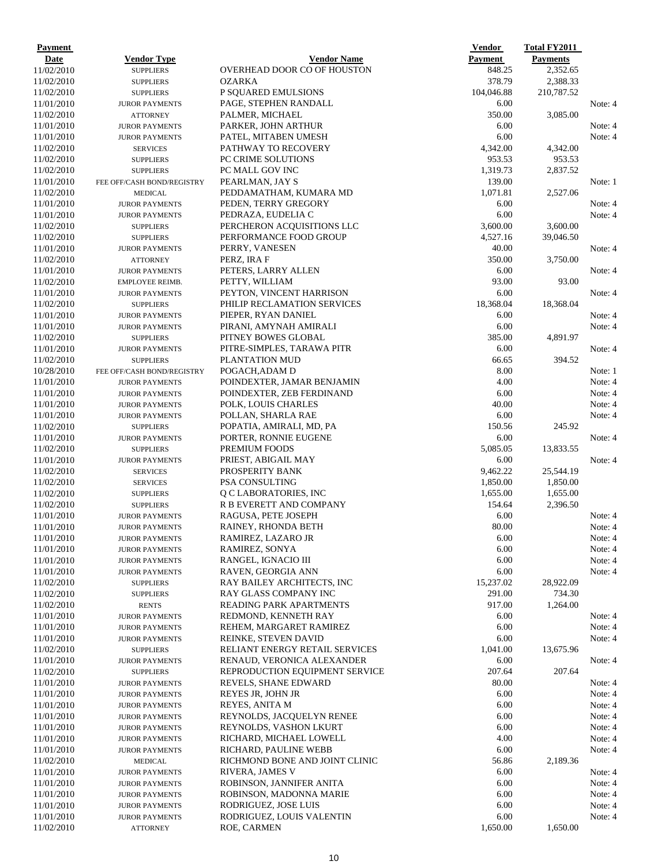| <b>Payment</b>           |                                                |                                            | <b>Vendor</b>        | <b>Total FY2011</b> |                    |
|--------------------------|------------------------------------------------|--------------------------------------------|----------------------|---------------------|--------------------|
| Date                     | Vendor Type                                    | <b>Vendor Name</b>                         | <b>Payment</b>       | <b>Payments</b>     |                    |
| 11/02/2010               | <b>SUPPLIERS</b>                               | OVERHEAD DOOR CO OF HOUSTON                | 848.25               | 2,352.65            |                    |
| 11/02/2010               | <b>SUPPLIERS</b>                               | <b>OZARKA</b>                              | 378.79               | 2,388.33            |                    |
| 11/02/2010               | <b>SUPPLIERS</b>                               | P SQUARED EMULSIONS                        | 104,046.88           | 210,787.52          |                    |
| 11/01/2010               | <b>JUROR PAYMENTS</b>                          | PAGE, STEPHEN RANDALL                      | 6.00                 |                     | Note: 4            |
| 11/02/2010               | <b>ATTORNEY</b>                                | PALMER, MICHAEL                            | 350.00               | 3,085.00            |                    |
| 11/01/2010               | <b>JUROR PAYMENTS</b>                          | PARKER, JOHN ARTHUR                        | 6.00                 |                     | Note: 4            |
| 11/01/2010               | <b>JUROR PAYMENTS</b>                          | PATEL, MITABEN UMESH                       | 6.00                 |                     | Note: 4            |
| 11/02/2010               | <b>SERVICES</b>                                | PATHWAY TO RECOVERY                        | 4,342.00             | 4,342.00            |                    |
| 11/02/2010               | <b>SUPPLIERS</b>                               | <b>PC CRIME SOLUTIONS</b>                  | 953.53               | 953.53              |                    |
| 11/02/2010               | <b>SUPPLIERS</b>                               | PC MALL GOV INC                            | 1,319.73             | 2,837.52            |                    |
| 11/01/2010               | FEE OFF/CASH BOND/REGISTRY                     | PEARLMAN, JAY S                            | 139.00               |                     | Note: 1            |
| 11/02/2010               | <b>MEDICAL</b>                                 | PEDDAMATHAM, KUMARA MD                     | 1,071.81             | 2,527.06            |                    |
| 11/01/2010               | <b>JUROR PAYMENTS</b>                          | PEDEN, TERRY GREGORY                       | 6.00                 |                     | Note: 4            |
| 11/01/2010               | <b>JUROR PAYMENTS</b>                          | PEDRAZA, EUDELIA C                         | 6.00                 |                     | Note: 4            |
| 11/02/2010               | <b>SUPPLIERS</b>                               | PERCHERON ACQUISITIONS LLC                 | 3,600.00             | 3,600.00            |                    |
| 11/02/2010               | <b>SUPPLIERS</b>                               | PERFORMANCE FOOD GROUP                     | 4,527.16             | 39,046.50           |                    |
| 11/01/2010               | <b>JUROR PAYMENTS</b>                          | PERRY, VANESEN                             | 40.00                |                     | Note: 4            |
| 11/02/2010               | <b>ATTORNEY</b>                                | PERZ, IRA F                                | 350.00               | 3,750.00            |                    |
| 11/01/2010               | <b>JUROR PAYMENTS</b>                          | PETERS, LARRY ALLEN                        | 6.00                 |                     | Note: 4            |
| 11/02/2010               | <b>EMPLOYEE REIMB.</b>                         | PETTY, WILLIAM                             | 93.00                | 93.00               |                    |
| 11/01/2010               | <b>JUROR PAYMENTS</b>                          | PEYTON, VINCENT HARRISON                   | 6.00                 |                     | Note: 4            |
| 11/02/2010               | <b>SUPPLIERS</b>                               | PHILIP RECLAMATION SERVICES                | 18,368.04            | 18,368.04           |                    |
| 11/01/2010               | <b>JUROR PAYMENTS</b>                          | PIEPER, RYAN DANIEL                        | 6.00                 |                     | Note: 4            |
| 11/01/2010               | <b>JUROR PAYMENTS</b>                          | PIRANI, AMYNAH AMIRALI                     | 6.00                 |                     | Note: 4            |
| 11/02/2010               | <b>SUPPLIERS</b>                               | PITNEY BOWES GLOBAL                        | 385.00               | 4,891.97            |                    |
| 11/01/2010               | <b>JUROR PAYMENTS</b>                          | PITRE-SIMPLES, TARAWA PITR                 | 6.00                 |                     | Note: 4            |
| 11/02/2010               | <b>SUPPLIERS</b>                               | PLANTATION MUD                             | 66.65                | 394.52              |                    |
| 10/28/2010               | FEE OFF/CASH BOND/REGISTRY                     | POGACH, ADAM D                             | 8.00                 |                     | Note: 1            |
| 11/01/2010               | <b>JUROR PAYMENTS</b>                          | POINDEXTER, JAMAR BENJAMIN                 | 4.00                 |                     | Note: 4            |
| 11/01/2010               | <b>JUROR PAYMENTS</b>                          | POINDEXTER, ZEB FERDINAND                  | 6.00                 |                     | Note: 4            |
| 11/01/2010               | <b>JUROR PAYMENTS</b>                          | POLK, LOUIS CHARLES                        | 40.00                |                     | Note: 4            |
| 11/01/2010               | <b>JUROR PAYMENTS</b>                          | POLLAN, SHARLA RAE                         | 6.00                 |                     | Note: 4            |
| 11/02/2010               | <b>SUPPLIERS</b>                               | POPATIA, AMIRALI, MD, PA                   | 150.56               | 245.92              |                    |
| 11/01/2010               | <b>JUROR PAYMENTS</b>                          | PORTER, RONNIE EUGENE                      | 6.00                 |                     | Note: 4            |
| 11/02/2010               | <b>SUPPLIERS</b>                               | PREMIUM FOODS                              | 5,085.05             | 13,833.55           |                    |
| 11/01/2010               | <b>JUROR PAYMENTS</b>                          | PRIEST, ABIGAIL MAY                        | 6.00                 |                     | Note: 4            |
| 11/02/2010               | <b>SERVICES</b>                                | PROSPERITY BANK<br>PSA CONSULTING          | 9,462.22             | 25,544.19           |                    |
| 11/02/2010               | <b>SERVICES</b>                                |                                            | 1,850.00<br>1,655.00 | 1,850.00            |                    |
| 11/02/2010               | <b>SUPPLIERS</b>                               | Q C LABORATORIES, INC                      |                      | 1,655.00            |                    |
| 11/02/2010<br>11/01/2010 | <b>SUPPLIERS</b>                               | R B EVERETT AND COMPANY                    | 154.64<br>6.00       | 2,396.50            |                    |
| 11/01/2010               | <b>JUROR PAYMENTS</b>                          | RAGUSA, PETE JOSEPH<br>RAINEY, RHONDA BETH |                      |                     | Note: 4<br>Note: 4 |
| 11/01/2010               | <b>JUROR PAYMENTS</b>                          | RAMIREZ, LAZARO JR                         | 80.00<br>6.00        |                     | Note: 4            |
| 11/01/2010               | <b>JUROR PAYMENTS</b>                          | RAMIREZ, SONYA                             | 6.00                 |                     | Note: 4            |
| 11/01/2010               | <b>JUROR PAYMENTS</b><br><b>JUROR PAYMENTS</b> | RANGEL, IGNACIO III                        | 6.00                 |                     | Note: 4            |
| 11/01/2010               | <b>JUROR PAYMENTS</b>                          | RAVEN, GEORGIA ANN                         | 6.00                 |                     | Note: 4            |
| 11/02/2010               | <b>SUPPLIERS</b>                               | RAY BAILEY ARCHITECTS, INC                 | 15,237.02            | 28,922.09           |                    |
| 11/02/2010               | <b>SUPPLIERS</b>                               | RAY GLASS COMPANY INC                      | 291.00               | 734.30              |                    |
| 11/02/2010               | <b>RENTS</b>                                   | READING PARK APARTMENTS                    | 917.00               | 1,264.00            |                    |
| 11/01/2010               | <b>JUROR PAYMENTS</b>                          | REDMOND, KENNETH RAY                       | 6.00                 |                     | Note: 4            |
| 11/01/2010               | <b>JUROR PAYMENTS</b>                          | REHEM, MARGARET RAMIREZ                    | 6.00                 |                     | Note: 4            |
| 11/01/2010               | <b>JUROR PAYMENTS</b>                          | REINKE, STEVEN DAVID                       | 6.00                 |                     | Note: 4            |
| 11/02/2010               | <b>SUPPLIERS</b>                               | RELIANT ENERGY RETAIL SERVICES             | 1,041.00             | 13,675.96           |                    |
| 11/01/2010               | <b>JUROR PAYMENTS</b>                          | RENAUD, VERONICA ALEXANDER                 | 6.00                 |                     | Note: 4            |
| 11/02/2010               | <b>SUPPLIERS</b>                               | REPRODUCTION EQUIPMENT SERVICE             | 207.64               | 207.64              |                    |
| 11/01/2010               | <b>JUROR PAYMENTS</b>                          | REVELS, SHANE EDWARD                       | 80.00                |                     | Note: 4            |
| 11/01/2010               | <b>JUROR PAYMENTS</b>                          | REYES JR, JOHN JR                          | 6.00                 |                     | Note: 4            |
| 11/01/2010               | <b>JUROR PAYMENTS</b>                          | REYES, ANITA M                             | 6.00                 |                     | Note: 4            |
| 11/01/2010               | <b>JUROR PAYMENTS</b>                          | REYNOLDS, JACQUELYN RENEE                  | 6.00                 |                     | Note: 4            |
| 11/01/2010               | <b>JUROR PAYMENTS</b>                          | REYNOLDS, VASHON LKURT                     | 6.00                 |                     | Note: 4            |
| 11/01/2010               | <b>JUROR PAYMENTS</b>                          | RICHARD, MICHAEL LOWELL                    | 4.00                 |                     | Note: 4            |
| 11/01/2010               | <b>JUROR PAYMENTS</b>                          | RICHARD, PAULINE WEBB                      | 6.00                 |                     | Note: 4            |
| 11/02/2010               | <b>MEDICAL</b>                                 | RICHMOND BONE AND JOINT CLINIC             | 56.86                | 2,189.36            |                    |
| 11/01/2010               | <b>JUROR PAYMENTS</b>                          | RIVERA, JAMES V                            | 6.00                 |                     | Note: 4            |
| 11/01/2010               | <b>JUROR PAYMENTS</b>                          | ROBINSON, JANNIFER ANITA                   | 6.00                 |                     | Note: 4            |
| 11/01/2010               | <b>JUROR PAYMENTS</b>                          | ROBINSON, MADONNA MARIE                    | 6.00                 |                     | Note: 4            |
| 11/01/2010               | <b>JUROR PAYMENTS</b>                          | RODRIGUEZ, JOSE LUIS                       | 6.00                 |                     | Note: 4            |
| 11/01/2010               | <b>JUROR PAYMENTS</b>                          | RODRIGUEZ, LOUIS VALENTIN                  | 6.00                 |                     | Note: 4            |
| 11/02/2010               | <b>ATTORNEY</b>                                | ROE, CARMEN                                | 1,650.00             | 1,650.00            |                    |
|                          |                                                |                                            |                      |                     |                    |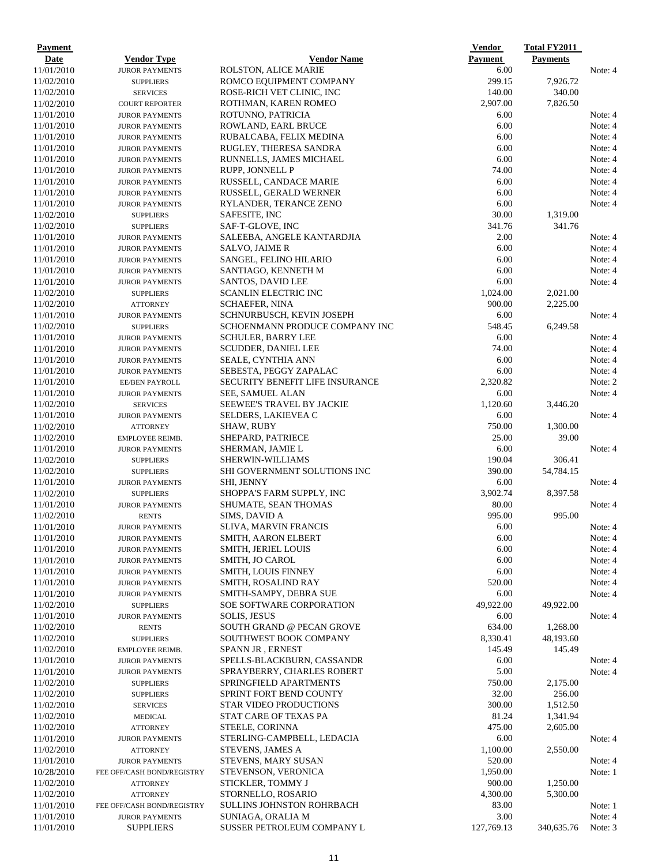| <b>Payment</b>           |                                          |                                                           | <b>Vendor</b>   | <b>Total FY2011</b> |                    |
|--------------------------|------------------------------------------|-----------------------------------------------------------|-----------------|---------------------|--------------------|
| Date                     | <b>Vendor Type</b>                       | <b>Vendor Name</b>                                        | <b>Payment</b>  | <b>Payments</b>     |                    |
| 11/01/2010               | <b>JUROR PAYMENTS</b>                    | ROLSTON, ALICE MARIE                                      | 6.00<br>299.15  | 7,926.72            | Note: 4            |
| 11/02/2010<br>11/02/2010 | <b>SUPPLIERS</b>                         | ROMCO EQUIPMENT COMPANY<br>ROSE-RICH VET CLINIC, INC      | 140.00          | 340.00              |                    |
| 11/02/2010               | <b>SERVICES</b><br><b>COURT REPORTER</b> | ROTHMAN, KAREN ROMEO                                      | 2,907.00        | 7,826.50            |                    |
| 11/01/2010               | <b>JUROR PAYMENTS</b>                    | ROTUNNO, PATRICIA                                         | 6.00            |                     | Note: 4            |
| 11/01/2010               | <b>JUROR PAYMENTS</b>                    | ROWLAND, EARL BRUCE                                       | 6.00            |                     | Note: 4            |
| 11/01/2010               | <b>JUROR PAYMENTS</b>                    | RUBALCABA, FELIX MEDINA                                   | 6.00            |                     | Note: 4            |
| 11/01/2010               | <b>JUROR PAYMENTS</b>                    | RUGLEY, THERESA SANDRA                                    | 6.00            |                     | Note: 4            |
| 11/01/2010               | <b>JUROR PAYMENTS</b>                    | RUNNELLS, JAMES MICHAEL                                   | 6.00            |                     | Note: 4            |
| 11/01/2010               | <b>JUROR PAYMENTS</b>                    | RUPP, JONNELL P                                           | 74.00           |                     | Note: 4            |
| 11/01/2010               | <b>JUROR PAYMENTS</b>                    | RUSSELL, CANDACE MARIE                                    | 6.00            |                     | Note: 4            |
| 11/01/2010               | <b>JUROR PAYMENTS</b>                    | RUSSELL, GERALD WERNER                                    | 6.00            |                     | Note: 4            |
| 11/01/2010               | <b>JUROR PAYMENTS</b>                    | RYLANDER, TERANCE ZENO                                    | 6.00            |                     | Note: 4            |
| 11/02/2010               | <b>SUPPLIERS</b>                         | SAFESITE, INC                                             | 30.00           | 1,319.00            |                    |
| 11/02/2010               | <b>SUPPLIERS</b>                         | SAF-T-GLOVE, INC                                          | 341.76          | 341.76              |                    |
| 11/01/2010               | <b>JUROR PAYMENTS</b>                    | SALEEBA, ANGELE KANTARDJIA                                | 2.00            |                     | Note: 4            |
| 11/01/2010               | <b>JUROR PAYMENTS</b>                    | SALVO, JAIME R                                            | 6.00            |                     | Note: 4            |
| 11/01/2010               | <b>JUROR PAYMENTS</b>                    | SANGEL, FELINO HILARIO                                    | 6.00            |                     | Note: 4            |
| 11/01/2010               | <b>JUROR PAYMENTS</b>                    | SANTIAGO, KENNETH M                                       | 6.00            |                     | Note: 4            |
| 11/01/2010               | <b>JUROR PAYMENTS</b>                    | <b>SANTOS, DAVID LEE</b>                                  | 6.00            |                     | Note: 4            |
| 11/02/2010               | <b>SUPPLIERS</b>                         | <b>SCANLIN ELECTRIC INC</b>                               | 1,024.00        | 2,021.00            |                    |
| 11/02/2010               | <b>ATTORNEY</b>                          | <b>SCHAEFER, NINA</b>                                     | 900.00          | 2,225.00            |                    |
| 11/01/2010               | <b>JUROR PAYMENTS</b>                    | SCHNURBUSCH, KEVIN JOSEPH                                 | 6.00            |                     | Note: 4            |
| 11/02/2010               | <b>SUPPLIERS</b>                         | SCHOENMANN PRODUCE COMPANY INC                            | 548.45          | 6,249.58            |                    |
| 11/01/2010               | <b>JUROR PAYMENTS</b>                    | <b>SCHULER, BARRY LEE</b>                                 | 6.00            |                     | Note: 4            |
| 11/01/2010               | <b>JUROR PAYMENTS</b>                    | SCUDDER, DANIEL LEE                                       | 74.00           |                     | Note: 4            |
| 11/01/2010               | <b>JUROR PAYMENTS</b>                    | SEALE, CYNTHIA ANN                                        | 6.00<br>6.00    |                     | Note: 4<br>Note: 4 |
| 11/01/2010               | <b>JUROR PAYMENTS</b>                    | SEBESTA, PEGGY ZAPALAC<br>SECURITY BENEFIT LIFE INSURANCE | 2,320.82        |                     | Note: 2            |
| 11/01/2010<br>11/01/2010 | EE/BEN PAYROLL<br><b>JUROR PAYMENTS</b>  | SEE, SAMUEL ALAN                                          | 6.00            |                     | Note: 4            |
| 11/02/2010               | <b>SERVICES</b>                          | <b>SEEWEE'S TRAVEL BY JACKIE</b>                          | 1,120.60        | 3,446.20            |                    |
| 11/01/2010               | <b>JUROR PAYMENTS</b>                    | SELDERS, LAKIEVEA C                                       | 6.00            |                     | Note: 4            |
| 11/02/2010               | <b>ATTORNEY</b>                          | <b>SHAW, RUBY</b>                                         | 750.00          | 1,300.00            |                    |
| 11/02/2010               | EMPLOYEE REIMB.                          | SHEPARD, PATRIECE                                         | 25.00           | 39.00               |                    |
| 11/01/2010               | <b>JUROR PAYMENTS</b>                    | SHERMAN, JAMIE L                                          | 6.00            |                     | Note: 4            |
| 11/02/2010               | <b>SUPPLIERS</b>                         | <b>SHERWIN-WILLIAMS</b>                                   | 190.04          | 306.41              |                    |
| 11/02/2010               | <b>SUPPLIERS</b>                         | <b>SHI GOVERNMENT SOLUTIONS INC</b>                       | 390.00          | 54,784.15           |                    |
| 11/01/2010               | <b>JUROR PAYMENTS</b>                    | SHI, JENNY                                                | 6.00            |                     | Note: 4            |
| 11/02/2010               | <b>SUPPLIERS</b>                         | SHOPPA'S FARM SUPPLY, INC                                 | 3,902.74        | 8,397.58            |                    |
| 11/01/2010               | <b>JUROR PAYMENTS</b>                    | SHUMATE, SEAN THOMAS                                      | 80.00           |                     | Note: 4            |
| 11/02/2010               | <b>RENTS</b>                             | SIMS, DAVID A                                             | 995.00          | 995.00              |                    |
| 11/01/2010               | <b>JUROR PAYMENTS</b>                    | <b>SLIVA, MARVIN FRANCIS</b>                              | 6.00            |                     | Note: 4            |
| 11/01/2010               | <b>JUROR PAYMENTS</b>                    | SMITH, AARON ELBERT                                       | 6.00            |                     | Note: 4            |
| 11/01/2010               | <b>JUROR PAYMENTS</b>                    | <b>SMITH, JERIEL LOUIS</b>                                | 6.00            |                     | Note: 4            |
| 11/01/2010               | <b>JUROR PAYMENTS</b>                    | SMITH, JO CAROL                                           | 6.00            |                     | Note: 4            |
| 11/01/2010               | <b>JUROR PAYMENTS</b>                    | SMITH, LOUIS FINNEY                                       | 6.00            |                     | Note: 4            |
| 11/01/2010               | <b>JUROR PAYMENTS</b>                    | SMITH, ROSALIND RAY                                       | 520.00          |                     | Note: 4            |
| 11/01/2010               | <b>JUROR PAYMENTS</b>                    | SMITH-SAMPY, DEBRA SUE                                    | 6.00            |                     | Note: 4            |
| 11/02/2010               | <b>SUPPLIERS</b>                         | SOE SOFTWARE CORPORATION                                  | 49,922.00       | 49,922.00           |                    |
| 11/01/2010               | <b>JUROR PAYMENTS</b>                    | <b>SOLIS, JESUS</b>                                       | 6.00            |                     | Note: 4            |
| 11/02/2010               | <b>RENTS</b>                             | <b>SOUTH GRAND @ PECAN GROVE</b>                          | 634.00          | 1,268.00            |                    |
| 11/02/2010               | <b>SUPPLIERS</b>                         | SOUTHWEST BOOK COMPANY                                    | 8,330.41        | 48,193.60           |                    |
| 11/02/2010               | EMPLOYEE REIMB.                          | SPANN JR, ERNEST                                          | 145.49          | 145.49              |                    |
| 11/01/2010               | <b>JUROR PAYMENTS</b>                    | SPELLS-BLACKBURN, CASSANDR                                | 6.00            |                     | Note: 4            |
| 11/01/2010               | <b>JUROR PAYMENTS</b>                    | SPRAYBERRY, CHARLES ROBERT                                | 5.00            |                     | Note: 4            |
| 11/02/2010<br>11/02/2010 | <b>SUPPLIERS</b><br><b>SUPPLIERS</b>     | SPRINGFIELD APARTMENTS<br>SPRINT FORT BEND COUNTY         | 750.00<br>32.00 | 2,175.00<br>256.00  |                    |
| 11/02/2010               | <b>SERVICES</b>                          | <b>STAR VIDEO PRODUCTIONS</b>                             | 300.00          | 1,512.50            |                    |
| 11/02/2010               | <b>MEDICAL</b>                           | STAT CARE OF TEXAS PA                                     | 81.24           | 1,341.94            |                    |
| 11/02/2010               | <b>ATTORNEY</b>                          | STEELE, CORINNA                                           | 475.00          | 2,605.00            |                    |
| 11/01/2010               | <b>JUROR PAYMENTS</b>                    | STERLING-CAMPBELL, LEDACIA                                | 6.00            |                     | Note: 4            |
| 11/02/2010               | <b>ATTORNEY</b>                          | <b>STEVENS, JAMES A</b>                                   | 1,100.00        | 2,550.00            |                    |
| 11/01/2010               | <b>JUROR PAYMENTS</b>                    | <b>STEVENS, MARY SUSAN</b>                                | 520.00          |                     | Note: 4            |
| 10/28/2010               | FEE OFF/CASH BOND/REGISTRY               | STEVENSON, VERONICA                                       | 1,950.00        |                     | Note: 1            |
| 11/02/2010               | <b>ATTORNEY</b>                          | STICKLER, TOMMY J                                         | 900.00          | 1,250.00            |                    |
| 11/02/2010               | <b>ATTORNEY</b>                          | STORNELLO, ROSARIO                                        | 4,300.00        | 5,300.00            |                    |
| 11/01/2010               | FEE OFF/CASH BOND/REGISTRY               | SULLINS JOHNSTON ROHRBACH                                 | 83.00           |                     | Note: 1            |
| 11/01/2010               | <b>JUROR PAYMENTS</b>                    | SUNIAGA, ORALIA M                                         | 3.00            |                     | Note: 4            |
| 11/01/2010               | <b>SUPPLIERS</b>                         | SUSSER PETROLEUM COMPANY L                                | 127,769.13      | 340,635.76          | Note: 3            |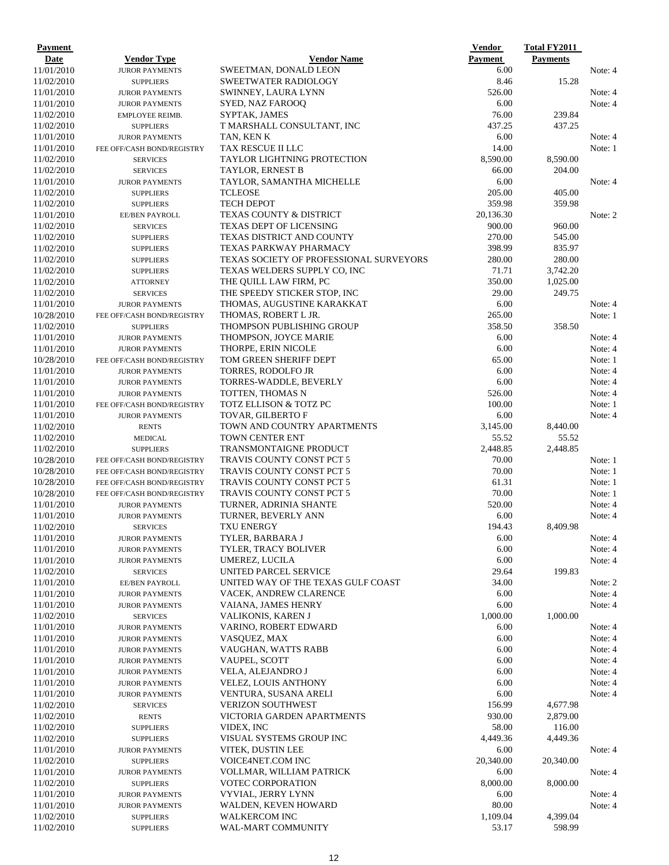| Payment                  |                                    |                                                         | <b>Vendor</b>     | <b>Total FY2011</b> |                    |
|--------------------------|------------------------------------|---------------------------------------------------------|-------------------|---------------------|--------------------|
| Date                     | <b>Vendor Type</b>                 | <b>Vendor Name</b>                                      | <b>Payment</b>    | <b>Payments</b>     |                    |
| 11/01/2010               | <b>JUROR PAYMENTS</b>              | SWEETMAN, DONALD LEON                                   | 6.00              |                     | Note: 4            |
| 11/02/2010               | <b>SUPPLIERS</b>                   | <b>SWEETWATER RADIOLOGY</b>                             | 8.46              | 15.28               |                    |
| 11/01/2010               | <b>JUROR PAYMENTS</b>              | SWINNEY, LAURA LYNN                                     | 526.00            |                     | Note: 4            |
| 11/01/2010               | <b>JUROR PAYMENTS</b>              | SYED, NAZ FAROOQ                                        | 6.00              |                     | Note: 4            |
| 11/02/2010               | EMPLOYEE REIMB.                    | SYPTAK, JAMES                                           | 76.00             | 239.84              |                    |
| 11/02/2010               | <b>SUPPLIERS</b>                   | T MARSHALL CONSULTANT, INC                              | 437.25            | 437.25              |                    |
| 11/01/2010               | <b>JUROR PAYMENTS</b>              | TAN, KEN K                                              | 6.00<br>14.00     |                     | Note: 4<br>Note: 1 |
| 11/01/2010<br>11/02/2010 | FEE OFF/CASH BOND/REGISTRY         | <b>TAX RESCUE II LLC</b><br>TAYLOR LIGHTNING PROTECTION | 8,590.00          | 8,590.00            |                    |
| 11/02/2010               | <b>SERVICES</b><br><b>SERVICES</b> | TAYLOR, ERNEST B                                        | 66.00             | 204.00              |                    |
| 11/01/2010               | <b>JUROR PAYMENTS</b>              | TAYLOR, SAMANTHA MICHELLE                               | 6.00              |                     | Note: 4            |
| 11/02/2010               | <b>SUPPLIERS</b>                   | <b>TCLEOSE</b>                                          | 205.00            | 405.00              |                    |
| 11/02/2010               | <b>SUPPLIERS</b>                   | <b>TECH DEPOT</b>                                       | 359.98            | 359.98              |                    |
| 11/01/2010               | EE/BEN PAYROLL                     | TEXAS COUNTY & DISTRICT                                 | 20,136.30         |                     | Note: 2            |
| 11/02/2010               | <b>SERVICES</b>                    | <b>TEXAS DEPT OF LICENSING</b>                          | 900.00            | 960.00              |                    |
| 11/02/2010               | <b>SUPPLIERS</b>                   | TEXAS DISTRICT AND COUNTY                               | 270.00            | 545.00              |                    |
| 11/02/2010               | <b>SUPPLIERS</b>                   | TEXAS PARKWAY PHARMACY                                  | 398.99            | 835.97              |                    |
| 11/02/2010               | <b>SUPPLIERS</b>                   | TEXAS SOCIETY OF PROFESSIONAL SURVEYORS                 | 280.00            | 280.00              |                    |
| 11/02/2010               | <b>SUPPLIERS</b>                   | TEXAS WELDERS SUPPLY CO, INC                            | 71.71             | 3,742.20            |                    |
| 11/02/2010               | <b>ATTORNEY</b>                    | THE QUILL LAW FIRM, PC                                  | 350.00            | 1,025.00            |                    |
| 11/02/2010               | <b>SERVICES</b>                    | THE SPEEDY STICKER STOP, INC                            | 29.00             | 249.75              |                    |
| 11/01/2010               | <b>JUROR PAYMENTS</b>              | THOMAS, AUGUSTINE KARAKKAT                              | 6.00              |                     | Note: 4            |
| 10/28/2010               | FEE OFF/CASH BOND/REGISTRY         | THOMAS, ROBERT L JR.                                    | 265.00            |                     | Note: 1            |
| 11/02/2010               | <b>SUPPLIERS</b>                   | THOMPSON PUBLISHING GROUP                               | 358.50            | 358.50              |                    |
| 11/01/2010               | <b>JUROR PAYMENTS</b>              | THOMPSON, JOYCE MARIE                                   | 6.00              |                     | Note: 4            |
| 11/01/2010               | <b>JUROR PAYMENTS</b>              | THORPE, ERIN NICOLE                                     | 6.00              |                     | Note: 4            |
| 10/28/2010               | FEE OFF/CASH BOND/REGISTRY         | TOM GREEN SHERIFF DEPT                                  | 65.00             |                     | Note: 1            |
| 11/01/2010               | <b>JUROR PAYMENTS</b>              | TORRES, RODOLFO JR                                      | 6.00              |                     | Note: 4            |
| 11/01/2010               | <b>JUROR PAYMENTS</b>              | TORRES-WADDLE, BEVERLY                                  | 6.00              |                     | Note: 4            |
| 11/01/2010               | <b>JUROR PAYMENTS</b>              | TOTTEN, THOMAS N                                        | 526.00            |                     | Note: 4            |
| 11/01/2010               | FEE OFF/CASH BOND/REGISTRY         | TOTZ ELLISON & TOTZ PC                                  | 100.00            |                     | Note: 1            |
| 11/01/2010               | <b>JUROR PAYMENTS</b>              | <b>TOVAR, GILBERTO F</b>                                | 6.00              |                     | Note: 4            |
| 11/02/2010<br>11/02/2010 | <b>RENTS</b>                       | TOWN AND COUNTRY APARTMENTS<br>TOWN CENTER ENT          | 3,145.00<br>55.52 | 8,440.00<br>55.52   |                    |
| 11/02/2010               | <b>MEDICAL</b><br><b>SUPPLIERS</b> | <b>TRANSMONTAIGNE PRODUCT</b>                           | 2,448.85          | 2,448.85            |                    |
| 10/28/2010               | FEE OFF/CASH BOND/REGISTRY         | <b>TRAVIS COUNTY CONST PCT 5</b>                        | 70.00             |                     | Note: 1            |
| 10/28/2010               | FEE OFF/CASH BOND/REGISTRY         | <b>TRAVIS COUNTY CONST PCT 5</b>                        | 70.00             |                     | Note: 1            |
| 10/28/2010               | FEE OFF/CASH BOND/REGISTRY         | <b>TRAVIS COUNTY CONST PCT 5</b>                        | 61.31             |                     | Note: 1            |
| 10/28/2010               | FEE OFF/CASH BOND/REGISTRY         | <b>TRAVIS COUNTY CONST PCT 5</b>                        | 70.00             |                     | Note: 1            |
| 11/01/2010               | <b>JUROR PAYMENTS</b>              | TURNER, ADRINIA SHANTE                                  | 520.00            |                     | Note: 4            |
| 11/01/2010               | <b>JUROR PAYMENTS</b>              | TURNER, BEVERLY ANN                                     | 6.00              |                     | Note: 4            |
| 11/02/2010               | <b>SERVICES</b>                    | <b>TXU ENERGY</b>                                       | 194.43            | 8,409.98            |                    |
| 11/01/2010               | <b>JUROR PAYMENTS</b>              | TYLER, BARBARA J                                        | 6.00              |                     | Note: 4            |
| 11/01/2010               | <b>JUROR PAYMENTS</b>              | TYLER, TRACY BOLIVER                                    | 6.00              |                     | Note: 4            |
| 11/01/2010               | <b>JUROR PAYMENTS</b>              | UMEREZ, LUCILA                                          | 6.00              |                     | Note: 4            |
| 11/02/2010               | <b>SERVICES</b>                    | UNITED PARCEL SERVICE                                   | 29.64             | 199.83              |                    |
| 11/01/2010               | EE/BEN PAYROLL                     | UNITED WAY OF THE TEXAS GULF COAST                      | 34.00             |                     | Note: 2            |
| 11/01/2010               | <b>JUROR PAYMENTS</b>              | VACEK, ANDREW CLARENCE                                  | 6.00              |                     | Note: 4            |
| 11/01/2010               | <b>JUROR PAYMENTS</b>              | VAIANA, JAMES HENRY                                     | 6.00              |                     | Note: 4            |
| 11/02/2010               | <b>SERVICES</b>                    | <b>VALIKONIS, KAREN J</b>                               | 1,000.00          | 1,000.00            |                    |
| 11/01/2010               | <b>JUROR PAYMENTS</b>              | VARINO, ROBERT EDWARD                                   | 6.00              |                     | Note: 4            |
| 11/01/2010               | <b>JUROR PAYMENTS</b>              | VASQUEZ, MAX                                            | 6.00              |                     | Note: 4            |
| 11/01/2010               | <b>JUROR PAYMENTS</b>              | VAUGHAN, WATTS RABB                                     | 6.00              |                     | Note: 4            |
| 11/01/2010               | <b>JUROR PAYMENTS</b>              | VAUPEL, SCOTT                                           | 6.00              |                     | Note: 4            |
| 11/01/2010               | <b>JUROR PAYMENTS</b>              | VELA, ALEJANDRO J                                       | 6.00              |                     | Note: 4            |
| 11/01/2010               | <b>JUROR PAYMENTS</b>              | <b>VELEZ, LOUIS ANTHONY</b>                             | 6.00              |                     | Note: 4            |
| 11/01/2010<br>11/02/2010 | <b>JUROR PAYMENTS</b>              | VENTURA, SUSANA ARELI<br><b>VERIZON SOUTHWEST</b>       | 6.00<br>156.99    | 4,677.98            | Note: 4            |
| 11/02/2010               | <b>SERVICES</b><br><b>RENTS</b>    | VICTORIA GARDEN APARTMENTS                              | 930.00            | 2,879.00            |                    |
| 11/02/2010               | <b>SUPPLIERS</b>                   | VIDEX, INC                                              | 58.00             | 116.00              |                    |
| 11/02/2010               | <b>SUPPLIERS</b>                   | VISUAL SYSTEMS GROUP INC                                | 4,449.36          | 4,449.36            |                    |
| 11/01/2010               | <b>JUROR PAYMENTS</b>              | VITEK, DUSTIN LEE                                       | 6.00              |                     | Note: 4            |
| 11/02/2010               | <b>SUPPLIERS</b>                   | VOICE4NET.COM INC                                       | 20,340.00         | 20,340.00           |                    |
| 11/01/2010               | <b>JUROR PAYMENTS</b>              | VOLLMAR, WILLIAM PATRICK                                | 6.00              |                     | Note: 4            |
| 11/02/2010               | <b>SUPPLIERS</b>                   | <b>VOTEC CORPORATION</b>                                | 8,000.00          | 8,000.00            |                    |
| 11/01/2010               | <b>JUROR PAYMENTS</b>              | VYVIAL, JERRY LYNN                                      | 6.00              |                     | Note: 4            |
| 11/01/2010               | <b>JUROR PAYMENTS</b>              | WALDEN, KEVEN HOWARD                                    | 80.00             |                     | Note: 4            |
| 11/02/2010               | <b>SUPPLIERS</b>                   | <b>WALKERCOM INC</b>                                    | 1,109.04          | 4,399.04            |                    |
| 11/02/2010               | <b>SUPPLIERS</b>                   | WAL-MART COMMUNITY                                      | 53.17             | 598.99              |                    |